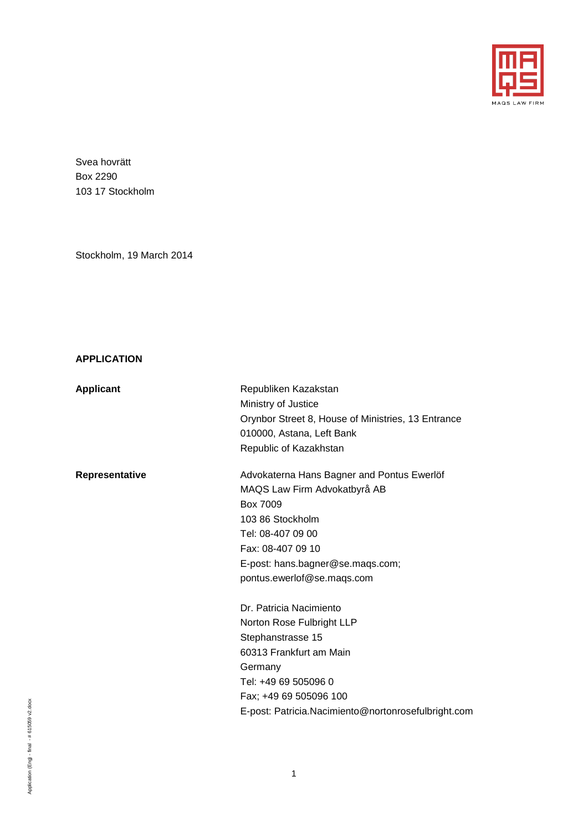

Svea hovrätt Box 2290 103 17 Stockholm

Stockholm, 19 March 2014

#### <span id="page-0-0"></span>**APPLICATION**

| Applicant |  |
|-----------|--|
|-----------|--|

**Republiken Kazakstan** Ministry of Justice Orynbor Street 8, House of Ministries, 13 Entrance 010000, Astana, Left Bank Republic of Kazakhstan Representative **Advokaterna Hans Bagner and Pontus Ewerlöf** MAQS Law Firm Advokatbyrå AB Box 7009 103 86 Stockholm Tel: 08-407 09 00 Fax: 08-407 09 10 E-post: hans.bagner@se.maqs.com; pontus.ewerlof@se.maqs.com Dr. Patricia Nacimiento Norton Rose Fulbright LLP Stephanstrasse 15

E-post: Patricia.Nacimiento@nortonrosefulbright.com

Application (Eng) - final - # 615059 v2.docx Application (Eng) - final - # 615059 v2.docx 60313 Frankfurt am Main

Tel: +49 69 505096 0 Fax; +49 69 505096 100

**Germany**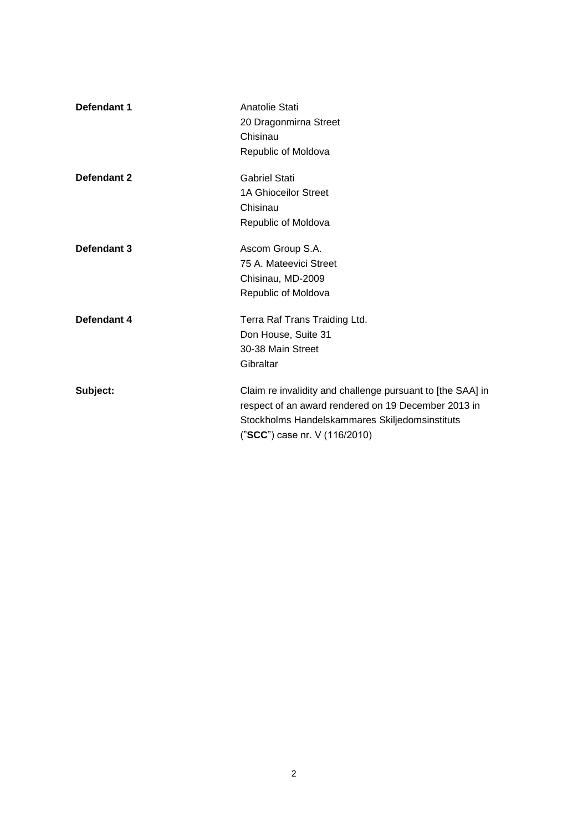| Defendant 1 | Anatolie Stati<br>20 Dragonmirna Street<br>Chisinau<br>Republic of Moldova                                                                                                                           |
|-------------|------------------------------------------------------------------------------------------------------------------------------------------------------------------------------------------------------|
| Defendant 2 | <b>Gabriel Stati</b><br><b>1A Ghioceilor Street</b><br>Chisinau<br>Republic of Moldova                                                                                                               |
| Defendant 3 | Ascom Group S.A.<br>75 A. Mateevici Street<br>Chisinau, MD-2009<br>Republic of Moldova                                                                                                               |
| Defendant 4 | Terra Raf Trans Traiding Ltd.<br>Don House, Suite 31<br>30-38 Main Street<br>Gibraltar                                                                                                               |
| Subject:    | Claim re invalidity and challenge pursuant to [the SAA] in<br>respect of an award rendered on 19 December 2013 in<br>Stockholms Handelskammares Skiljedomsinstituts<br>("SCC") case nr. V (116/2010) |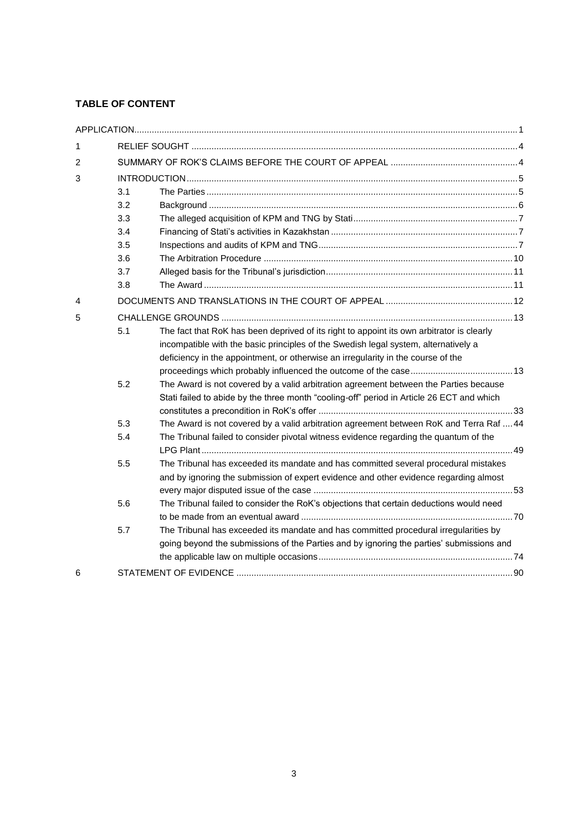## **TABLE OF CONTENT**

| 1 |     |                                                                                           |  |
|---|-----|-------------------------------------------------------------------------------------------|--|
| 2 |     |                                                                                           |  |
| 3 |     |                                                                                           |  |
|   | 3.1 |                                                                                           |  |
|   | 3.2 |                                                                                           |  |
|   | 3.3 |                                                                                           |  |
|   | 3.4 |                                                                                           |  |
|   | 3.5 |                                                                                           |  |
|   | 3.6 |                                                                                           |  |
|   | 3.7 |                                                                                           |  |
|   | 3.8 |                                                                                           |  |
| 4 |     |                                                                                           |  |
| 5 |     |                                                                                           |  |
|   | 5.1 | The fact that RoK has been deprived of its right to appoint its own arbitrator is clearly |  |
|   |     | incompatible with the basic principles of the Swedish legal system, alternatively a       |  |
|   |     | deficiency in the appointment, or otherwise an irregularity in the course of the          |  |
|   |     |                                                                                           |  |
|   | 5.2 | The Award is not covered by a valid arbitration agreement between the Parties because     |  |
|   |     | Stati failed to abide by the three month "cooling-off" period in Article 26 ECT and which |  |
|   |     |                                                                                           |  |
|   | 5.3 | The Award is not covered by a valid arbitration agreement between RoK and Terra Raf  44   |  |
|   | 5.4 | The Tribunal failed to consider pivotal witness evidence regarding the quantum of the     |  |
|   |     |                                                                                           |  |
|   | 5.5 | The Tribunal has exceeded its mandate and has committed several procedural mistakes       |  |
|   |     | and by ignoring the submission of expert evidence and other evidence regarding almost     |  |
|   |     |                                                                                           |  |
|   | 5.6 | The Tribunal failed to consider the RoK's objections that certain deductions would need   |  |
|   |     |                                                                                           |  |
|   | 5.7 | The Tribunal has exceeded its mandate and has committed procedural irregularities by      |  |
|   |     | going beyond the submissions of the Parties and by ignoring the parties' submissions and  |  |
|   |     |                                                                                           |  |
| 6 |     |                                                                                           |  |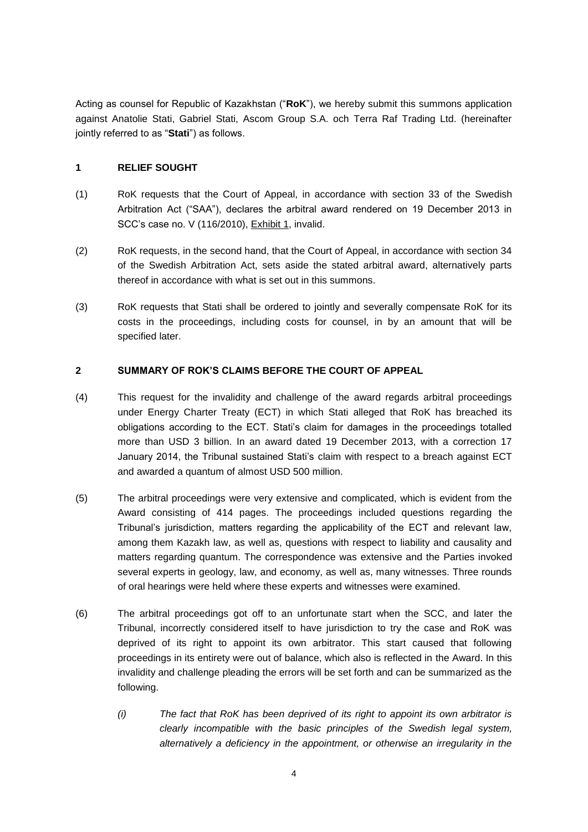Acting as counsel for Republic of Kazakhstan ("**RoK**"), we hereby submit this summons application against Anatolie Stati, Gabriel Stati, Ascom Group S.A. och Terra Raf Trading Ltd. (hereinafter jointly referred to as "**Stati**") as follows.

## <span id="page-3-0"></span>**1 RELIEF SOUGHT**

- (1) RoK requests that the Court of Appeal, in accordance with section 33 of the Swedish Arbitration Act ("SAA"), declares the arbitral award rendered on 19 December 2013 in SCC's case no. V (116/2010), Exhibit 1, invalid.
- (2) RoK requests, in the second hand, that the Court of Appeal, in accordance with section 34 of the Swedish Arbitration Act, sets aside the stated arbitral award, alternatively parts thereof in accordance with what is set out in this summons.
- (3) RoK requests that Stati shall be ordered to jointly and severally compensate RoK for its costs in the proceedings, including costs for counsel, in by an amount that will be specified later.

## <span id="page-3-1"></span>**2 SUMMARY OF ROK'S CLAIMS BEFORE THE COURT OF APPEAL**

- (4) This request for the invalidity and challenge of the award regards arbitral proceedings under Energy Charter Treaty (ECT) in which Stati alleged that RoK has breached its obligations according to the ECT. Stati's claim for damages in the proceedings totalled more than USD 3 billion. In an award dated 19 December 2013, with a correction 17 January 2014, the Tribunal sustained Stati's claim with respect to a breach against ECT and awarded a quantum of almost USD 500 million.
- (5) The arbitral proceedings were very extensive and complicated, which is evident from the Award consisting of 414 pages. The proceedings included questions regarding the Tribunal's jurisdiction, matters regarding the applicability of the ECT and relevant law, among them Kazakh law, as well as, questions with respect to liability and causality and matters regarding quantum. The correspondence was extensive and the Parties invoked several experts in geology, law, and economy, as well as, many witnesses. Three rounds of oral hearings were held where these experts and witnesses were examined.
- (6) The arbitral proceedings got off to an unfortunate start when the SCC, and later the Tribunal, incorrectly considered itself to have jurisdiction to try the case and RoK was deprived of its right to appoint its own arbitrator. This start caused that following proceedings in its entirety were out of balance, which also is reflected in the Award. In this invalidity and challenge pleading the errors will be set forth and can be summarized as the following.
	- *(i) The fact that RoK has been deprived of its right to appoint its own arbitrator is clearly incompatible with the basic principles of the Swedish legal system, alternatively a deficiency in the appointment, or otherwise an irregularity in the*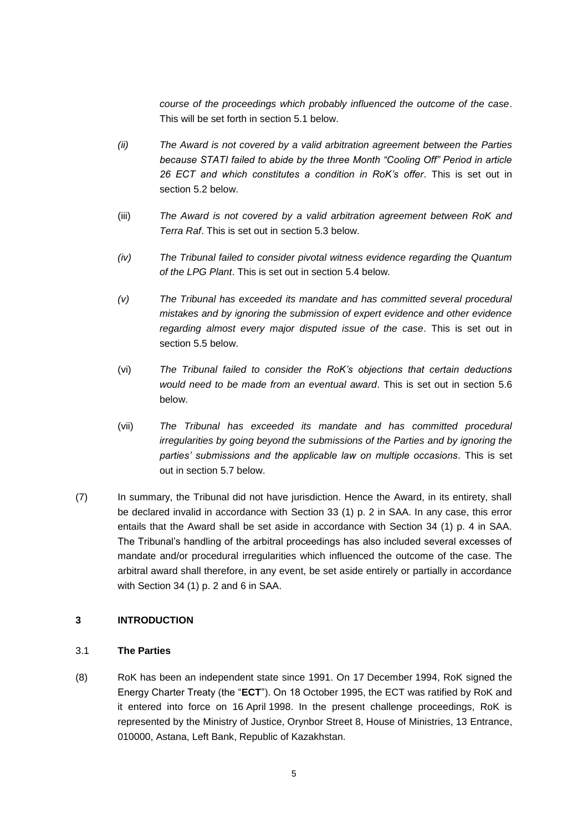*course of the proceedings which probably influenced the outcome of the case*. This will be set forth in section 5.1 below.

- *(ii) The Award is not covered by a valid arbitration agreement between the Parties because STATI failed to abide by the three Month "Cooling Off" Period in article 26 ECT and which constitutes a condition in RoK's offer*. This is set out in section 5.2 below.
- (iii) *The Award is not covered by a valid arbitration agreement between RoK and Terra Raf*. This is set out in section 5.3 below.
- *(iv) The Tribunal failed to consider pivotal witness evidence regarding the Quantum of the LPG Plant*. This is set out in section 5.4 below*.*
- *(v) The Tribunal has exceeded its mandate and has committed several procedural mistakes and by ignoring the submission of expert evidence and other evidence regarding almost every major disputed issue of the case*. This is set out in section 5.5 below.
- (vi) *The Tribunal failed to consider the RoK's objections that certain deductions would need to be made from an eventual award*. This is set out in section 5.6 below.
- (vii) *The Tribunal has exceeded its mandate and has committed procedural irregularities by going beyond the submissions of the Parties and by ignoring the parties' submissions and the applicable law on multiple occasions*. This is set out in section 5.7 below.
- (7) In summary, the Tribunal did not have jurisdiction. Hence the Award, in its entirety, shall be declared invalid in accordance with Section 33 (1) p. 2 in SAA. In any case, this error entails that the Award shall be set aside in accordance with Section 34 (1) p. 4 in SAA. The Tribunal's handling of the arbitral proceedings has also included several excesses of mandate and/or procedural irregularities which influenced the outcome of the case. The arbitral award shall therefore, in any event, be set aside entirely or partially in accordance with Section 34 (1) p. 2 and 6 in SAA.

#### <span id="page-4-0"></span>**3 INTRODUCTION**

#### <span id="page-4-1"></span>3.1 **The Parties**

(8) RoK has been an independent state since 1991. On 17 December 1994, RoK signed the Energy Charter Treaty (the "**ECT**"). On 18 October 1995, the ECT was ratified by RoK and it entered into force on 16 April 1998. In the present challenge proceedings, RoK is represented by the Ministry of Justice, Orynbor Street 8, House of Ministries, 13 Entrance, 010000, Astana, Left Bank, Republic of Kazakhstan.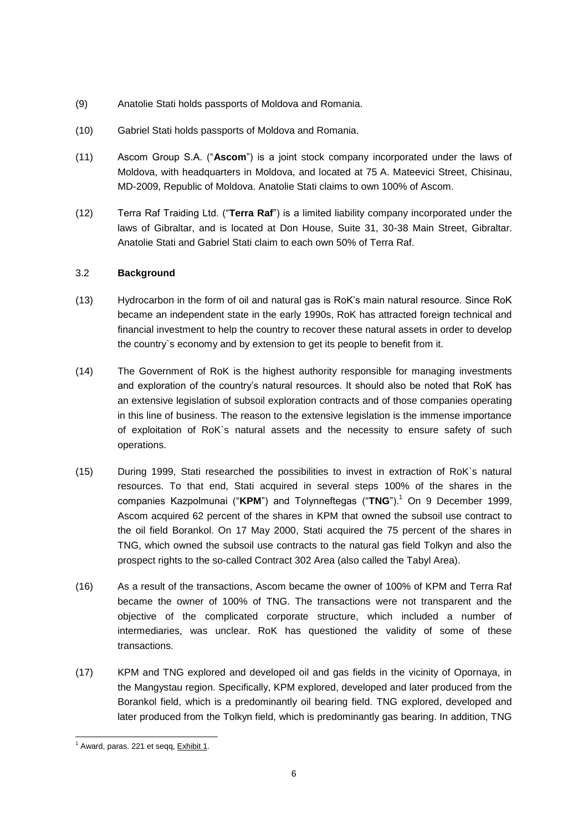- (9) Anatolie Stati holds passports of Moldova and Romania.
- (10) Gabriel Stati holds passports of Moldova and Romania.
- (11) Ascom Group S.A. ("**Ascom**") is a joint stock company incorporated under the laws of Moldova, with headquarters in Moldova, and located at 75 A. Mateevici Street, Chisinau, MD-2009, Republic of Moldova. Anatolie Stati claims to own 100% of Ascom.
- (12) Terra Raf Traiding Ltd. ("**Terra Raf**") is a limited liability company incorporated under the laws of Gibraltar, and is located at Don House, Suite 31, 30-38 Main Street, Gibraltar. Anatolie Stati and Gabriel Stati claim to each own 50% of Terra Raf.

## <span id="page-5-0"></span>3.2 **Background**

- (13) Hydrocarbon in the form of oil and natural gas is RoK's main natural resource. Since RoK became an independent state in the early 1990s, RoK has attracted foreign technical and financial investment to help the country to recover these natural assets in order to develop the country`s economy and by extension to get its people to benefit from it.
- (14) The Government of RoK is the highest authority responsible for managing investments and exploration of the country's natural resources. It should also be noted that RoK has an extensive legislation of subsoil exploration contracts and of those companies operating in this line of business. The reason to the extensive legislation is the immense importance of exploitation of RoK`s natural assets and the necessity to ensure safety of such operations.
- (15) During 1999, Stati researched the possibilities to invest in extraction of RoK`s natural resources. To that end, Stati acquired in several steps 100% of the shares in the companies Kazpolmunai ("**KPM**") and Tolynneftegas ("**TNG**").<sup>1</sup> On 9 December 1999, Ascom acquired 62 percent of the shares in KPM that owned the subsoil use contract to the oil field Borankol. On 17 May 2000, Stati acquired the 75 percent of the shares in TNG, which owned the subsoil use contracts to the natural gas field Tolkyn and also the prospect rights to the so-called Contract 302 Area (also called the Tabyl Area).
- (16) As a result of the transactions, Ascom became the owner of 100% of KPM and Terra Raf became the owner of 100% of TNG. The transactions were not transparent and the objective of the complicated corporate structure, which included a number of intermediaries, was unclear. RoK has questioned the validity of some of these transactions.
- (17) KPM and TNG explored and developed oil and gas fields in the vicinity of Opornaya, in the Mangystau region. Specifically, KPM explored, developed and later produced from the Borankol field, which is a predominantly oil bearing field. TNG explored, developed and later produced from the Tolkyn field, which is predominantly gas bearing. In addition, TNG

 $<sup>1</sup>$  Award, paras. 221 et seqq,  $Exhibit 1$ .</sup>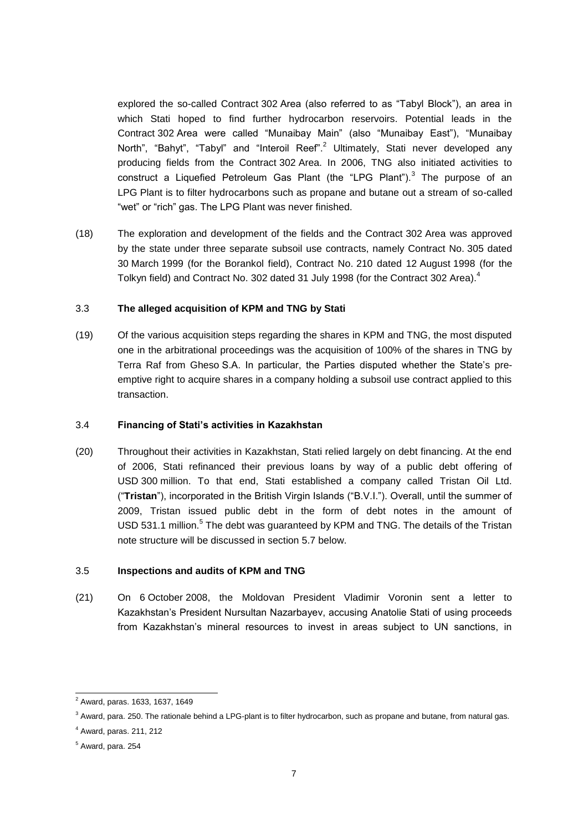explored the so-called Contract 302 Area (also referred to as "Tabyl Block"), an area in which Stati hoped to find further hydrocarbon reservoirs. Potential leads in the Contract 302 Area were called "Munaibay Main" (also "Munaibay East"), "Munaibay North", "Bahyt", "Tabyl" and "Interoil Reef".<sup>2</sup> Ultimately, Stati never developed any producing fields from the Contract 302 Area. In 2006, TNG also initiated activities to construct a Liquefied Petroleum Gas Plant (the "LPG Plant"). $3$  The purpose of an LPG Plant is to filter hydrocarbons such as propane and butane out a stream of so-called "wet" or "rich" gas. The LPG Plant was never finished.

(18) The exploration and development of the fields and the Contract 302 Area was approved by the state under three separate subsoil use contracts, namely Contract No. 305 dated 30 March 1999 (for the Borankol field), Contract No. 210 dated 12 August 1998 (for the Tolkyn field) and Contract No. 302 dated 31 July 1998 (for the Contract 302 Area).<sup>4</sup>

## <span id="page-6-0"></span>3.3 **The alleged acquisition of KPM and TNG by Stati**

(19) Of the various acquisition steps regarding the shares in KPM and TNG, the most disputed one in the arbitrational proceedings was the acquisition of 100% of the shares in TNG by Terra Raf from Gheso S.A. In particular, the Parties disputed whether the State's preemptive right to acquire shares in a company holding a subsoil use contract applied to this transaction.

### <span id="page-6-1"></span>3.4 **Financing of Stati's activities in Kazakhstan**

(20) Throughout their activities in Kazakhstan, Stati relied largely on debt financing. At the end of 2006, Stati refinanced their previous loans by way of a public debt offering of USD 300 million. To that end, Stati established a company called Tristan Oil Ltd. ("**Tristan**"), incorporated in the British Virgin Islands ("B.V.I."). Overall, until the summer of 2009, Tristan issued public debt in the form of debt notes in the amount of USD 531.1 million.<sup>5</sup> The debt was guaranteed by KPM and TNG. The details of the Tristan note structure will be discussed in section 5.7 below.

#### <span id="page-6-2"></span>3.5 **Inspections and audits of KPM and TNG**

(21) On 6 October 2008, the Moldovan President Vladimir Voronin sent a letter to Kazakhstan's President Nursultan Nazarbayev, accusing Anatolie Stati of using proceeds from Kazakhstan's mineral resources to invest in areas subject to UN sanctions, in

<sup>2</sup> Award, paras. 1633, 1637, 1649

<sup>&</sup>lt;sup>3</sup> Award, para. 250. The rationale behind a LPG-plant is to filter hydrocarbon, such as propane and butane, from natural gas.

<sup>4</sup> Award, paras. 211, 212

 $<sup>5</sup>$  Award, para. 254</sup>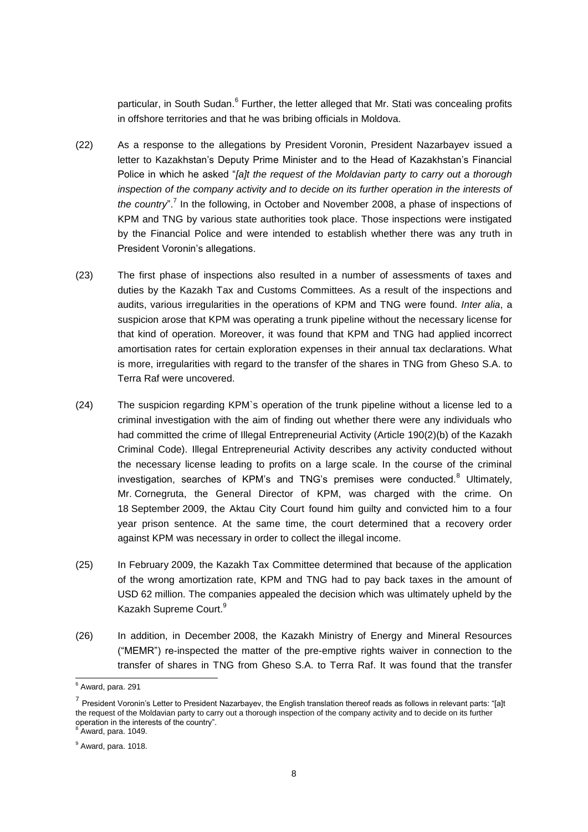particular, in South Sudan.<sup>6</sup> Further, the letter alleged that Mr. Stati was concealing profits in offshore territories and that he was bribing officials in Moldova.

- (22) As a response to the allegations by President Voronin, President Nazarbayev issued a letter to Kazakhstan's Deputy Prime Minister and to the Head of Kazakhstan's Financial Police in which he asked "*[a]t the request of the Moldavian party to carry out a thorough inspection of the company activity and to decide on its further operation in the interests of* the country".<sup>7</sup> In the following, in October and November 2008, a phase of inspections of KPM and TNG by various state authorities took place. Those inspections were instigated by the Financial Police and were intended to establish whether there was any truth in President Voronin's allegations.
- (23) The first phase of inspections also resulted in a number of assessments of taxes and duties by the Kazakh Tax and Customs Committees. As a result of the inspections and audits, various irregularities in the operations of KPM and TNG were found. *Inter alia*, a suspicion arose that KPM was operating a trunk pipeline without the necessary license for that kind of operation. Moreover, it was found that KPM and TNG had applied incorrect amortisation rates for certain exploration expenses in their annual tax declarations. What is more, irregularities with regard to the transfer of the shares in TNG from Gheso S.A. to Terra Raf were uncovered.
- (24) The suspicion regarding KPM`s operation of the trunk pipeline without a license led to a criminal investigation with the aim of finding out whether there were any individuals who had committed the crime of Illegal Entrepreneurial Activity (Article 190(2)(b) of the Kazakh Criminal Code). Illegal Entrepreneurial Activity describes any activity conducted without the necessary license leading to profits on a large scale. In the course of the criminal investigation, searches of KPM's and TNG's premises were conducted.<sup>8</sup> Ultimately, Mr. Cornegruta, the General Director of KPM, was charged with the crime. On 18 September 2009, the Aktau City Court found him guilty and convicted him to a four year prison sentence. At the same time, the court determined that a recovery order against KPM was necessary in order to collect the illegal income.
- (25) In February 2009, the Kazakh Tax Committee determined that because of the application of the wrong amortization rate, KPM and TNG had to pay back taxes in the amount of USD 62 million. The companies appealed the decision which was ultimately upheld by the Kazakh Supreme Court.<sup>9</sup>
- (26) In addition, in December 2008, the Kazakh Ministry of Energy and Mineral Resources ("MEMR") re-inspected the matter of the pre-emptive rights waiver in connection to the transfer of shares in TNG from Gheso S.A. to Terra Raf. It was found that the transfer

 $6$  Award, para. 291

 $^7$  President Voronin's Letter to President Nazarbayev, the English translation thereof reads as follows in relevant parts: "[a]t the request of the Moldavian party to carry out a thorough inspection of the company activity and to decide on its further operation in the interests of the country". <sup>8</sup> Award, para. 1049.

 $<sup>9</sup>$  Award, para. 1018.</sup>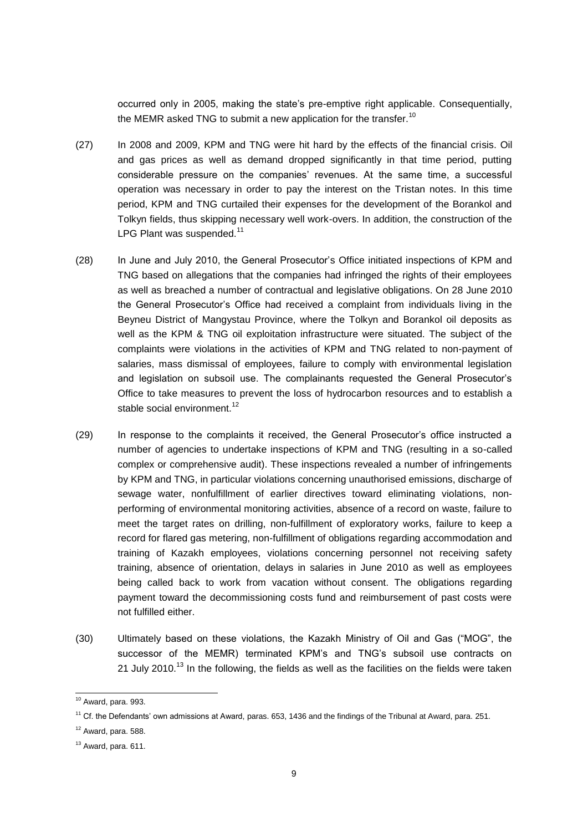occurred only in 2005, making the state's pre-emptive right applicable. Consequentially, the MEMR asked TNG to submit a new application for the transfer.<sup>10</sup>

- (27) In 2008 and 2009, KPM and TNG were hit hard by the effects of the financial crisis. Oil and gas prices as well as demand dropped significantly in that time period, putting considerable pressure on the companies' revenues. At the same time, a successful operation was necessary in order to pay the interest on the Tristan notes. In this time period, KPM and TNG curtailed their expenses for the development of the Borankol and Tolkyn fields, thus skipping necessary well work-overs. In addition, the construction of the LPG Plant was suspended.<sup>11</sup>
- (28) In June and July 2010, the General Prosecutor's Office initiated inspections of KPM and TNG based on allegations that the companies had infringed the rights of their employees as well as breached a number of contractual and legislative obligations. On 28 June 2010 the General Prosecutor's Office had received a complaint from individuals living in the Beyneu District of Mangystau Province, where the Tolkyn and Borankol oil deposits as well as the KPM & TNG oil exploitation infrastructure were situated. The subject of the complaints were violations in the activities of KPM and TNG related to non-payment of salaries, mass dismissal of employees, failure to comply with environmental legislation and legislation on subsoil use. The complainants requested the General Prosecutor's Office to take measures to prevent the loss of hydrocarbon resources and to establish a stable social environment.<sup>12</sup>
- (29) In response to the complaints it received, the General Prosecutor's office instructed a number of agencies to undertake inspections of KPM and TNG (resulting in a so-called complex or comprehensive audit). These inspections revealed a number of infringements by KPM and TNG, in particular violations concerning unauthorised emissions, discharge of sewage water, nonfulfillment of earlier directives toward eliminating violations, nonperforming of environmental monitoring activities, absence of a record on waste, failure to meet the target rates on drilling, non-fulfillment of exploratory works, failure to keep a record for flared gas metering, non-fulfillment of obligations regarding accommodation and training of Kazakh employees, violations concerning personnel not receiving safety training, absence of orientation, delays in salaries in June 2010 as well as employees being called back to work from vacation without consent. The obligations regarding payment toward the decommissioning costs fund and reimbursement of past costs were not fulfilled either.
- (30) Ultimately based on these violations, the Kazakh Ministry of Oil and Gas ("MOG", the successor of the MEMR) terminated KPM's and TNG's subsoil use contracts on 21 July 2010.<sup>13</sup> In the following, the fields as well as the facilities on the fields were taken

 $10$  Award, para. 993.

 $11$  Cf. the Defendants' own admissions at Award, paras. 653, 1436 and the findings of the Tribunal at Award, para. 251.

 $12$  Award, para. 588.

 $13$  Award, para. 611.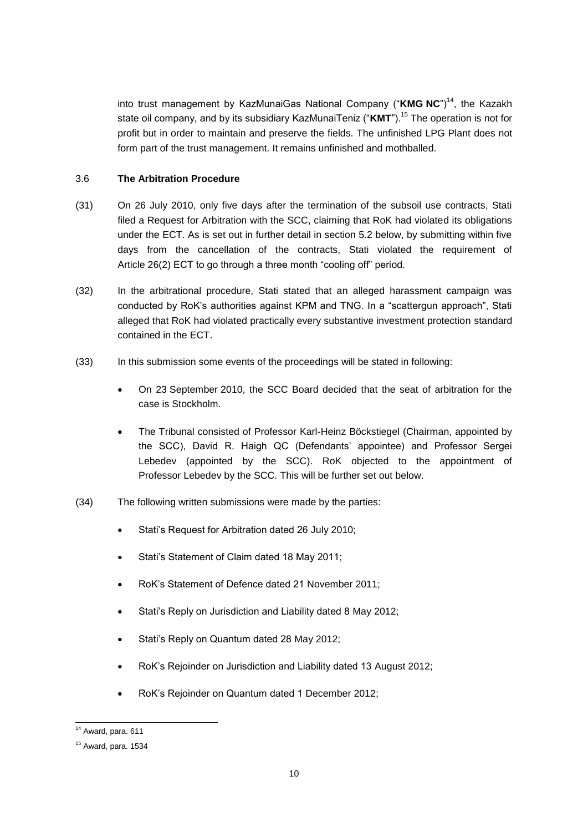into trust management by KazMunaiGas National Company ("**KMG NC**")<sup>14</sup>, the Kazakh state oil company, and by its subsidiary KazMunaiTeniz ("**KMT**").<sup>15</sup> The operation is not for profit but in order to maintain and preserve the fields. The unfinished LPG Plant does not form part of the trust management. It remains unfinished and mothballed.

### <span id="page-9-0"></span>3.6 **The Arbitration Procedure**

- (31) On 26 July 2010, only five days after the termination of the subsoil use contracts, Stati filed a Request for Arbitration with the SCC, claiming that RoK had violated its obligations under the ECT. As is set out in further detail in section 5.2 below, by submitting within five days from the cancellation of the contracts, Stati violated the requirement of Article 26(2) ECT to go through a three month "cooling off" period.
- (32) In the arbitrational procedure, Stati stated that an alleged harassment campaign was conducted by RoK's authorities against KPM and TNG. In a "scattergun approach", Stati alleged that RoK had violated practically every substantive investment protection standard contained in the ECT.
- (33) In this submission some events of the proceedings will be stated in following:
	- On 23 September 2010, the SCC Board decided that the seat of arbitration for the case is Stockholm.
	- The Tribunal consisted of Professor Karl-Heinz Böckstiegel (Chairman, appointed by the SCC), David R. Haigh QC (Defendants' appointee) and Professor Sergei Lebedev (appointed by the SCC). RoK objected to the appointment of Professor Lebedev by the SCC. This will be further set out below.
- (34) The following written submissions were made by the parties:
	- Stati's Request for Arbitration dated 26 July 2010;
	- Stati's Statement of Claim dated 18 May 2011;
	- RoK's Statement of Defence dated 21 November 2011:
	- Stati's Reply on Jurisdiction and Liability dated 8 May 2012;
	- Stati's Reply on Quantum dated 28 May 2012;
	- RoK's Rejoinder on Jurisdiction and Liability dated 13 August 2012;
	- RoK's Rejoinder on Quantum dated 1 December 2012;

 $14$  Award, para, 611

 $15$  Award, para. 1534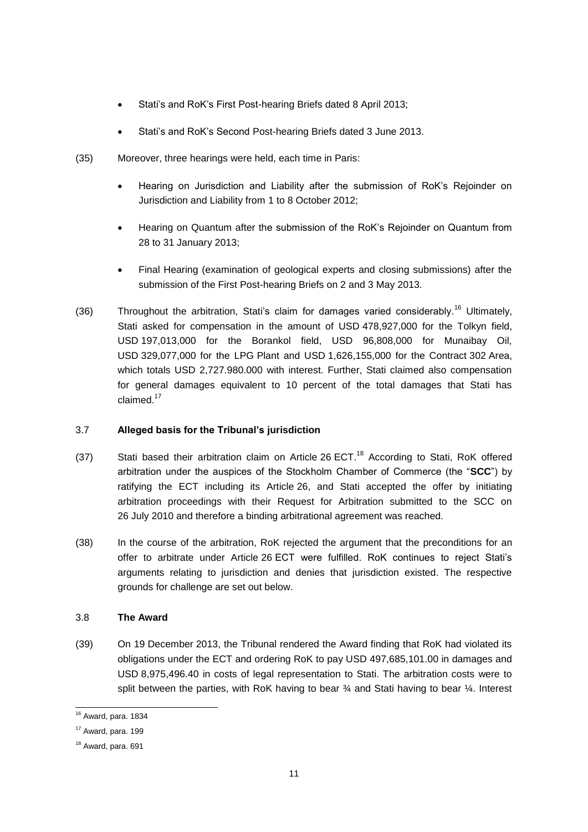- Stati's and RoK's First Post-hearing Briefs dated 8 April 2013;
- Stati's and RoK's Second Post-hearing Briefs dated 3 June 2013.
- (35) Moreover, three hearings were held, each time in Paris:
	- Hearing on Jurisdiction and Liability after the submission of RoK's Rejoinder on Jurisdiction and Liability from 1 to 8 October 2012;
	- Hearing on Quantum after the submission of the RoK's Rejoinder on Quantum from 28 to 31 January 2013;
	- Final Hearing (examination of geological experts and closing submissions) after the submission of the First Post-hearing Briefs on 2 and 3 May 2013.
- (36) Throughout the arbitration, Stati's claim for damages varied considerably.<sup>16</sup> Ultimately, Stati asked for compensation in the amount of USD 478,927,000 for the Tolkyn field, USD 197,013,000 for the Borankol field, USD 96,808,000 for Munaibay Oil, USD 329,077,000 for the LPG Plant and USD 1,626,155,000 for the Contract 302 Area, which totals USD 2,727.980.000 with interest. Further, Stati claimed also compensation for general damages equivalent to 10 percent of the total damages that Stati has claimed.<sup>17</sup>

#### <span id="page-10-0"></span>3.7 **Alleged basis for the Tribunal's jurisdiction**

- (37) Stati based their arbitration claim on Article  $26$  ECT.<sup>18</sup> According to Stati, RoK offered arbitration under the auspices of the Stockholm Chamber of Commerce (the "**SCC**") by ratifying the ECT including its Article 26, and Stati accepted the offer by initiating arbitration proceedings with their Request for Arbitration submitted to the SCC on 26 July 2010 and therefore a binding arbitrational agreement was reached.
- (38) In the course of the arbitration, RoK rejected the argument that the preconditions for an offer to arbitrate under Article 26 ECT were fulfilled. RoK continues to reject Stati's arguments relating to jurisdiction and denies that jurisdiction existed. The respective grounds for challenge are set out below.

#### <span id="page-10-1"></span>3.8 **The Award**

(39) On 19 December 2013, the Tribunal rendered the Award finding that RoK had violated its obligations under the ECT and ordering RoK to pay USD 497,685,101.00 in damages and USD 8,975,496.40 in costs of legal representation to Stati. The arbitration costs were to split between the parties, with RoK having to bear  $\frac{3}{4}$  and Stati having to bear  $\frac{1}{4}$ . Interest

<sup>16</sup> Award, para. 1834

 $17$  Award, para. 199

<sup>18</sup> Award, para. 691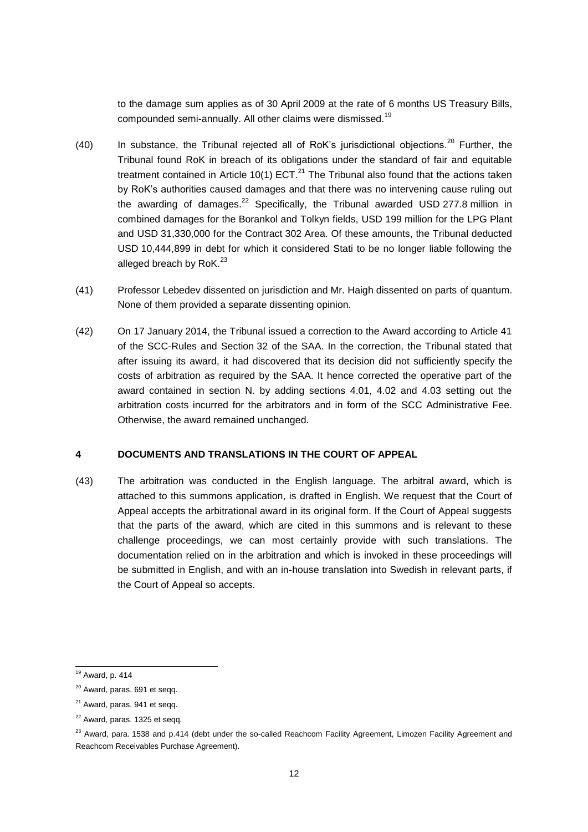to the damage sum applies as of 30 April 2009 at the rate of 6 months US Treasury Bills, compounded semi-annually. All other claims were dismissed.<sup>19</sup>

- (40) In substance, the Tribunal rejected all of RoK's jurisdictional objections.<sup>20</sup> Further, the Tribunal found RoK in breach of its obligations under the standard of fair and equitable treatment contained in Article 10(1)  $ECT<sup>21</sup>$  The Tribunal also found that the actions taken by RoK's authorities caused damages and that there was no intervening cause ruling out the awarding of damages.<sup>22</sup> Specifically, the Tribunal awarded USD 277.8 million in combined damages for the Borankol and Tolkyn fields, USD 199 million for the LPG Plant and USD 31,330,000 for the Contract 302 Area. Of these amounts, the Tribunal deducted USD 10,444,899 in debt for which it considered Stati to be no longer liable following the alleged breach by RoK. $^{23}$
- (41) Professor Lebedev dissented on jurisdiction and Mr. Haigh dissented on parts of quantum. None of them provided a separate dissenting opinion.
- (42) On 17 January 2014, the Tribunal issued a correction to the Award according to Article 41 of the SCC-Rules and Section 32 of the SAA. In the correction, the Tribunal stated that after issuing its award, it had discovered that its decision did not sufficiently specify the costs of arbitration as required by the SAA. It hence corrected the operative part of the award contained in section N. by adding sections 4.01, 4.02 and 4.03 setting out the arbitration costs incurred for the arbitrators and in form of the SCC Administrative Fee. Otherwise, the award remained unchanged.

#### <span id="page-11-0"></span>**4 DOCUMENTS AND TRANSLATIONS IN THE COURT OF APPEAL**

(43) The arbitration was conducted in the English language. The arbitral award, which is attached to this summons application, is drafted in English. We request that the Court of Appeal accepts the arbitrational award in its original form. If the Court of Appeal suggests that the parts of the award, which are cited in this summons and is relevant to these challenge proceedings, we can most certainly provide with such translations. The documentation relied on in the arbitration and which is invoked in these proceedings will be submitted in English, and with an in-house translation into Swedish in relevant parts, if the Court of Appeal so accepts.

<sup>19</sup> Award, p. 414

<sup>20</sup> Award, paras. 691 et seqq.

 $21$  Award, paras. 941 et seqq.

<sup>&</sup>lt;sup>22</sup> Award, paras. 1325 et seqq.

<sup>&</sup>lt;sup>23</sup> Award, para. 1538 and p.414 (debt under the so-called Reachcom Facility Agreement, Limozen Facility Agreement and Reachcom Receivables Purchase Agreement).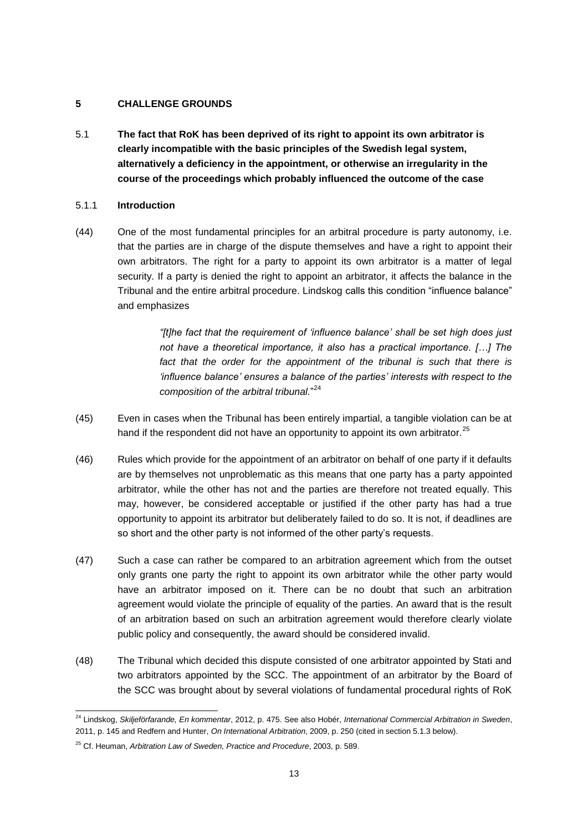#### <span id="page-12-0"></span>**5 CHALLENGE GROUNDS**

<span id="page-12-1"></span>5.1 **The fact that RoK has been deprived of its right to appoint its own arbitrator is clearly incompatible with the basic principles of the Swedish legal system, alternatively a deficiency in the appointment, or otherwise an irregularity in the course of the proceedings which probably influenced the outcome of the case**

#### 5.1.1 **Introduction**

(44) One of the most fundamental principles for an arbitral procedure is party autonomy, i.e. that the parties are in charge of the dispute themselves and have a right to appoint their own arbitrators. The right for a party to appoint its own arbitrator is a matter of legal security. If a party is denied the right to appoint an arbitrator, it affects the balance in the Tribunal and the entire arbitral procedure. Lindskog calls this condition "influence balance" and emphasizes

> *"[t]he fact that the requirement of 'influence balance' shall be set high does just not have a theoretical importance, it also has a practical importance. […] The*  fact that the order for the appointment of the tribunal is such that there is *'influence balance' ensures a balance of the parties' interests with respect to the composition of the arbitral tribunal.*" 24

- (45) Even in cases when the Tribunal has been entirely impartial, a tangible violation can be at hand if the respondent did not have an opportunity to appoint its own arbitrator.<sup>25</sup>
- (46) Rules which provide for the appointment of an arbitrator on behalf of one party if it defaults are by themselves not unproblematic as this means that one party has a party appointed arbitrator, while the other has not and the parties are therefore not treated equally. This may, however, be considered acceptable or justified if the other party has had a true opportunity to appoint its arbitrator but deliberately failed to do so. It is not, if deadlines are so short and the other party is not informed of the other party's requests.
- (47) Such a case can rather be compared to an arbitration agreement which from the outset only grants one party the right to appoint its own arbitrator while the other party would have an arbitrator imposed on it. There can be no doubt that such an arbitration agreement would violate the principle of equality of the parties. An award that is the result of an arbitration based on such an arbitration agreement would therefore clearly violate public policy and consequently, the award should be considered invalid.
- (48) The Tribunal which decided this dispute consisted of one arbitrator appointed by Stati and two arbitrators appointed by the SCC. The appointment of an arbitrator by the Board of the SCC was brought about by several violations of fundamental procedural rights of RoK

<sup>24</sup> Lindskog, *Skiljeförfarande, En kommentar*, 2012, p. 475. See also Hobér, *International Commercial Arbitration in Sweden*, 2011, p. 145 and Redfern and Hunter, *On International Arbitration*, 2009, p. 250 (cited in section 5.1.3 below).

<sup>25</sup> Cf. Heuman, *Arbitration Law of Sweden, Practice and Procedure*, 2003, p. 589.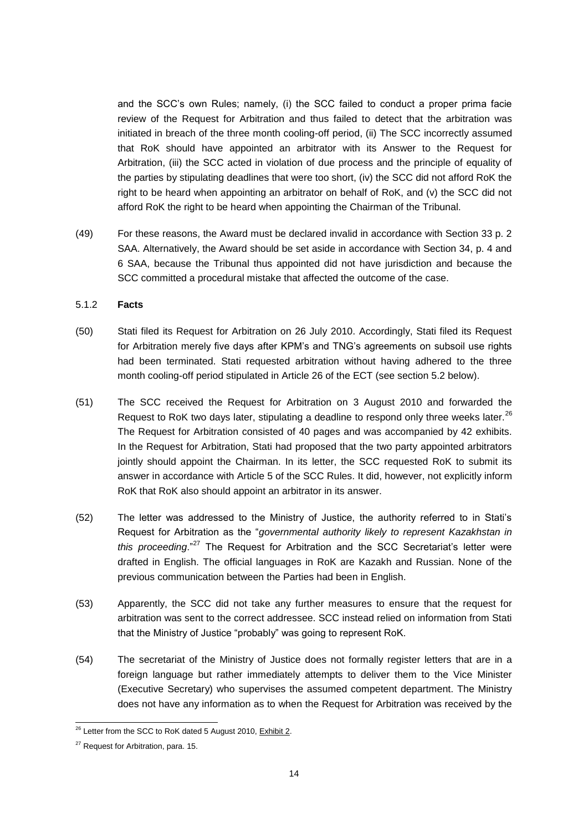and the SCC's own Rules; namely, (i) the SCC failed to conduct a proper prima facie review of the Request for Arbitration and thus failed to detect that the arbitration was initiated in breach of the three month cooling-off period, (ii) The SCC incorrectly assumed that RoK should have appointed an arbitrator with its Answer to the Request for Arbitration, (iii) the SCC acted in violation of due process and the principle of equality of the parties by stipulating deadlines that were too short, (iv) the SCC did not afford RoK the right to be heard when appointing an arbitrator on behalf of RoK, and (v) the SCC did not afford RoK the right to be heard when appointing the Chairman of the Tribunal.

(49) For these reasons, the Award must be declared invalid in accordance with Section 33 p. 2 SAA. Alternatively, the Award should be set aside in accordance with Section 34, p. 4 and 6 SAA, because the Tribunal thus appointed did not have jurisdiction and because the SCC committed a procedural mistake that affected the outcome of the case.

#### 5.1.2 **Facts**

- (50) Stati filed its Request for Arbitration on 26 July 2010. Accordingly, Stati filed its Request for Arbitration merely five days after KPM's and TNG's agreements on subsoil use rights had been terminated. Stati requested arbitration without having adhered to the three month cooling-off period stipulated in Article 26 of the ECT (see section 5.2 below).
- (51) The SCC received the Request for Arbitration on 3 August 2010 and forwarded the Request to RoK two days later, stipulating a deadline to respond only three weeks later.<sup>26</sup> The Request for Arbitration consisted of 40 pages and was accompanied by 42 exhibits. In the Request for Arbitration, Stati had proposed that the two party appointed arbitrators jointly should appoint the Chairman. In its letter, the SCC requested RoK to submit its answer in accordance with Article 5 of the SCC Rules. It did, however, not explicitly inform RoK that RoK also should appoint an arbitrator in its answer.
- (52) The letter was addressed to the Ministry of Justice, the authority referred to in Stati's Request for Arbitration as the "*governmental authority likely to represent Kazakhstan in this proceeding*."<sup>27</sup> The Request for Arbitration and the SCC Secretariat's letter were drafted in English. The official languages in RoK are Kazakh and Russian. None of the previous communication between the Parties had been in English.
- (53) Apparently, the SCC did not take any further measures to ensure that the request for arbitration was sent to the correct addressee. SCC instead relied on information from Stati that the Ministry of Justice "probably" was going to represent RoK.
- (54) The secretariat of the Ministry of Justice does not formally register letters that are in a foreign language but rather immediately attempts to deliver them to the Vice Minister (Executive Secretary) who supervises the assumed competent department. The Ministry does not have any information as to when the Request for Arbitration was received by the

<sup>&</sup>lt;sup>26</sup> Letter from the SCC to RoK dated 5 August 2010, Exhibit 2.

<sup>&</sup>lt;sup>27</sup> Request for Arbitration, para. 15.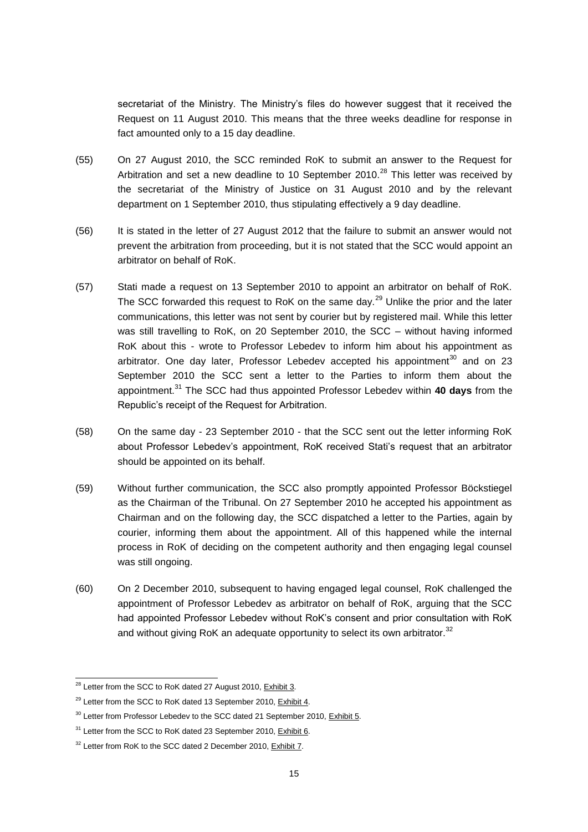secretariat of the Ministry. The Ministry's files do however suggest that it received the Request on 11 August 2010. This means that the three weeks deadline for response in fact amounted only to a 15 day deadline.

- (55) On 27 August 2010, the SCC reminded RoK to submit an answer to the Request for Arbitration and set a new deadline to 10 September 2010.<sup>28</sup> This letter was received by the secretariat of the Ministry of Justice on 31 August 2010 and by the relevant department on 1 September 2010, thus stipulating effectively a 9 day deadline.
- (56) It is stated in the letter of 27 August 2012 that the failure to submit an answer would not prevent the arbitration from proceeding, but it is not stated that the SCC would appoint an arbitrator on behalf of RoK.
- (57) Stati made a request on 13 September 2010 to appoint an arbitrator on behalf of RoK. The SCC forwarded this request to RoK on the same day. $^{29}$  Unlike the prior and the later communications, this letter was not sent by courier but by registered mail. While this letter was still travelling to RoK, on 20 September 2010, the SCC – without having informed RoK about this - wrote to Professor Lebedev to inform him about his appointment as arbitrator. One day later, Professor Lebedev accepted his appointment $^{30}$  and on 23 September 2010 the SCC sent a letter to the Parties to inform them about the appointment.<sup>31</sup> The SCC had thus appointed Professor Lebedev within **40 days** from the Republic's receipt of the Request for Arbitration.
- (58) On the same day 23 September 2010 that the SCC sent out the letter informing RoK about Professor Lebedev's appointment, RoK received Stati's request that an arbitrator should be appointed on its behalf.
- (59) Without further communication, the SCC also promptly appointed Professor Böckstiegel as the Chairman of the Tribunal. On 27 September 2010 he accepted his appointment as Chairman and on the following day, the SCC dispatched a letter to the Parties, again by courier, informing them about the appointment. All of this happened while the internal process in RoK of deciding on the competent authority and then engaging legal counsel was still ongoing.
- (60) On 2 December 2010, subsequent to having engaged legal counsel, RoK challenged the appointment of Professor Lebedev as arbitrator on behalf of RoK, arguing that the SCC had appointed Professor Lebedev without RoK's consent and prior consultation with RoK and without giving RoK an adequate opportunity to select its own arbitrator.<sup>32</sup>

<sup>&</sup>lt;sup>28</sup> Letter from the SCC to RoK dated 27 August 2010, Exhibit 3.

 $29$  Letter from the SCC to RoK dated 13 September 2010, Exhibit 4.

<sup>&</sup>lt;sup>30</sup> Letter from Professor Lebedev to the SCC dated 21 September 2010, **Exhibit 5.** 

 $31$  Letter from the SCC to RoK dated 23 September 2010, Exhibit 6.

<sup>&</sup>lt;sup>32</sup> Letter from RoK to the SCC dated 2 December 2010, Exhibit 7.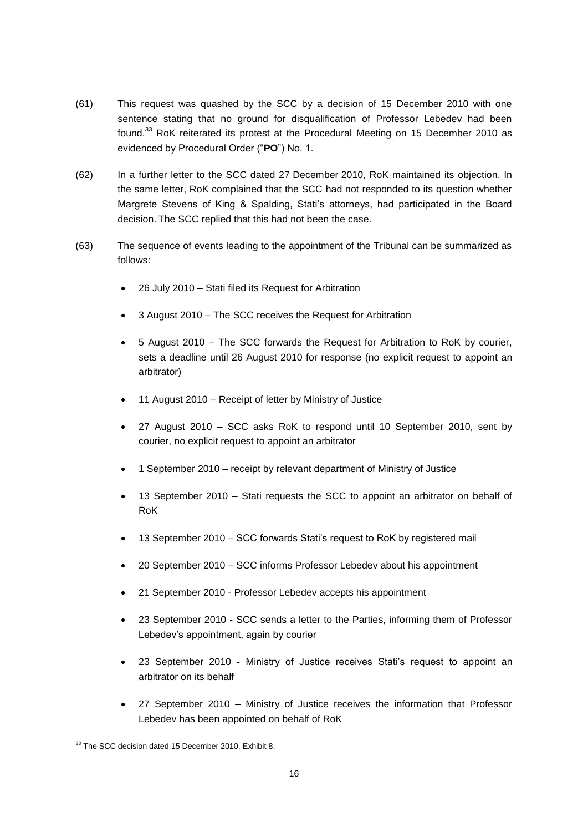- (61) This request was quashed by the SCC by a decision of 15 December 2010 with one sentence stating that no ground for disqualification of Professor Lebedev had been found.<sup>33</sup> RoK reiterated its protest at the Procedural Meeting on 15 December 2010 as evidenced by Procedural Order ("**PO**") No. 1.
- (62) In a further letter to the SCC dated 27 December 2010, RoK maintained its objection. In the same letter, RoK complained that the SCC had not responded to its question whether Margrete Stevens of King & Spalding, Stati's attorneys, had participated in the Board decision. The SCC replied that this had not been the case.
- (63) The sequence of events leading to the appointment of the Tribunal can be summarized as follows:
	- 26 July 2010 Stati filed its Request for Arbitration
	- 3 August 2010 The SCC receives the Request for Arbitration
	- 5 August 2010 The SCC forwards the Request for Arbitration to RoK by courier, sets a deadline until 26 August 2010 for response (no explicit request to appoint an arbitrator)
	- 11 August 2010 Receipt of letter by Ministry of Justice
	- 27 August 2010 SCC asks RoK to respond until 10 September 2010, sent by courier, no explicit request to appoint an arbitrator
	- 1 September 2010 receipt by relevant department of Ministry of Justice
	- 13 September 2010 Stati requests the SCC to appoint an arbitrator on behalf of RoK
	- 13 September 2010 SCC forwards Stati's request to RoK by registered mail
	- 20 September 2010 SCC informs Professor Lebedev about his appointment
	- 21 September 2010 Professor Lebedev accepts his appointment
	- 23 September 2010 SCC sends a letter to the Parties, informing them of Professor Lebedev's appointment, again by courier
	- 23 September 2010 Ministry of Justice receives Stati's request to appoint an arbitrator on its behalf
	- 27 September 2010 Ministry of Justice receives the information that Professor Lebedev has been appointed on behalf of RoK

<sup>&</sup>lt;sup>33</sup> The SCC decision dated 15 December 2010, Exhibit 8.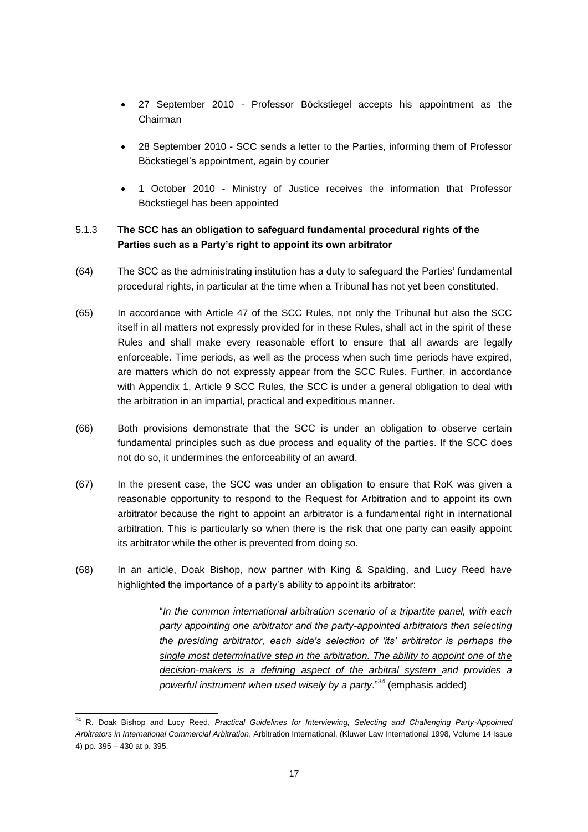- 27 September 2010 Professor Böckstiegel accepts his appointment as the Chairman
- 28 September 2010 SCC sends a letter to the Parties, informing them of Professor Böckstiegel's appointment, again by courier
- 1 October 2010 Ministry of Justice receives the information that Professor Böckstiegel has been appointed

# 5.1.3 **The SCC has an obligation to safeguard fundamental procedural rights of the Parties such as a Party's right to appoint its own arbitrator**

- (64) The SCC as the administrating institution has a duty to safeguard the Parties' fundamental procedural rights, in particular at the time when a Tribunal has not yet been constituted.
- (65) In accordance with Article 47 of the SCC Rules, not only the Tribunal but also the SCC itself in all matters not expressly provided for in these Rules, shall act in the spirit of these Rules and shall make every reasonable effort to ensure that all awards are legally enforceable. Time periods, as well as the process when such time periods have expired, are matters which do not expressly appear from the SCC Rules. Further, in accordance with Appendix 1, Article 9 SCC Rules, the SCC is under a general obligation to deal with the arbitration in an impartial, practical and expeditious manner.
- (66) Both provisions demonstrate that the SCC is under an obligation to observe certain fundamental principles such as due process and equality of the parties. If the SCC does not do so, it undermines the enforceability of an award.
- (67) In the present case, the SCC was under an obligation to ensure that RoK was given a reasonable opportunity to respond to the Request for Arbitration and to appoint its own arbitrator because the right to appoint an arbitrator is a fundamental right in international arbitration. This is particularly so when there is the risk that one party can easily appoint its arbitrator while the other is prevented from doing so.
- (68) In an article, Doak Bishop, now partner with King & Spalding, and Lucy Reed have highlighted the importance of a party's ability to appoint its arbitrator:

"*In the common international arbitration scenario of a tripartite panel, with each party appointing one arbitrator and the party-appointed arbitrators then selecting the presiding arbitrator, each side's selection of 'its' arbitrator is perhaps the single most determinative step in the arbitration. The ability to appoint one of the decision-makers is a defining aspect of the arbitral system and provides a powerful instrument when used wisely by a party*."<sup>34</sup> (emphasis added)

<sup>34</sup> R. Doak Bishop and Lucy Reed, *Practical Guidelines for Interviewing, Selecting and Challenging Party-Appointed Arbitrators in International Commercial Arbitration*, Arbitration International, (Kluwer Law International 1998, Volume 14 Issue 4) pp. 395 – 430 at p. 395.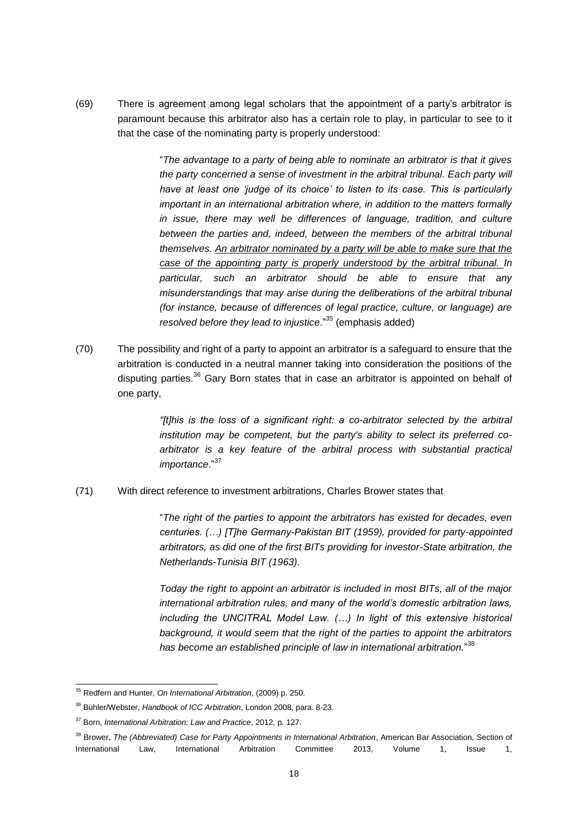(69) There is agreement among legal scholars that the appointment of a party's arbitrator is paramount because this arbitrator also has a certain role to play, in particular to see to it that the case of the nominating party is properly understood:

> "*The advantage to a party of being able to nominate an arbitrator is that it gives the party concerned a sense of investment in the arbitral tribunal. Each party will have at least one 'judge of its choice' to listen to its case. This is particularly important in an international arbitration where, in addition to the matters formally in issue, there may well be differences of language, tradition, and culture*  between the parties and, indeed, between the members of the arbitral tribunal *themselves. An arbitrator nominated by a party will be able to make sure that the case of the appointing party is properly understood by the arbitral tribunal. In particular, such an arbitrator should be able to ensure that any misunderstandings that may arise during the deliberations of the arbitral tribunal (for instance, because of differences of legal practice, culture, or language) are resolved before they lead to injustice*."<sup>35</sup> (emphasis added)

(70) The possibility and right of a party to appoint an arbitrator is a safeguard to ensure that the arbitration is conducted in a neutral manner taking into consideration the positions of the disputing parties.<sup>36</sup> Gary Born states that in case an arbitrator is appointed on behalf of one party,

> *"[t]his is the loss of a significant right: a co-arbitrator selected by the arbitral institution may be competent, but the party's ability to select its preferred coarbitrator is a key feature of the arbitral process with substantial practical importance*."<sup>37</sup>

(71) With direct reference to investment arbitrations, Charles Brower states that

"*The right of the parties to appoint the arbitrators has existed for decades, even centuries. (…) [T]he Germany-Pakistan BIT (1959), provided for party-appointed arbitrators, as did one of the first BITs providing for investor-State arbitration, the Netherlands-Tunisia BIT (1963).* 

*Today the right to appoint an arbitrator is included in most BITs, all of the major international arbitration rules, and many of the world's domestic arbitration laws, including the UNCITRAL Model Law. (…) In light of this extensive historical background, it would seem that the right of the parties to appoint the arbitrators has become an established principle of law in international arbitration.*" 38

<sup>35</sup> Redfern and Hunter, *On International Arbitration*, (2009) p. 250.

<sup>36</sup> Bühler/Webster, *Handbook of ICC Arbitration*, London 2008, para. 8-23.

<sup>37</sup> Born, *International Arbitration: Law and Practice*, 2012, p. 127.

<sup>38</sup> Brower, *The (Abbreviated) Case for Party Appointments in International Arbitration*, American Bar Association, Section of International Law, International Arbitration Committee 2013, Volume 1, Issue 1,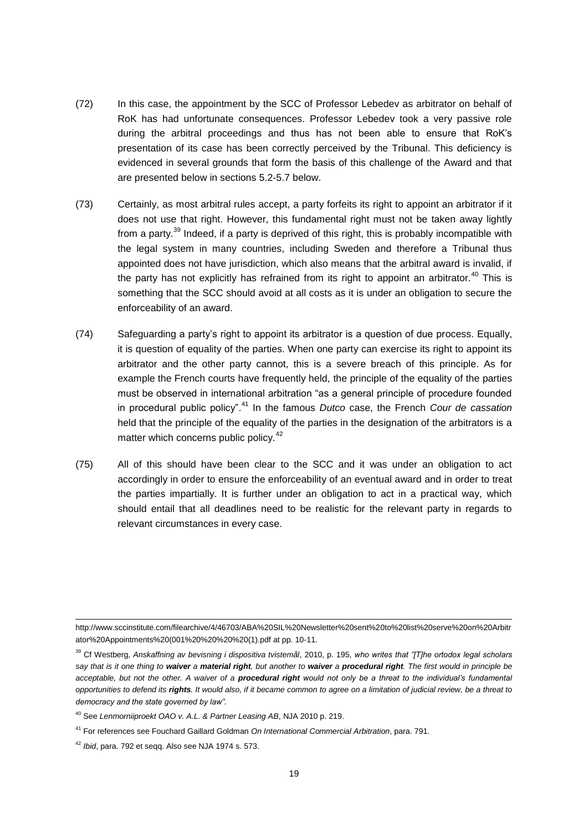- (72) In this case, the appointment by the SCC of Professor Lebedev as arbitrator on behalf of RoK has had unfortunate consequences. Professor Lebedev took a very passive role during the arbitral proceedings and thus has not been able to ensure that RoK's presentation of its case has been correctly perceived by the Tribunal. This deficiency is evidenced in several grounds that form the basis of this challenge of the Award and that are presented below in sections 5.2-5.7 below.
- (73) Certainly, as most arbitral rules accept, a party forfeits its right to appoint an arbitrator if it does not use that right. However, this fundamental right must not be taken away lightly from a party.<sup>39</sup> Indeed, if a party is deprived of this right, this is probably incompatible with the legal system in many countries, including Sweden and therefore a Tribunal thus appointed does not have jurisdiction, which also means that the arbitral award is invalid, if the party has not explicitly has refrained from its right to appoint an arbitrator.<sup>40</sup> This is something that the SCC should avoid at all costs as it is under an obligation to secure the enforceability of an award.
- (74) Safeguarding a party's right to appoint its arbitrator is a question of due process. Equally, it is question of equality of the parties. When one party can exercise its right to appoint its arbitrator and the other party cannot, this is a severe breach of this principle. As for example the French courts have frequently held, the principle of the equality of the parties must be observed in international arbitration "as a general principle of procedure founded in procedural public policy".<sup>41</sup> In the famous *Dutco* case, the French *Cour de cassation* held that the principle of the equality of the parties in the designation of the arbitrators is a matter which concerns public policy.<sup>42</sup>
- (75) All of this should have been clear to the SCC and it was under an obligation to act accordingly in order to ensure the enforceability of an eventual award and in order to treat the parties impartially. It is further under an obligation to act in a practical way, which should entail that all deadlines need to be realistic for the relevant party in regards to relevant circumstances in every case.

http://www.sccinstitute.com/filearchive/4/46703/ABA%20SIL%20Newsletter%20sent%20to%20list%20serve%20on%20Arbitr ator%20Appointments%20(001%20%20%20%20(1).pdf at pp. 10-11.

<sup>39</sup> Cf Westberg, *Anskaffning av bevisning i dispositiva tvistemål*, 2010, p. 195, *who writes that "[T]he ortodox legal scholars say that is it one thing to waiver a material right, but another to waiver a procedural right. The first would in principle be acceptable, but not the other. A waiver of a procedural right would not only be a threat to the individual's fundamental opportunities to defend its rights. It would also, if it became common to agree on a limitation of judicial review, be a threat to democracy and the state governed by law".*

<sup>40</sup> See *Lenmorniiproekt OAO v. A.L. & Partner Leasing AB*, NJA 2010 p. 219.

<sup>41</sup> For references see Fouchard Gaillard Goldman *On International Commercial Arbitration*, para. 791.

<sup>42</sup> *Ibid*, para. 792 et seqq. Also see NJA 1974 s. 573.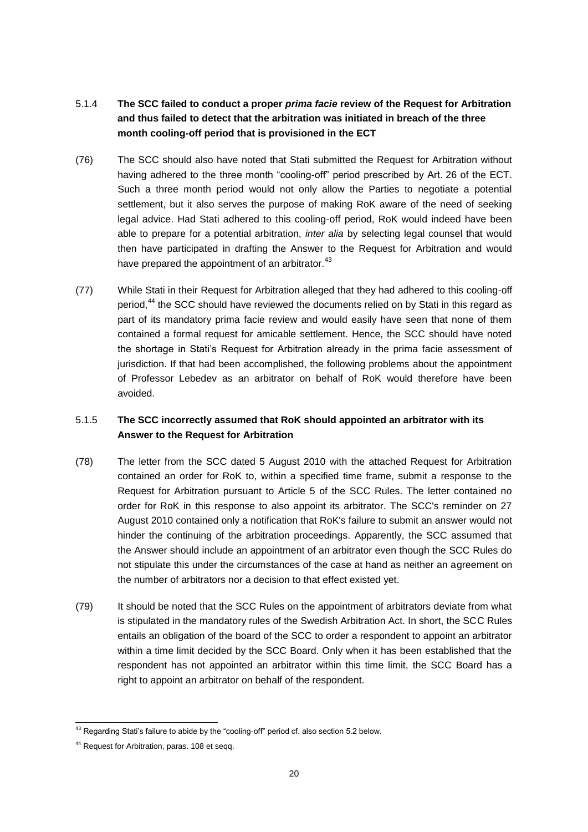# 5.1.4 **The SCC failed to conduct a proper** *prima facie* **review of the Request for Arbitration and thus failed to detect that the arbitration was initiated in breach of the three month cooling-off period that is provisioned in the ECT**

- (76) The SCC should also have noted that Stati submitted the Request for Arbitration without having adhered to the three month "cooling-off" period prescribed by Art. 26 of the ECT. Such a three month period would not only allow the Parties to negotiate a potential settlement, but it also serves the purpose of making RoK aware of the need of seeking legal advice. Had Stati adhered to this cooling-off period, RoK would indeed have been able to prepare for a potential arbitration, *inter alia* by selecting legal counsel that would then have participated in drafting the Answer to the Request for Arbitration and would have prepared the appointment of an arbitrator.<sup>43</sup>
- (77) While Stati in their Request for Arbitration alleged that they had adhered to this cooling-off period,<sup>44</sup> the SCC should have reviewed the documents relied on by Stati in this regard as part of its mandatory prima facie review and would easily have seen that none of them contained a formal request for amicable settlement. Hence, the SCC should have noted the shortage in Stati's Request for Arbitration already in the prima facie assessment of jurisdiction. If that had been accomplished, the following problems about the appointment of Professor Lebedev as an arbitrator on behalf of RoK would therefore have been avoided.

# 5.1.5 **The SCC incorrectly assumed that RoK should appointed an arbitrator with its Answer to the Request for Arbitration**

- (78) The letter from the SCC dated 5 August 2010 with the attached Request for Arbitration contained an order for RoK to, within a specified time frame, submit a response to the Request for Arbitration pursuant to Article 5 of the SCC Rules. The letter contained no order for RoK in this response to also appoint its arbitrator. The SCC's reminder on 27 August 2010 contained only a notification that RoK's failure to submit an answer would not hinder the continuing of the arbitration proceedings. Apparently, the SCC assumed that the Answer should include an appointment of an arbitrator even though the SCC Rules do not stipulate this under the circumstances of the case at hand as neither an agreement on the number of arbitrators nor a decision to that effect existed yet.
- (79) It should be noted that the SCC Rules on the appointment of arbitrators deviate from what is stipulated in the mandatory rules of the Swedish Arbitration Act. In short, the SCC Rules entails an obligation of the board of the SCC to order a respondent to appoint an arbitrator within a time limit decided by the SCC Board. Only when it has been established that the respondent has not appointed an arbitrator within this time limit, the SCC Board has a right to appoint an arbitrator on behalf of the respondent.

<sup>&</sup>lt;sup>43</sup> Regarding Stati's failure to abide by the "cooling-off" period cf. also section 5.2 below.

<sup>44</sup> Request for Arbitration, paras. 108 et seqq.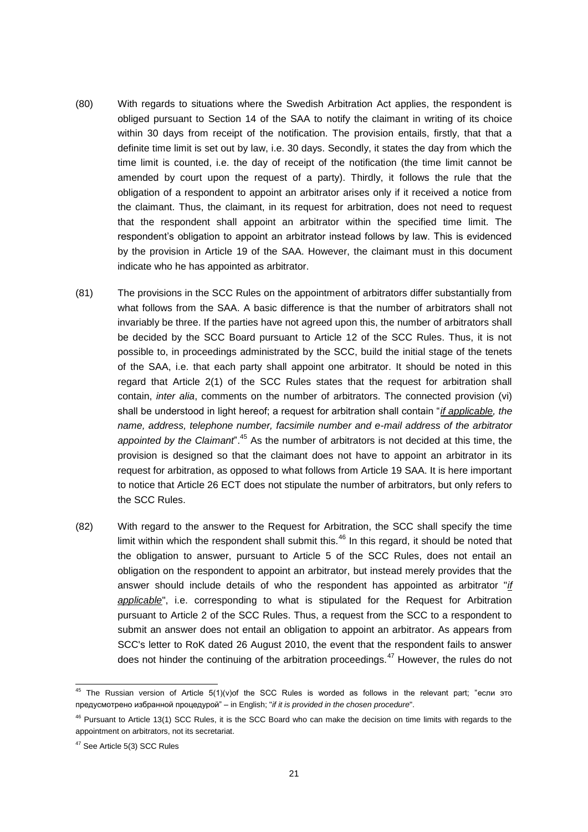- (80) With regards to situations where the Swedish Arbitration Act applies, the respondent is obliged pursuant to Section 14 of the SAA to notify the claimant in writing of its choice within 30 days from receipt of the notification. The provision entails, firstly, that that a definite time limit is set out by law, i.e. 30 days. Secondly, it states the day from which the time limit is counted, i.e. the day of receipt of the notification (the time limit cannot be amended by court upon the request of a party). Thirdly, it follows the rule that the obligation of a respondent to appoint an arbitrator arises only if it received a notice from the claimant. Thus, the claimant, in its request for arbitration, does not need to request that the respondent shall appoint an arbitrator within the specified time limit. The respondent's obligation to appoint an arbitrator instead follows by law. This is evidenced by the provision in Article 19 of the SAA. However, the claimant must in this document indicate who he has appointed as arbitrator.
- (81) The provisions in the SCC Rules on the appointment of arbitrators differ substantially from what follows from the SAA. A basic difference is that the number of arbitrators shall not invariably be three. If the parties have not agreed upon this, the number of arbitrators shall be decided by the SCC Board pursuant to Article 12 of the SCC Rules. Thus, it is not possible to, in proceedings administrated by the SCC, build the initial stage of the tenets of the SAA, i.e. that each party shall appoint one arbitrator. It should be noted in this regard that Article 2(1) of the SCC Rules states that the request for arbitration shall contain, *inter alia*, comments on the number of arbitrators. The connected provision (vi) shall be understood in light hereof; a request for arbitration shall contain "*if applicable, the name, address, telephone number, facsimile number and e-mail address of the arbitrator appointed by the Claimant*".<sup>45</sup> As the number of arbitrators is not decided at this time, the provision is designed so that the claimant does not have to appoint an arbitrator in its request for arbitration, as opposed to what follows from Article 19 SAA. It is here important to notice that Article 26 ECT does not stipulate the number of arbitrators, but only refers to the SCC Rules.
- (82) With regard to the answer to the Request for Arbitration, the SCC shall specify the time limit within which the respondent shall submit this. $46$  In this regard, it should be noted that the obligation to answer, pursuant to Article 5 of the SCC Rules, does not entail an obligation on the respondent to appoint an arbitrator, but instead merely provides that the answer should include details of who the respondent has appointed as arbitrator "*if applicable*", i.e. corresponding to what is stipulated for the Request for Arbitration pursuant to Article 2 of the SCC Rules. Thus, a request from the SCC to a respondent to submit an answer does not entail an obligation to appoint an arbitrator. As appears from SCC's letter to RoK dated 26 August 2010, the event that the respondent fails to answer does not hinder the continuing of the arbitration proceedings.<sup>47</sup> However, the rules do not

<sup>45</sup> The Russian version of Article 5(1)(v)of the SCC Rules is worded as follows in the relevant part; "если это предусмотрено избранной процедурой" – in English; "*if it is provided in the chosen procedure*".

 $46$  Pursuant to Article 13(1) SCC Rules, it is the SCC Board who can make the decision on time limits with regards to the appointment on arbitrators, not its secretariat.

<sup>47</sup> See Article 5(3) SCC Rules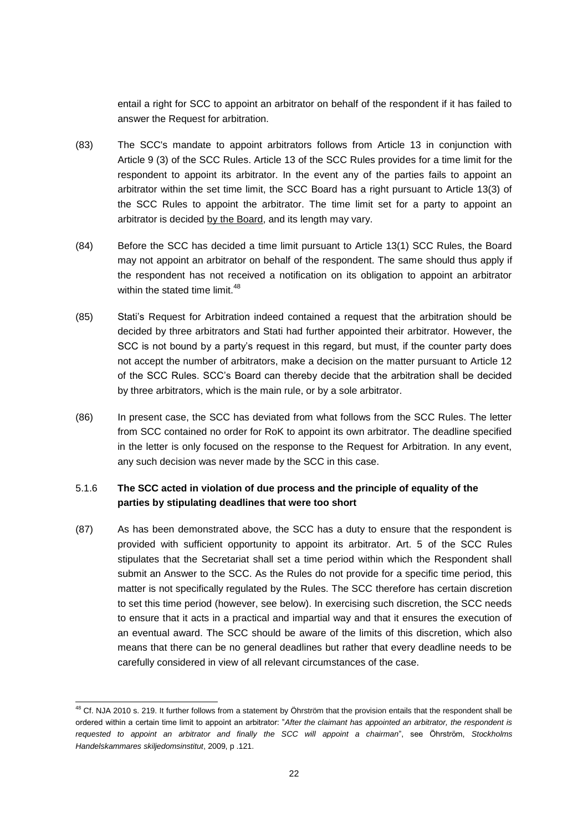entail a right for SCC to appoint an arbitrator on behalf of the respondent if it has failed to answer the Request for arbitration.

- (83) The SCC's mandate to appoint arbitrators follows from Article 13 in conjunction with Article 9 (3) of the SCC Rules. Article 13 of the SCC Rules provides for a time limit for the respondent to appoint its arbitrator. In the event any of the parties fails to appoint an arbitrator within the set time limit, the SCC Board has a right pursuant to Article 13(3) of the SCC Rules to appoint the arbitrator. The time limit set for a party to appoint an arbitrator is decided by the Board, and its length may vary.
- (84) Before the SCC has decided a time limit pursuant to Article 13(1) SCC Rules, the Board may not appoint an arbitrator on behalf of the respondent. The same should thus apply if the respondent has not received a notification on its obligation to appoint an arbitrator within the stated time limit.<sup>48</sup>
- (85) Stati's Request for Arbitration indeed contained a request that the arbitration should be decided by three arbitrators and Stati had further appointed their arbitrator. However, the SCC is not bound by a party's request in this regard, but must, if the counter party does not accept the number of arbitrators, make a decision on the matter pursuant to Article 12 of the SCC Rules. SCC's Board can thereby decide that the arbitration shall be decided by three arbitrators, which is the main rule, or by a sole arbitrator.
- (86) In present case, the SCC has deviated from what follows from the SCC Rules. The letter from SCC contained no order for RoK to appoint its own arbitrator. The deadline specified in the letter is only focused on the response to the Request for Arbitration. In any event, any such decision was never made by the SCC in this case.

# 5.1.6 **The SCC acted in violation of due process and the principle of equality of the parties by stipulating deadlines that were too short**

(87) As has been demonstrated above, the SCC has a duty to ensure that the respondent is provided with sufficient opportunity to appoint its arbitrator. Art. 5 of the SCC Rules stipulates that the Secretariat shall set a time period within which the Respondent shall submit an Answer to the SCC. As the Rules do not provide for a specific time period, this matter is not specifically regulated by the Rules. The SCC therefore has certain discretion to set this time period (however, see below). In exercising such discretion, the SCC needs to ensure that it acts in a practical and impartial way and that it ensures the execution of an eventual award. The SCC should be aware of the limits of this discretion, which also means that there can be no general deadlines but rather that every deadline needs to be carefully considered in view of all relevant circumstances of the case.

<sup>&</sup>lt;sup>48</sup> Cf. NJA 2010 s. 219. It further follows from a statement by Öhrström that the provision entails that the respondent shall be ordered within a certain time limit to appoint an arbitrator: "*After the claimant has appointed an arbitrator, the respondent is requested to appoint an arbitrator and finally the SCC will appoint a chairman*", see Öhrström, *Stockholms Handelskammares skiljedomsinstitut*, 2009, p .121.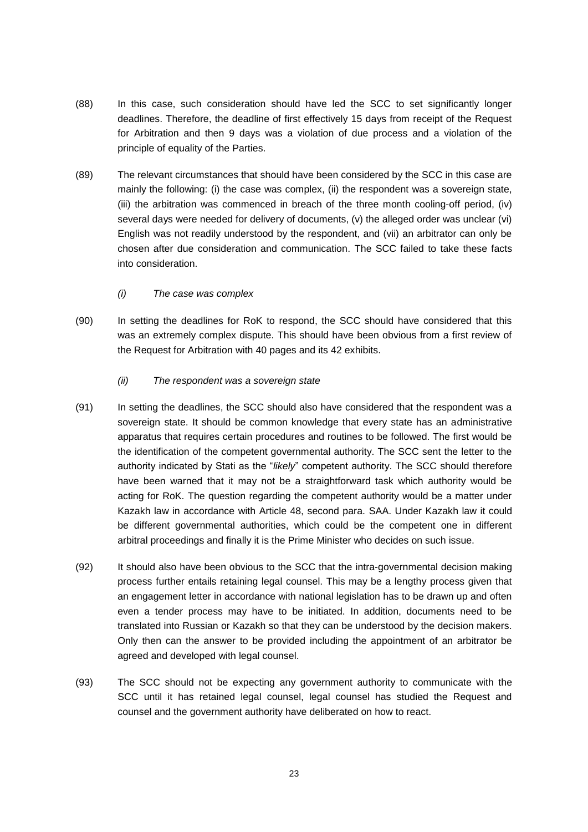- (88) In this case, such consideration should have led the SCC to set significantly longer deadlines. Therefore, the deadline of first effectively 15 days from receipt of the Request for Arbitration and then 9 days was a violation of due process and a violation of the principle of equality of the Parties.
- (89) The relevant circumstances that should have been considered by the SCC in this case are mainly the following: (i) the case was complex, (ii) the respondent was a sovereign state, (iii) the arbitration was commenced in breach of the three month cooling-off period, (iv) several days were needed for delivery of documents, (v) the alleged order was unclear (vi) English was not readily understood by the respondent, and (vii) an arbitrator can only be chosen after due consideration and communication. The SCC failed to take these facts into consideration.
	- *(i) The case was complex*
- (90) In setting the deadlines for RoK to respond, the SCC should have considered that this was an extremely complex dispute. This should have been obvious from a first review of the Request for Arbitration with 40 pages and its 42 exhibits.
	- *(ii) The respondent was a sovereign state*
- (91) In setting the deadlines, the SCC should also have considered that the respondent was a sovereign state. It should be common knowledge that every state has an administrative apparatus that requires certain procedures and routines to be followed. The first would be the identification of the competent governmental authority. The SCC sent the letter to the authority indicated by Stati as the "*likely*" competent authority. The SCC should therefore have been warned that it may not be a straightforward task which authority would be acting for RoK. The question regarding the competent authority would be a matter under Kazakh law in accordance with Article 48, second para. SAA. Under Kazakh law it could be different governmental authorities, which could be the competent one in different arbitral proceedings and finally it is the Prime Minister who decides on such issue.
- (92) It should also have been obvious to the SCC that the intra-governmental decision making process further entails retaining legal counsel. This may be a lengthy process given that an engagement letter in accordance with national legislation has to be drawn up and often even a tender process may have to be initiated. In addition, documents need to be translated into Russian or Kazakh so that they can be understood by the decision makers. Only then can the answer to be provided including the appointment of an arbitrator be agreed and developed with legal counsel.
- (93) The SCC should not be expecting any government authority to communicate with the SCC until it has retained legal counsel, legal counsel has studied the Request and counsel and the government authority have deliberated on how to react.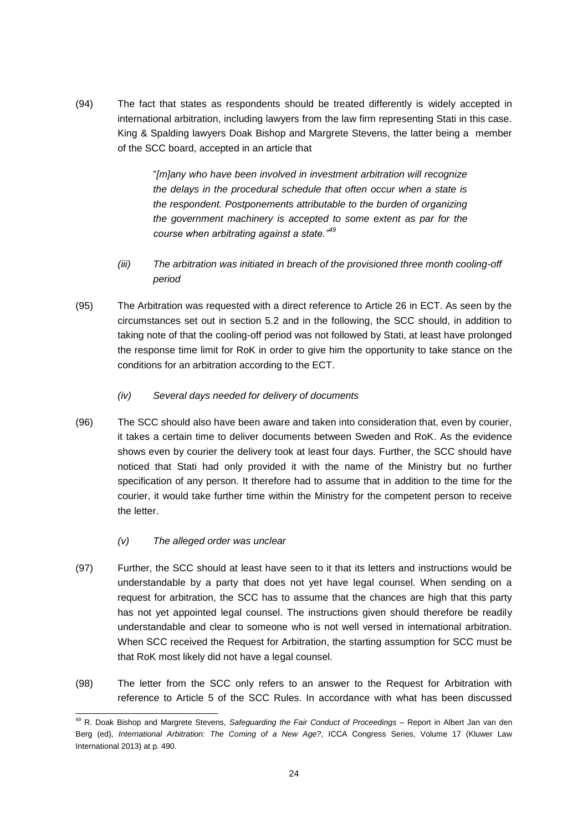(94) The fact that states as respondents should be treated differently is widely accepted in international arbitration, including lawyers from the law firm representing Stati in this case. King & Spalding lawyers Doak Bishop and Margrete Stevens, the latter being a member of the SCC board, accepted in an article that

> "*[m]any who have been involved in investment arbitration will recognize the delays in the procedural schedule that often occur when a state is the respondent. Postponements attributable to the burden of organizing the government machinery is accepted to some extent as par for the course when arbitrating against a state."<sup>49</sup>*

- *(iii) The arbitration was initiated in breach of the provisioned three month cooling-off period*
- (95) The Arbitration was requested with a direct reference to Article 26 in ECT. As seen by the circumstances set out in section 5.2 and in the following, the SCC should, in addition to taking note of that the cooling-off period was not followed by Stati, at least have prolonged the response time limit for RoK in order to give him the opportunity to take stance on the conditions for an arbitration according to the ECT.
	- *(iv) Several days needed for delivery of documents*
- (96) The SCC should also have been aware and taken into consideration that, even by courier, it takes a certain time to deliver documents between Sweden and RoK. As the evidence shows even by courier the delivery took at least four days. Further, the SCC should have noticed that Stati had only provided it with the name of the Ministry but no further specification of any person. It therefore had to assume that in addition to the time for the courier, it would take further time within the Ministry for the competent person to receive the letter.
	- *(v) The alleged order was unclear*
- (97) Further, the SCC should at least have seen to it that its letters and instructions would be understandable by a party that does not yet have legal counsel. When sending on a request for arbitration, the SCC has to assume that the chances are high that this party has not yet appointed legal counsel. The instructions given should therefore be readily understandable and clear to someone who is not well versed in international arbitration. When SCC received the Request for Arbitration, the starting assumption for SCC must be that RoK most likely did not have a legal counsel.
- (98) The letter from the SCC only refers to an answer to the Request for Arbitration with reference to Article 5 of the SCC Rules. In accordance with what has been discussed

<sup>49</sup> R. Doak Bishop and Margrete Stevens, *Safeguarding the Fair Conduct of Proceedings* – Report in Albert Jan van den Berg (ed), *International Arbitration: The Coming of a New Age?*, ICCA Congress Series, Volume 17 (Kluwer Law International 2013) at p. 490.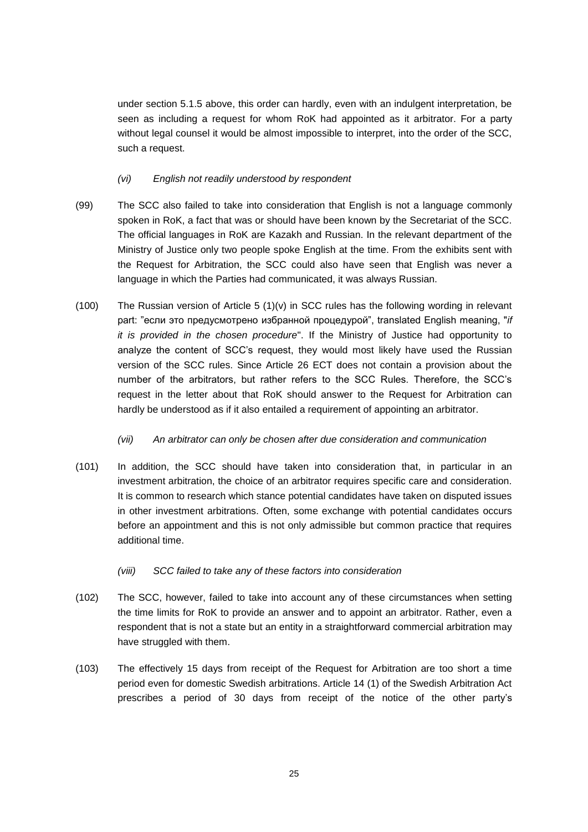under section 5.1.5 above, this order can hardly, even with an indulgent interpretation, be seen as including a request for whom RoK had appointed as it arbitrator. For a party without legal counsel it would be almost impossible to interpret, into the order of the SCC, such a request.

## *(vi) English not readily understood by respondent*

- (99) The SCC also failed to take into consideration that English is not a language commonly spoken in RoK, a fact that was or should have been known by the Secretariat of the SCC. The official languages in RoK are Kazakh and Russian. In the relevant department of the Ministry of Justice only two people spoke English at the time. From the exhibits sent with the Request for Arbitration, the SCC could also have seen that English was never a language in which the Parties had communicated, it was always Russian.
- (100) The Russian version of Article 5 (1)(v) in SCC rules has the following wording in relevant part: "если это предусмотрено избранной процедурой", translated English meaning, "*if it is provided in the chosen procedure*". If the Ministry of Justice had opportunity to analyze the content of SCC's request, they would most likely have used the Russian version of the SCC rules. Since Article 26 ECT does not contain a provision about the number of the arbitrators, but rather refers to the SCC Rules. Therefore, the SCC's request in the letter about that RoK should answer to the Request for Arbitration can hardly be understood as if it also entailed a requirement of appointing an arbitrator.

#### *(vii) An arbitrator can only be chosen after due consideration and communication*

- (101) In addition, the SCC should have taken into consideration that, in particular in an investment arbitration, the choice of an arbitrator requires specific care and consideration. It is common to research which stance potential candidates have taken on disputed issues in other investment arbitrations. Often, some exchange with potential candidates occurs before an appointment and this is not only admissible but common practice that requires additional time.
	- *(viii) SCC failed to take any of these factors into consideration*
- (102) The SCC, however, failed to take into account any of these circumstances when setting the time limits for RoK to provide an answer and to appoint an arbitrator. Rather, even a respondent that is not a state but an entity in a straightforward commercial arbitration may have struggled with them.
- (103) The effectively 15 days from receipt of the Request for Arbitration are too short a time period even for domestic Swedish arbitrations. Article 14 (1) of the Swedish Arbitration Act prescribes a period of 30 days from receipt of the notice of the other party's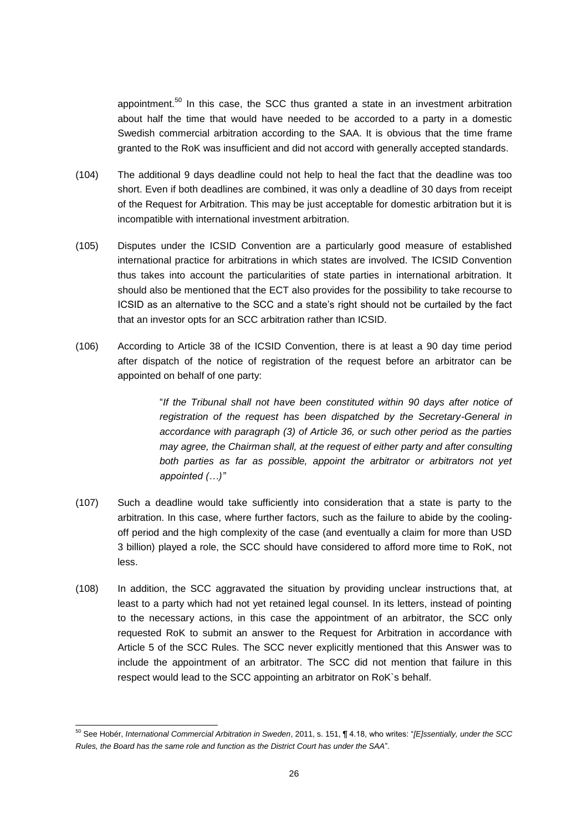appointment.<sup>50</sup> In this case, the SCC thus granted a state in an investment arbitration about half the time that would have needed to be accorded to a party in a domestic Swedish commercial arbitration according to the SAA. It is obvious that the time frame granted to the RoK was insufficient and did not accord with generally accepted standards.

- (104) The additional 9 days deadline could not help to heal the fact that the deadline was too short. Even if both deadlines are combined, it was only a deadline of 30 days from receipt of the Request for Arbitration. This may be just acceptable for domestic arbitration but it is incompatible with international investment arbitration.
- (105) Disputes under the ICSID Convention are a particularly good measure of established international practice for arbitrations in which states are involved. The ICSID Convention thus takes into account the particularities of state parties in international arbitration. It should also be mentioned that the ECT also provides for the possibility to take recourse to ICSID as an alternative to the SCC and a state's right should not be curtailed by the fact that an investor opts for an SCC arbitration rather than ICSID.
- (106) According to Article 38 of the ICSID Convention, there is at least a 90 day time period after dispatch of the notice of registration of the request before an arbitrator can be appointed on behalf of one party:

"*If the Tribunal shall not have been constituted within 90 days after notice of registration of the request has been dispatched by the Secretary-General in accordance with paragraph (3) of Article 36, or such other period as the parties may agree, the Chairman shall, at the request of either party and after consulting both parties as far as possible, appoint the arbitrator or arbitrators not yet appointed (…)"*

- (107) Such a deadline would take sufficiently into consideration that a state is party to the arbitration. In this case, where further factors, such as the failure to abide by the coolingoff period and the high complexity of the case (and eventually a claim for more than USD 3 billion) played a role, the SCC should have considered to afford more time to RoK, not less.
- (108) In addition, the SCC aggravated the situation by providing unclear instructions that, at least to a party which had not yet retained legal counsel. In its letters, instead of pointing to the necessary actions, in this case the appointment of an arbitrator, the SCC only requested RoK to submit an answer to the Request for Arbitration in accordance with Article 5 of the SCC Rules. The SCC never explicitly mentioned that this Answer was to include the appointment of an arbitrator. The SCC did not mention that failure in this respect would lead to the SCC appointing an arbitrator on RoK`s behalf.

<sup>50</sup> See Hobér, *International Commercial Arbitration in Sweden*, 2011, s. 151, ¶ 4.18, who writes: "*[E]ssentially, under the SCC Rules, the Board has the same role and function as the District Court has under the SAA*".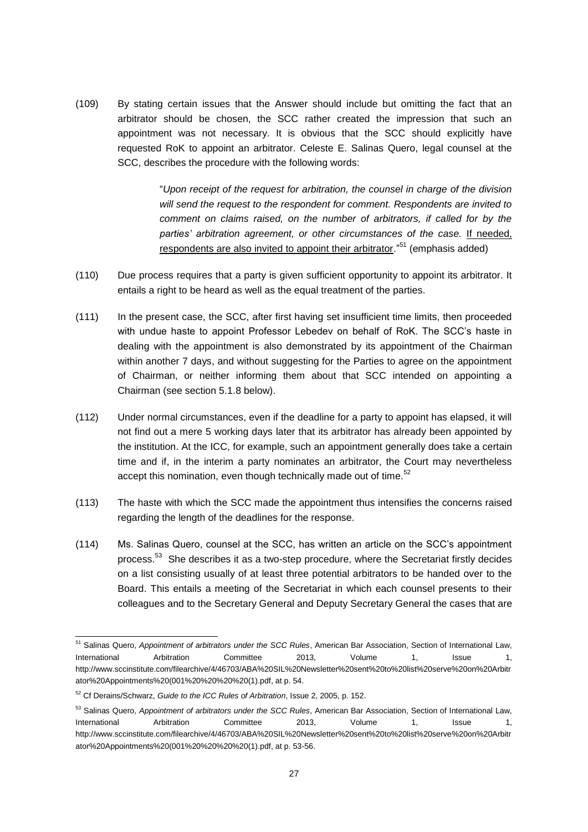(109) By stating certain issues that the Answer should include but omitting the fact that an arbitrator should be chosen, the SCC rather created the impression that such an appointment was not necessary. It is obvious that the SCC should explicitly have requested RoK to appoint an arbitrator. Celeste E. Salinas Quero, legal counsel at the SCC, describes the procedure with the following words:

> "*Upon receipt of the request for arbitration, the counsel in charge of the division will send the request to the respondent for comment. Respondents are invited to comment on claims raised, on the number of arbitrators, if called for by the parties' arbitration agreement, or other circumstances of the case.* If needed, respondents are also invited to appoint their arbitrator."<sup>51</sup> (emphasis added)

- (110) Due process requires that a party is given sufficient opportunity to appoint its arbitrator. It entails a right to be heard as well as the equal treatment of the parties.
- (111) In the present case, the SCC, after first having set insufficient time limits, then proceeded with undue haste to appoint Professor Lebedev on behalf of RoK. The SCC's haste in dealing with the appointment is also demonstrated by its appointment of the Chairman within another 7 days, and without suggesting for the Parties to agree on the appointment of Chairman, or neither informing them about that SCC intended on appointing a Chairman (see section 5.1.8 below).
- (112) Under normal circumstances, even if the deadline for a party to appoint has elapsed, it will not find out a mere 5 working days later that its arbitrator has already been appointed by the institution. At the ICC, for example, such an appointment generally does take a certain time and if, in the interim a party nominates an arbitrator, the Court may nevertheless accept this nomination, even though technically made out of time.<sup>52</sup>
- (113) The haste with which the SCC made the appointment thus intensifies the concerns raised regarding the length of the deadlines for the response.
- (114) Ms. Salinas Quero, counsel at the SCC, has written an article on the SCC's appointment process.<sup>53</sup> She describes it as a two-step procedure, where the Secretariat firstly decides on a list consisting usually of at least three potential arbitrators to be handed over to the Board. This entails a meeting of the Secretariat in which each counsel presents to their colleagues and to the Secretary General and Deputy Secretary General the cases that are

<sup>51</sup> Salinas Quero, *Appointment of arbitrators under the SCC Rules*, American Bar Association, Section of International Law, International Arbitration Committee 2013, Volume 1, Issue 1, http://www.sccinstitute.com/filearchive/4/46703/ABA%20SIL%20Newsletter%20sent%20to%20list%20serve%20on%20Arbitr ator%20Appointments%20(001%20%20%20%20(1).pdf, at p. 54.

<sup>52</sup> Cf Derains/Schwarz, *Guide to the ICC Rules of Arbitration*, Issue 2, 2005, p. 152.

<sup>53</sup> Salinas Quero, *Appointment of arbitrators under the SCC Rules*, American Bar Association, Section of International Law, International Arbitration Committee 2013, Volume 1, Issue 1, http://www.sccinstitute.com/filearchive/4/46703/ABA%20SIL%20Newsletter%20sent%20to%20list%20serve%20on%20Arbitr ator%20Appointments%20(001%20%20%20%20(1).pdf, at p. 53-56.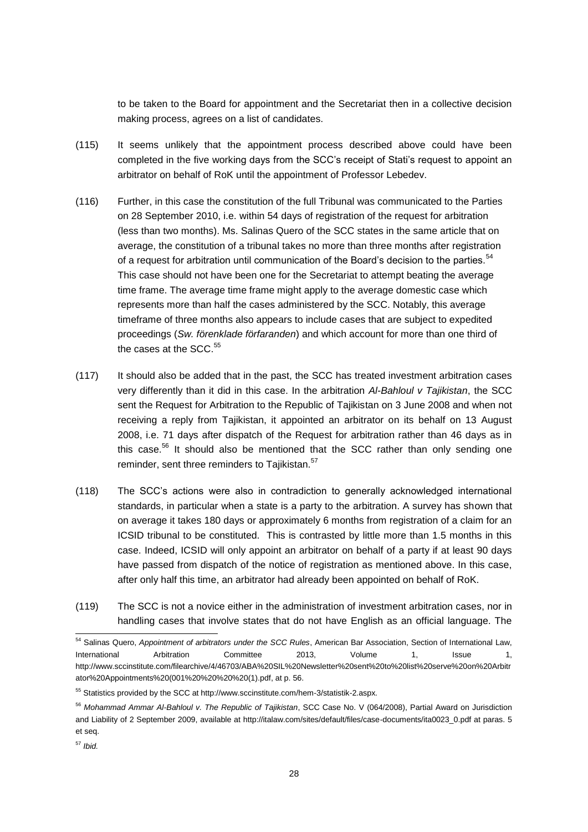to be taken to the Board for appointment and the Secretariat then in a collective decision making process, agrees on a list of candidates.

- (115) It seems unlikely that the appointment process described above could have been completed in the five working days from the SCC's receipt of Stati's request to appoint an arbitrator on behalf of RoK until the appointment of Professor Lebedev.
- (116) Further, in this case the constitution of the full Tribunal was communicated to the Parties on 28 September 2010, i.e. within 54 days of registration of the request for arbitration (less than two months). Ms. Salinas Quero of the SCC states in the same article that on average, the constitution of a tribunal takes no more than three months after registration of a request for arbitration until communication of the Board's decision to the parties.<sup>54</sup> This case should not have been one for the Secretariat to attempt beating the average time frame. The average time frame might apply to the average domestic case which represents more than half the cases administered by the SCC. Notably, this average timeframe of three months also appears to include cases that are subject to expedited proceedings (*Sw. förenklade förfaranden*) and which account for more than one third of the cases at the SCC.<sup>55</sup>
- (117) It should also be added that in the past, the SCC has treated investment arbitration cases very differently than it did in this case. In the arbitration *Al-Bahloul v Tajikistan*, the SCC sent the Request for Arbitration to the Republic of Tajikistan on 3 June 2008 and when not receiving a reply from Tajikistan, it appointed an arbitrator on its behalf on 13 August 2008, i.e. 71 days after dispatch of the Request for arbitration rather than 46 days as in this case.<sup>56</sup> It should also be mentioned that the SCC rather than only sending one reminder, sent three reminders to Tajikistan.<sup>57</sup>
- (118) The SCC's actions were also in contradiction to generally acknowledged international standards, in particular when a state is a party to the arbitration. A survey has shown that on average it takes 180 days or approximately 6 months from registration of a claim for an ICSID tribunal to be constituted. This is contrasted by little more than 1.5 months in this case. Indeed, ICSID will only appoint an arbitrator on behalf of a party if at least 90 days have passed from dispatch of the notice of registration as mentioned above. In this case, after only half this time, an arbitrator had already been appointed on behalf of RoK.
- (119) The SCC is not a novice either in the administration of investment arbitration cases, nor in handling cases that involve states that do not have English as an official language. The

<sup>54</sup> Salinas Quero, *Appointment of arbitrators under the SCC Rules*, American Bar Association, Section of International Law, International Arbitration Committee 2013, Volume 1, Issue 1, http://www.sccinstitute.com/filearchive/4/46703/ABA%20SIL%20Newsletter%20sent%20to%20list%20serve%20on%20Arbitr ator%20Appointments%20(001%20%20%20%20(1).pdf, at p. 56.

<sup>55</sup> Statistics provided by the SCC at http://www.sccinstitute.com/hem-3/statistik-2.aspx.

<sup>56</sup> *Mohammad Ammar Al-Bahloul v. The Republic of Tajikistan*, SCC Case No. V (064/2008), Partial Award on Jurisdiction and Liability of 2 September 2009, available at http://italaw.com/sites/default/files/case-documents/ita0023\_0.pdf at paras. 5 et seq.

<sup>57</sup> *Ibid.*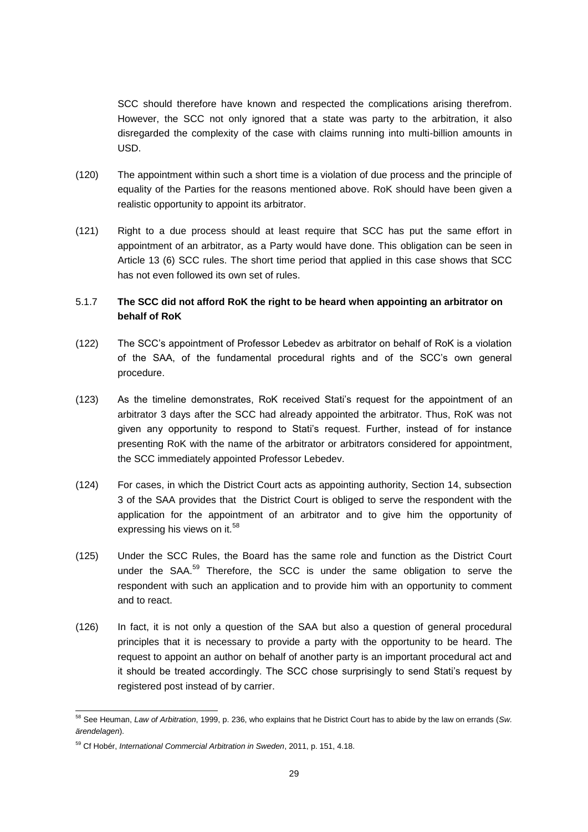SCC should therefore have known and respected the complications arising therefrom. However, the SCC not only ignored that a state was party to the arbitration, it also disregarded the complexity of the case with claims running into multi-billion amounts in USD.

- (120) The appointment within such a short time is a violation of due process and the principle of equality of the Parties for the reasons mentioned above. RoK should have been given a realistic opportunity to appoint its arbitrator.
- (121) Right to a due process should at least require that SCC has put the same effort in appointment of an arbitrator, as a Party would have done. This obligation can be seen in Article 13 (6) SCC rules. The short time period that applied in this case shows that SCC has not even followed its own set of rules.

# 5.1.7 **The SCC did not afford RoK the right to be heard when appointing an arbitrator on behalf of RoK**

- (122) The SCC's appointment of Professor Lebedev as arbitrator on behalf of RoK is a violation of the SAA, of the fundamental procedural rights and of the SCC's own general procedure.
- (123) As the timeline demonstrates, RoK received Stati's request for the appointment of an arbitrator 3 days after the SCC had already appointed the arbitrator. Thus, RoK was not given any opportunity to respond to Stati's request. Further, instead of for instance presenting RoK with the name of the arbitrator or arbitrators considered for appointment, the SCC immediately appointed Professor Lebedev.
- (124) For cases, in which the District Court acts as appointing authority, Section 14, subsection 3 of the SAA provides that the District Court is obliged to serve the respondent with the application for the appointment of an arbitrator and to give him the opportunity of expressing his views on it.<sup>58</sup>
- (125) Under the SCC Rules, the Board has the same role and function as the District Court under the SAA.<sup>59</sup> Therefore, the SCC is under the same obligation to serve the respondent with such an application and to provide him with an opportunity to comment and to react.
- (126) In fact, it is not only a question of the SAA but also a question of general procedural principles that it is necessary to provide a party with the opportunity to be heard. The request to appoint an author on behalf of another party is an important procedural act and it should be treated accordingly. The SCC chose surprisingly to send Stati's request by registered post instead of by carrier.

<sup>58</sup> See Heuman, *Law of Arbitration*, 1999, p. 236, who explains that he District Court has to abide by the law on errands (*Sw. ärendelagen*).

<sup>59</sup> Cf Hobér, *International Commercial Arbitration in Sweden*, 2011, p. 151, 4.18.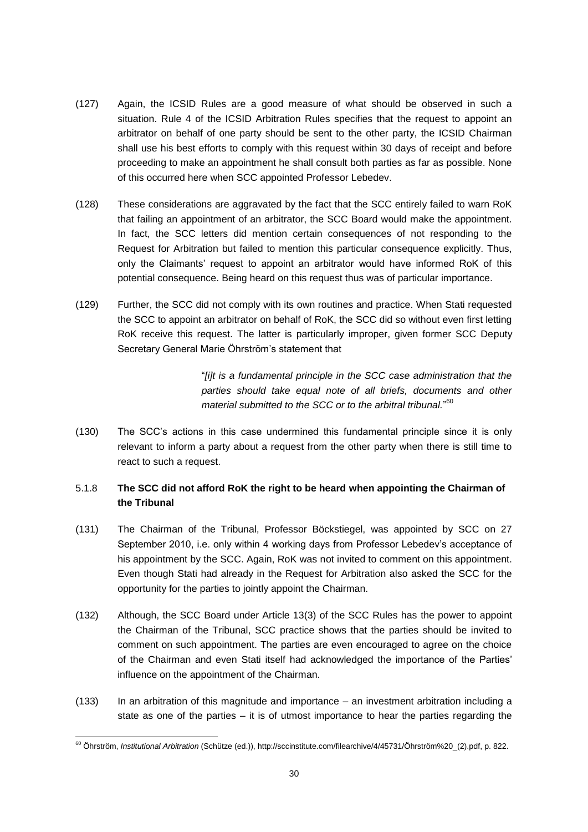- (127) Again, the ICSID Rules are a good measure of what should be observed in such a situation. Rule 4 of the ICSID Arbitration Rules specifies that the request to appoint an arbitrator on behalf of one party should be sent to the other party, the ICSID Chairman shall use his best efforts to comply with this request within 30 days of receipt and before proceeding to make an appointment he shall consult both parties as far as possible. None of this occurred here when SCC appointed Professor Lebedev.
- (128) These considerations are aggravated by the fact that the SCC entirely failed to warn RoK that failing an appointment of an arbitrator, the SCC Board would make the appointment. In fact, the SCC letters did mention certain consequences of not responding to the Request for Arbitration but failed to mention this particular consequence explicitly. Thus, only the Claimants' request to appoint an arbitrator would have informed RoK of this potential consequence. Being heard on this request thus was of particular importance.
- (129) Further, the SCC did not comply with its own routines and practice. When Stati requested the SCC to appoint an arbitrator on behalf of RoK, the SCC did so without even first letting RoK receive this request. The latter is particularly improper, given former SCC Deputy Secretary General Marie Öhrström's statement that

"*[i]t is a fundamental principle in the SCC case administration that the parties should take equal note of all briefs, documents and other material submitted to the SCC or to the arbitral tribunal.*" 60

(130) The SCC's actions in this case undermined this fundamental principle since it is only relevant to inform a party about a request from the other party when there is still time to react to such a request.

# 5.1.8 **The SCC did not afford RoK the right to be heard when appointing the Chairman of the Tribunal**

- (131) The Chairman of the Tribunal, Professor Böckstiegel, was appointed by SCC on 27 September 2010, i.e. only within 4 working days from Professor Lebedev's acceptance of his appointment by the SCC. Again, RoK was not invited to comment on this appointment. Even though Stati had already in the Request for Arbitration also asked the SCC for the opportunity for the parties to jointly appoint the Chairman.
- (132) Although, the SCC Board under Article 13(3) of the SCC Rules has the power to appoint the Chairman of the Tribunal, SCC practice shows that the parties should be invited to comment on such appointment. The parties are even encouraged to agree on the choice of the Chairman and even Stati itself had acknowledged the importance of the Parties' influence on the appointment of the Chairman.
- (133) In an arbitration of this magnitude and importance an investment arbitration including a state as one of the parties – it is of utmost importance to hear the parties regarding the

<sup>60</sup> Öhrström, *Institutional Arbitration* (Schütze (ed.)), http://sccinstitute.com/filearchive/4/45731/Öhrström%20\_(2).pdf, p. 822.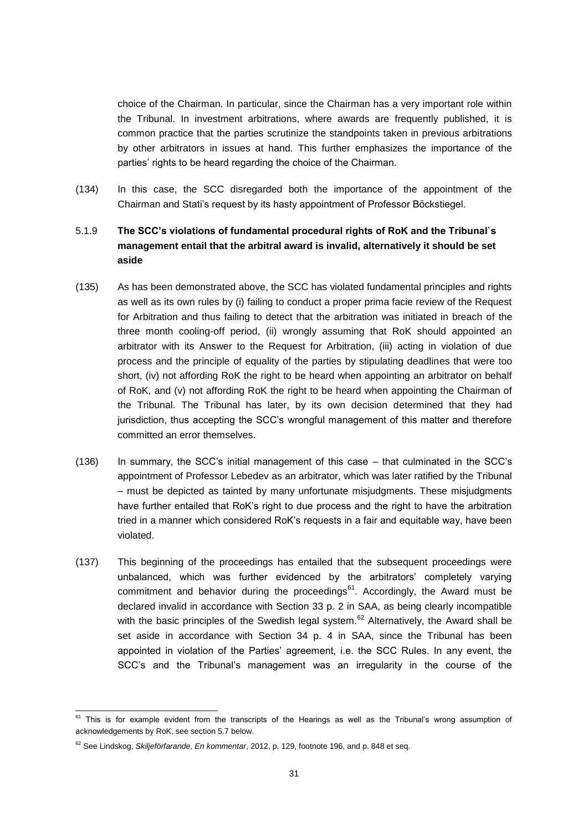choice of the Chairman. In particular, since the Chairman has a very important role within the Tribunal. In investment arbitrations, where awards are frequently published, it is common practice that the parties scrutinize the standpoints taken in previous arbitrations by other arbitrators in issues at hand. This further emphasizes the importance of the parties' rights to be heard regarding the choice of the Chairman.

(134) In this case, the SCC disregarded both the importance of the appointment of the Chairman and Stati's request by its hasty appointment of Professor Böckstiegel.

# 5.1.9 **The SCC's violations of fundamental procedural rights of RoK and the Tribunal`s management entail that the arbitral award is invalid, alternatively it should be set aside**

- (135) As has been demonstrated above, the SCC has violated fundamental principles and rights as well as its own rules by (i) failing to conduct a proper prima facie review of the Request for Arbitration and thus failing to detect that the arbitration was initiated in breach of the three month cooling-off period, (ii) wrongly assuming that RoK should appointed an arbitrator with its Answer to the Request for Arbitration, (iii) acting in violation of due process and the principle of equality of the parties by stipulating deadlines that were too short, (iv) not affording RoK the right to be heard when appointing an arbitrator on behalf of RoK, and (v) not affording RoK the right to be heard when appointing the Chairman of the Tribunal. The Tribunal has later, by its own decision determined that they had jurisdiction, thus accepting the SCC's wrongful management of this matter and therefore committed an error themselves.
- (136) In summary, the SCC's initial management of this case that culminated in the SCC's appointment of Professor Lebedev as an arbitrator, which was later ratified by the Tribunal – must be depicted as tainted by many unfortunate misjudgments. These misjudgments have further entailed that RoK's right to due process and the right to have the arbitration tried in a manner which considered RoK's requests in a fair and equitable way, have been violated.
- (137) This beginning of the proceedings has entailed that the subsequent proceedings were unbalanced, which was further evidenced by the arbitrators' completely varying commitment and behavior during the proceedings<sup>61</sup>. Accordingly, the Award must be declared invalid in accordance with Section 33 p. 2 in SAA, as being clearly incompatible with the basic principles of the Swedish legal system.<sup>62</sup> Alternatively, the Award shall be set aside in accordance with Section 34 p. 4 in SAA, since the Tribunal has been appointed in violation of the Parties' agreement, i.e. the SCC Rules. In any event, the SCC's and the Tribunal's management was an irregularity in the course of the

<sup>&</sup>lt;sup>61</sup> This is for example evident from the transcripts of the Hearings as well as the Tribunal's wrong assumption of acknowledgements by RoK, see section 5.7 below.

<sup>62</sup> See Lindskog, *Skiljeförfarande, En kommentar*, 2012, p. 129, footnote 196, and p. 848 et seq.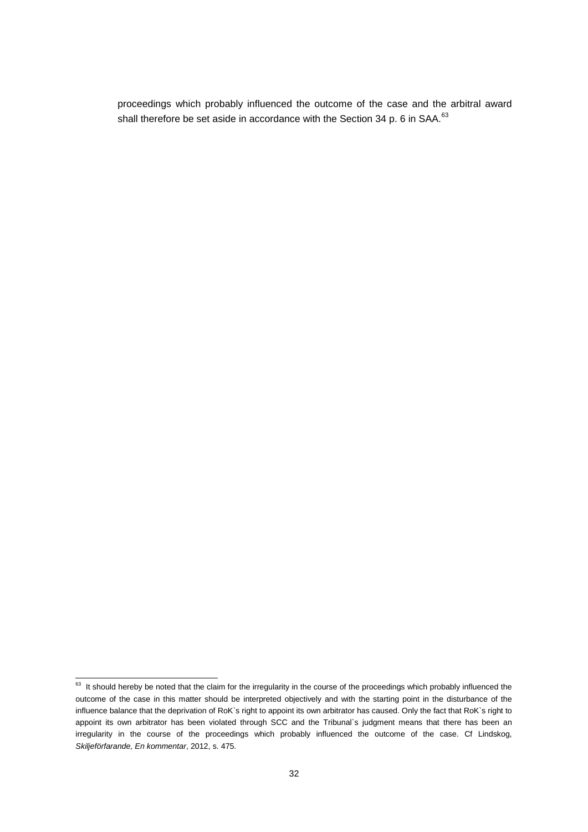proceedings which probably influenced the outcome of the case and the arbitral award shall therefore be set aside in accordance with the Section 34 p. 6 in SAA.<sup>63</sup>

<sup>&</sup>lt;sup>63</sup> It should hereby be noted that the claim for the irregularity in the course of the proceedings which probably influenced the outcome of the case in this matter should be interpreted objectively and with the starting point in the disturbance of the influence balance that the deprivation of RoK`s right to appoint its own arbitrator has caused. Only the fact that RoK`s right to appoint its own arbitrator has been violated through SCC and the Tribunal`s judgment means that there has been an irregularity in the course of the proceedings which probably influenced the outcome of the case. Cf Lindskog, *Skiljeförfarande, En kommentar*, 2012, s. 475.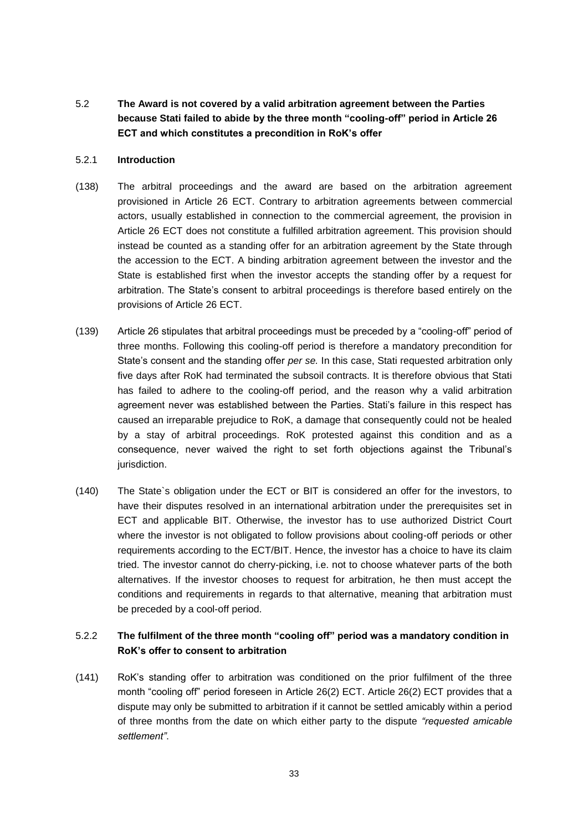<span id="page-32-0"></span>5.2 **The Award is not covered by a valid arbitration agreement between the Parties because Stati failed to abide by the three month "cooling-off" period in Article 26 ECT and which constitutes a precondition in RoK's offer** 

#### 5.2.1 **Introduction**

- (138) The arbitral proceedings and the award are based on the arbitration agreement provisioned in Article 26 ECT. Contrary to arbitration agreements between commercial actors, usually established in connection to the commercial agreement, the provision in Article 26 ECT does not constitute a fulfilled arbitration agreement. This provision should instead be counted as a standing offer for an arbitration agreement by the State through the accession to the ECT. A binding arbitration agreement between the investor and the State is established first when the investor accepts the standing offer by a request for arbitration. The State's consent to arbitral proceedings is therefore based entirely on the provisions of Article 26 ECT.
- (139) Article 26 stipulates that arbitral proceedings must be preceded by a "cooling-off" period of three months. Following this cooling-off period is therefore a mandatory precondition for State's consent and the standing offer *per se.* In this case, Stati requested arbitration only five days after RoK had terminated the subsoil contracts. It is therefore obvious that Stati has failed to adhere to the cooling-off period, and the reason why a valid arbitration agreement never was established between the Parties. Stati's failure in this respect has caused an irreparable prejudice to RoK, a damage that consequently could not be healed by a stay of arbitral proceedings. RoK protested against this condition and as a consequence, never waived the right to set forth objections against the Tribunal's jurisdiction.
- (140) The State`s obligation under the ECT or BIT is considered an offer for the investors, to have their disputes resolved in an international arbitration under the prerequisites set in ECT and applicable BIT. Otherwise, the investor has to use authorized District Court where the investor is not obligated to follow provisions about cooling-off periods or other requirements according to the ECT/BIT. Hence, the investor has a choice to have its claim tried. The investor cannot do cherry-picking, i.e. not to choose whatever parts of the both alternatives. If the investor chooses to request for arbitration, he then must accept the conditions and requirements in regards to that alternative, meaning that arbitration must be preceded by a cool-off period.

# 5.2.2 **The fulfilment of the three month "cooling off" period was a mandatory condition in RoK's offer to consent to arbitration**

(141) RoK's standing offer to arbitration was conditioned on the prior fulfilment of the three month "cooling off" period foreseen in Article 26(2) ECT. Article 26(2) ECT provides that a dispute may only be submitted to arbitration if it cannot be settled amicably within a period of three months from the date on which either party to the dispute *"requested amicable settlement"*.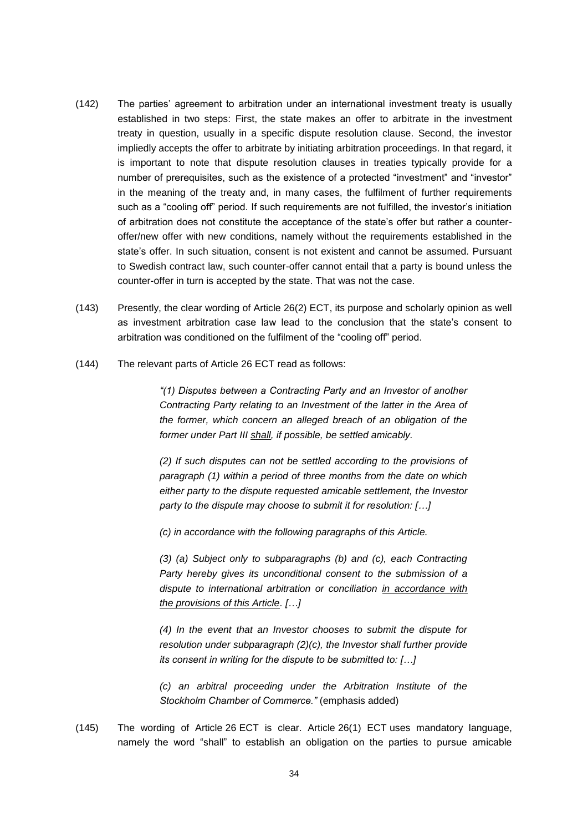- (142) The parties' agreement to arbitration under an international investment treaty is usually established in two steps: First, the state makes an offer to arbitrate in the investment treaty in question, usually in a specific dispute resolution clause. Second, the investor impliedly accepts the offer to arbitrate by initiating arbitration proceedings. In that regard, it is important to note that dispute resolution clauses in treaties typically provide for a number of prerequisites, such as the existence of a protected "investment" and "investor" in the meaning of the treaty and, in many cases, the fulfilment of further requirements such as a "cooling off" period. If such requirements are not fulfilled, the investor's initiation of arbitration does not constitute the acceptance of the state's offer but rather a counteroffer/new offer with new conditions, namely without the requirements established in the state's offer. In such situation, consent is not existent and cannot be assumed. Pursuant to Swedish contract law, such counter-offer cannot entail that a party is bound unless the counter-offer in turn is accepted by the state. That was not the case.
- (143) Presently, the clear wording of Article 26(2) ECT, its purpose and scholarly opinion as well as investment arbitration case law lead to the conclusion that the state's consent to arbitration was conditioned on the fulfilment of the "cooling off" period.
- (144) The relevant parts of Article 26 ECT read as follows:

*"(1) Disputes between a Contracting Party and an Investor of another Contracting Party relating to an Investment of the latter in the Area of the former, which concern an alleged breach of an obligation of the former under Part III shall, if possible, be settled amicably.* 

*(2) If such disputes can not be settled according to the provisions of paragraph (1) within a period of three months from the date on which either party to the dispute requested amicable settlement, the Investor party to the dispute may choose to submit it for resolution: […]*

*(c) in accordance with the following paragraphs of this Article.*

*(3) (a) Subject only to subparagraphs (b) and (c), each Contracting Party hereby gives its unconditional consent to the submission of a dispute to international arbitration or conciliation in accordance with the provisions of this Article. […]*

*(4) In the event that an Investor chooses to submit the dispute for resolution under subparagraph (2)(c), the Investor shall further provide its consent in writing for the dispute to be submitted to: […]*

*(c) an arbitral proceeding under the Arbitration Institute of the Stockholm Chamber of Commerce."* (emphasis added)

(145) The wording of Article 26 ECT is clear. Article 26(1) ECT uses mandatory language, namely the word "shall" to establish an obligation on the parties to pursue amicable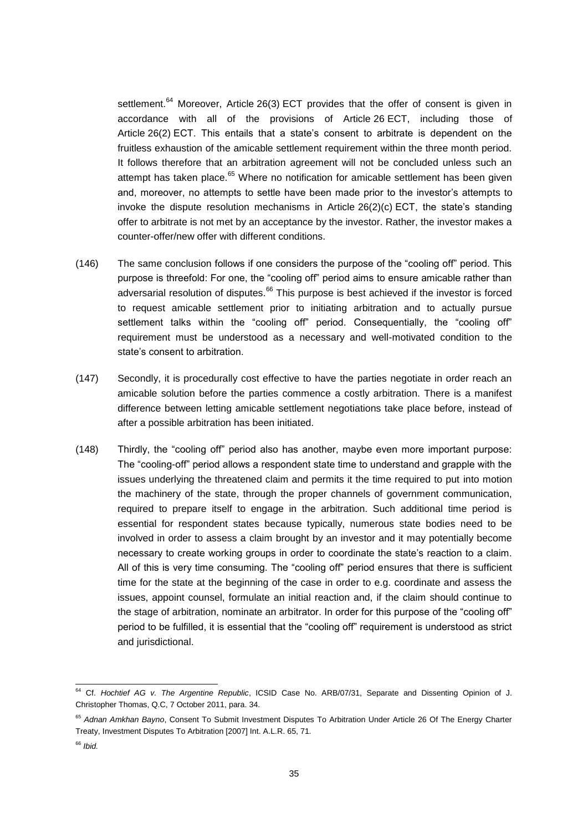settlement.<sup>64</sup> Moreover, Article 26(3) ECT provides that the offer of consent is given in accordance with all of the provisions of Article 26 ECT, including those of Article 26(2) ECT. This entails that a state's consent to arbitrate is dependent on the fruitless exhaustion of the amicable settlement requirement within the three month period. It follows therefore that an arbitration agreement will not be concluded unless such an attempt has taken place.<sup>65</sup> Where no notification for amicable settlement has been given and, moreover, no attempts to settle have been made prior to the investor's attempts to invoke the dispute resolution mechanisms in Article 26(2)(c) ECT, the state's standing offer to arbitrate is not met by an acceptance by the investor. Rather, the investor makes a counter-offer/new offer with different conditions.

- (146) The same conclusion follows if one considers the purpose of the "cooling off" period. This purpose is threefold: For one, the "cooling off" period aims to ensure amicable rather than adversarial resolution of disputes.<sup>66</sup> This purpose is best achieved if the investor is forced to request amicable settlement prior to initiating arbitration and to actually pursue settlement talks within the "cooling off" period. Consequentially, the "cooling off" requirement must be understood as a necessary and well-motivated condition to the state's consent to arbitration.
- (147) Secondly, it is procedurally cost effective to have the parties negotiate in order reach an amicable solution before the parties commence a costly arbitration. There is a manifest difference between letting amicable settlement negotiations take place before, instead of after a possible arbitration has been initiated.
- (148) Thirdly, the "cooling off" period also has another, maybe even more important purpose: The "cooling-off" period allows a respondent state time to understand and grapple with the issues underlying the threatened claim and permits it the time required to put into motion the machinery of the state, through the proper channels of government communication, required to prepare itself to engage in the arbitration. Such additional time period is essential for respondent states because typically, numerous state bodies need to be involved in order to assess a claim brought by an investor and it may potentially become necessary to create working groups in order to coordinate the state's reaction to a claim. All of this is very time consuming. The "cooling off" period ensures that there is sufficient time for the state at the beginning of the case in order to e.g. coordinate and assess the issues, appoint counsel, formulate an initial reaction and, if the claim should continue to the stage of arbitration, nominate an arbitrator. In order for this purpose of the "cooling off" period to be fulfilled, it is essential that the "cooling off" requirement is understood as strict and jurisdictional.

<sup>64</sup> Cf. *Hochtief AG v. The Argentine Republic*, ICSID Case No. ARB/07/31, Separate and Dissenting Opinion of J. Christopher Thomas, Q.C, 7 October 2011, para. 34.

<sup>65</sup> *Adnan Amkhan Bayno*, Consent To Submit Investment Disputes To Arbitration Under Article 26 Of The Energy Charter Treaty, Investment Disputes To Arbitration [2007] Int. A.L.R. 65, 71.

<sup>66</sup> *Ibid.*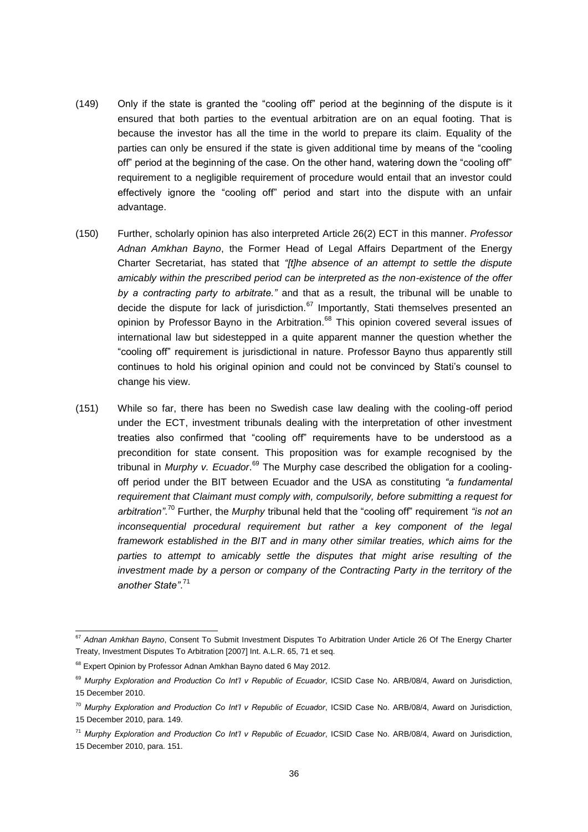- (149) Only if the state is granted the "cooling off" period at the beginning of the dispute is it ensured that both parties to the eventual arbitration are on an equal footing. That is because the investor has all the time in the world to prepare its claim. Equality of the parties can only be ensured if the state is given additional time by means of the "cooling off" period at the beginning of the case. On the other hand, watering down the "cooling off" requirement to a negligible requirement of procedure would entail that an investor could effectively ignore the "cooling off" period and start into the dispute with an unfair advantage.
- (150) Further, scholarly opinion has also interpreted Article 26(2) ECT in this manner. *Professor Adnan Amkhan Bayno*, the Former Head of Legal Affairs Department of the Energy Charter Secretariat, has stated that *"[t]he absence of an attempt to settle the dispute amicably within the prescribed period can be interpreted as the non-existence of the offer by a contracting party to arbitrate."* and that as a result, the tribunal will be unable to decide the dispute for lack of jurisdiction. $67$  Importantly, Stati themselves presented an opinion by Professor Bayno in the Arbitration.<sup>68</sup> This opinion covered several issues of international law but sidestepped in a quite apparent manner the question whether the "cooling off" requirement is jurisdictional in nature. Professor Bayno thus apparently still continues to hold his original opinion and could not be convinced by Stati's counsel to change his view.
- (151) While so far, there has been no Swedish case law dealing with the cooling-off period under the ECT, investment tribunals dealing with the interpretation of other investment treaties also confirmed that "cooling off" requirements have to be understood as a precondition for state consent. This proposition was for example recognised by the tribunal in *Murphy v. Ecuador*. <sup>69</sup> The Murphy case described the obligation for a coolingoff period under the BIT between Ecuador and the USA as constituting *"a fundamental requirement that Claimant must comply with, compulsorily, before submitting a request for arbitration"*. <sup>70</sup> Further, the *Murphy* tribunal held that the "cooling off" requirement *"is not an inconsequential procedural requirement but rather a key component of the legal framework established in the BIT and in many other similar treaties, which aims for the parties to attempt to amicably settle the disputes that might arise resulting of the investment made by a person or company of the Contracting Party in the territory of the another State"*. 71

<sup>67</sup> *Adnan Amkhan Bayno*, Consent To Submit Investment Disputes To Arbitration Under Article 26 Of The Energy Charter Treaty, Investment Disputes To Arbitration [2007] Int. A.L.R. 65, 71 et seq.

<sup>&</sup>lt;sup>68</sup> Expert Opinion by Professor Adnan Amkhan Bayno dated 6 May 2012.

<sup>&</sup>lt;sup>69</sup> Murphy Exploration and Production Co Int'l v Republic of Ecuador, ICSID Case No. ARB/08/4, Award on Jurisdiction, 15 December 2010.

<sup>70</sup> *Murphy Exploration and Production Co Int'l v Republic of Ecuador*, ICSID Case No. ARB/08/4, Award on Jurisdiction, 15 December 2010, para. 149.

<sup>71</sup> *Murphy Exploration and Production Co Int'l v Republic of Ecuador*, ICSID Case No. ARB/08/4, Award on Jurisdiction, 15 December 2010, para. 151.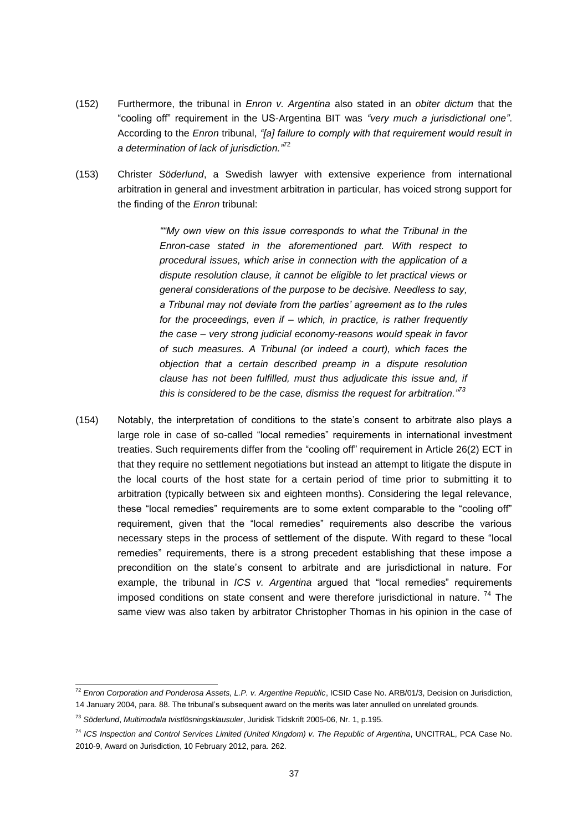- (152) Furthermore, the tribunal in *Enron v. Argentina* also stated in an *obiter dictum* that the "cooling off" requirement in the US-Argentina BIT was *"very much a jurisdictional one"*. According to the *Enron* tribunal, *"[a] failure to comply with that requirement would result in a determination of lack of jurisdiction."*<sup>72</sup>
- (153) Christer *Söderlund*, a Swedish lawyer with extensive experience from international arbitration in general and investment arbitration in particular, has voiced strong support for the finding of the *Enron* tribunal:

*""My own view on this issue corresponds to what the Tribunal in the Enron-case stated in the aforementioned part. With respect to procedural issues, which arise in connection with the application of a dispute resolution clause, it cannot be eligible to let practical views or general considerations of the purpose to be decisive. Needless to say, a Tribunal may not deviate from the parties' agreement as to the rules for the proceedings, even if – which, in practice, is rather frequently the case – very strong judicial economy-reasons would speak in favor of such measures. A Tribunal (or indeed a court), which faces the objection that a certain described preamp in a dispute resolution clause has not been fulfilled, must thus adjudicate this issue and, if this is considered to be the case, dismiss the request for arbitration."<sup>73</sup>*

(154) Notably, the interpretation of conditions to the state's consent to arbitrate also plays a large role in case of so-called "local remedies" requirements in international investment treaties. Such requirements differ from the "cooling off" requirement in Article 26(2) ECT in that they require no settlement negotiations but instead an attempt to litigate the dispute in the local courts of the host state for a certain period of time prior to submitting it to arbitration (typically between six and eighteen months). Considering the legal relevance, these "local remedies" requirements are to some extent comparable to the "cooling off" requirement, given that the "local remedies" requirements also describe the various necessary steps in the process of settlement of the dispute. With regard to these "local remedies" requirements, there is a strong precedent establishing that these impose a precondition on the state's consent to arbitrate and are jurisdictional in nature. For example, the tribunal in *ICS v. Argentina* argued that "local remedies" requirements imposed conditions on state consent and were therefore jurisdictional in nature.<sup>74</sup> The same view was also taken by arbitrator Christopher Thomas in his opinion in the case of

<sup>&</sup>lt;sup>72</sup> Enron Corporation and Ponderosa Assets, L.P. v. Argentine Republic, ICSID Case No. ARB/01/3, Decision on Jurisdiction, 14 January 2004, para. 88. The tribunal's subsequent award on the merits was later annulled on unrelated grounds.

<sup>73</sup> *Söderlund*, *Multimodala tvistlösningsklausuler*, Juridisk Tidskrift 2005-06, Nr. 1, p.195.

<sup>74</sup> *ICS Inspection and Control Services Limited (United Kingdom) v. The Republic of Argentina*, UNCITRAL, PCA Case No. 2010-9, Award on Jurisdiction, 10 February 2012, para. 262.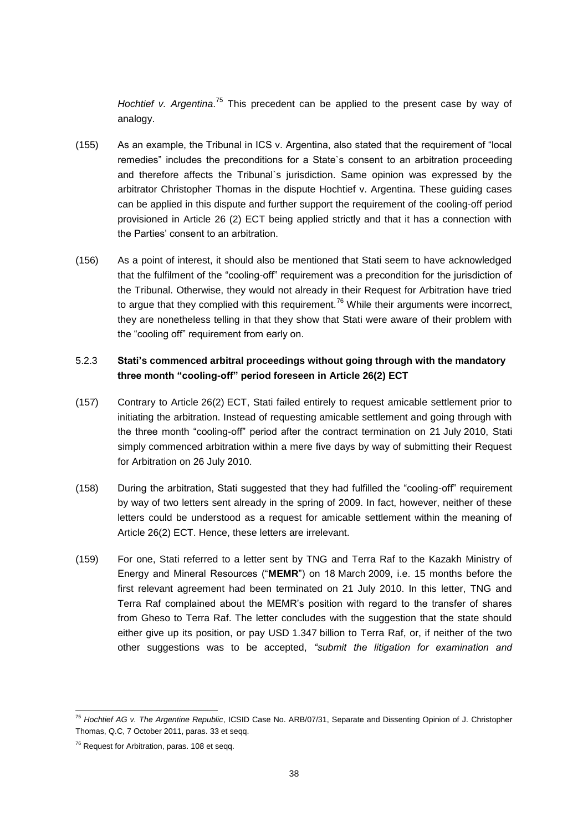Hochtief v. Argentina.<sup>75</sup> This precedent can be applied to the present case by way of analogy.

- (155) As an example, the Tribunal in ICS v. Argentina, also stated that the requirement of "local remedies" includes the preconditions for a State`s consent to an arbitration proceeding and therefore affects the Tribunal`s jurisdiction. Same opinion was expressed by the arbitrator Christopher Thomas in the dispute Hochtief v. Argentina. These guiding cases can be applied in this dispute and further support the requirement of the cooling-off period provisioned in Article 26 (2) ECT being applied strictly and that it has a connection with the Parties' consent to an arbitration.
- (156) As a point of interest, it should also be mentioned that Stati seem to have acknowledged that the fulfilment of the "cooling-off" requirement was a precondition for the jurisdiction of the Tribunal. Otherwise, they would not already in their Request for Arbitration have tried to argue that they complied with this requirement.<sup>76</sup> While their arguments were incorrect, they are nonetheless telling in that they show that Stati were aware of their problem with the "cooling off" requirement from early on.

#### 5.2.3 **Stati's commenced arbitral proceedings without going through with the mandatory three month "cooling-off" period foreseen in Article 26(2) ECT**

- (157) Contrary to Article 26(2) ECT, Stati failed entirely to request amicable settlement prior to initiating the arbitration. Instead of requesting amicable settlement and going through with the three month "cooling-off" period after the contract termination on 21 July 2010, Stati simply commenced arbitration within a mere five days by way of submitting their Request for Arbitration on 26 July 2010.
- (158) During the arbitration, Stati suggested that they had fulfilled the "cooling-off" requirement by way of two letters sent already in the spring of 2009. In fact, however, neither of these letters could be understood as a request for amicable settlement within the meaning of Article 26(2) ECT. Hence, these letters are irrelevant.
- (159) For one, Stati referred to a letter sent by TNG and Terra Raf to the Kazakh Ministry of Energy and Mineral Resources ("**MEMR**") on 18 March 2009, i.e. 15 months before the first relevant agreement had been terminated on 21 July 2010. In this letter, TNG and Terra Raf complained about the MEMR's position with regard to the transfer of shares from Gheso to Terra Raf. The letter concludes with the suggestion that the state should either give up its position, or pay USD 1.347 billion to Terra Raf, or, if neither of the two other suggestions was to be accepted, *"submit the litigation for examination and*

<sup>75</sup> *Hochtief AG v. The Argentine Republic*, ICSID Case No. ARB/07/31, Separate and Dissenting Opinion of J. Christopher Thomas, Q.C, 7 October 2011, paras. 33 et seqq.

<sup>&</sup>lt;sup>76</sup> Request for Arbitration, paras. 108 et seqq.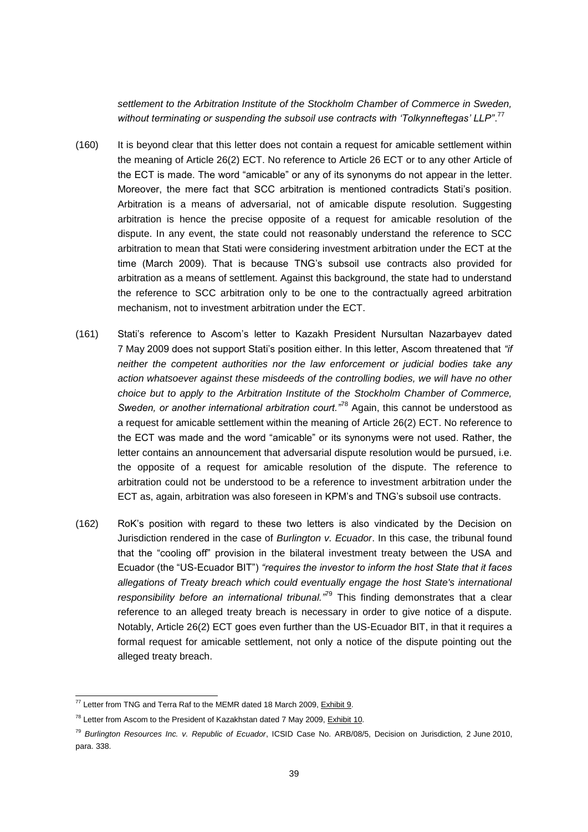*settlement to the Arbitration Institute of the Stockholm Chamber of Commerce in Sweden,*  without terminating or suspending the subsoil use contracts with 'Tolkynneftegas' LLP".<sup>77</sup>

- (160) It is beyond clear that this letter does not contain a request for amicable settlement within the meaning of Article 26(2) ECT. No reference to Article 26 ECT or to any other Article of the ECT is made. The word "amicable" or any of its synonyms do not appear in the letter. Moreover, the mere fact that SCC arbitration is mentioned contradicts Stati's position. Arbitration is a means of adversarial, not of amicable dispute resolution. Suggesting arbitration is hence the precise opposite of a request for amicable resolution of the dispute. In any event, the state could not reasonably understand the reference to SCC arbitration to mean that Stati were considering investment arbitration under the ECT at the time (March 2009). That is because TNG's subsoil use contracts also provided for arbitration as a means of settlement. Against this background, the state had to understand the reference to SCC arbitration only to be one to the contractually agreed arbitration mechanism, not to investment arbitration under the ECT.
- (161) Stati's reference to Ascom's letter to Kazakh President Nursultan Nazarbayev dated 7 May 2009 does not support Stati's position either. In this letter, Ascom threatened that *"if neither the competent authorities nor the law enforcement or judicial bodies take any action whatsoever against these misdeeds of the controlling bodies, we will have no other choice but to apply to the Arbitration Institute of the Stockholm Chamber of Commerce, Sweden, or another international arbitration court."*<sup>78</sup> Again, this cannot be understood as a request for amicable settlement within the meaning of Article 26(2) ECT. No reference to the ECT was made and the word "amicable" or its synonyms were not used. Rather, the letter contains an announcement that adversarial dispute resolution would be pursued, i.e. the opposite of a request for amicable resolution of the dispute. The reference to arbitration could not be understood to be a reference to investment arbitration under the ECT as, again, arbitration was also foreseen in KPM's and TNG's subsoil use contracts.
- (162) RoK's position with regard to these two letters is also vindicated by the Decision on Jurisdiction rendered in the case of *Burlington v. Ecuador*. In this case, the tribunal found that the "cooling off" provision in the bilateral investment treaty between the USA and Ecuador (the "US-Ecuador BIT") *"requires the investor to inform the host State that it faces allegations of Treaty breach which could eventually engage the host State's international responsibility before an international tribunal."*<sup>79</sup> This finding demonstrates that a clear reference to an alleged treaty breach is necessary in order to give notice of a dispute. Notably, Article 26(2) ECT goes even further than the US-Ecuador BIT, in that it requires a formal request for amicable settlement, not only a notice of the dispute pointing out the alleged treaty breach.

 $^{77}$  Letter from TNG and Terra Raf to the MEMR dated 18 March 2009, Exhibit 9.

 $78$  Letter from Ascom to the President of Kazakhstan dated 7 May 2009, Exhibit 10.

<sup>79</sup> *Burlington Resources Inc. v. Republic of Ecuador*, ICSID Case No. ARB/08/5, Decision on Jurisdiction, 2 June 2010, para. 338.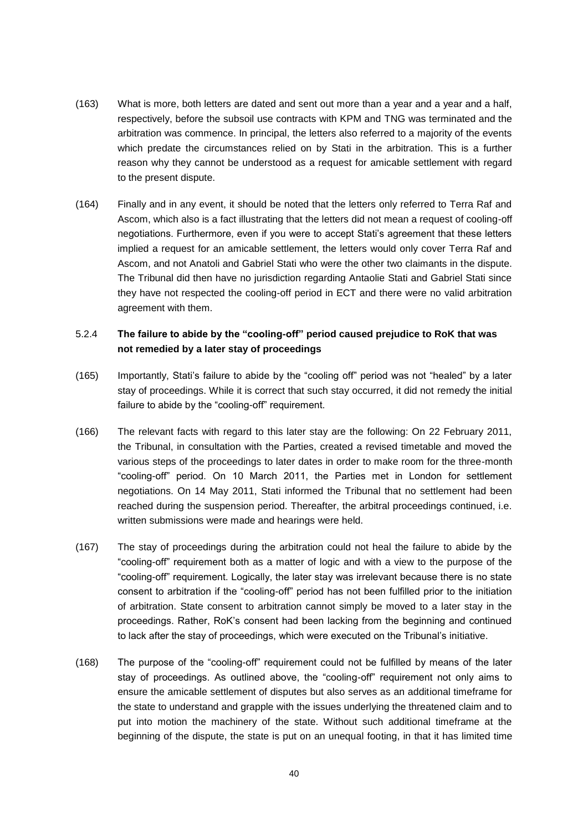- (163) What is more, both letters are dated and sent out more than a year and a year and a half, respectively, before the subsoil use contracts with KPM and TNG was terminated and the arbitration was commence. In principal, the letters also referred to a majority of the events which predate the circumstances relied on by Stati in the arbitration. This is a further reason why they cannot be understood as a request for amicable settlement with regard to the present dispute.
- (164) Finally and in any event, it should be noted that the letters only referred to Terra Raf and Ascom, which also is a fact illustrating that the letters did not mean a request of cooling-off negotiations. Furthermore, even if you were to accept Stati's agreement that these letters implied a request for an amicable settlement, the letters would only cover Terra Raf and Ascom, and not Anatoli and Gabriel Stati who were the other two claimants in the dispute. The Tribunal did then have no jurisdiction regarding Antaolie Stati and Gabriel Stati since they have not respected the cooling-off period in ECT and there were no valid arbitration agreement with them.

## 5.2.4 **The failure to abide by the "cooling-off" period caused prejudice to RoK that was not remedied by a later stay of proceedings**

- (165) Importantly, Stati's failure to abide by the "cooling off" period was not "healed" by a later stay of proceedings. While it is correct that such stay occurred, it did not remedy the initial failure to abide by the "cooling-off" requirement.
- (166) The relevant facts with regard to this later stay are the following: On 22 February 2011, the Tribunal, in consultation with the Parties, created a revised timetable and moved the various steps of the proceedings to later dates in order to make room for the three-month "cooling-off" period. On 10 March 2011, the Parties met in London for settlement negotiations. On 14 May 2011, Stati informed the Tribunal that no settlement had been reached during the suspension period. Thereafter, the arbitral proceedings continued, i.e. written submissions were made and hearings were held.
- (167) The stay of proceedings during the arbitration could not heal the failure to abide by the "cooling-off" requirement both as a matter of logic and with a view to the purpose of the "cooling-off" requirement. Logically, the later stay was irrelevant because there is no state consent to arbitration if the "cooling-off" period has not been fulfilled prior to the initiation of arbitration. State consent to arbitration cannot simply be moved to a later stay in the proceedings. Rather, RoK's consent had been lacking from the beginning and continued to lack after the stay of proceedings, which were executed on the Tribunal's initiative.
- (168) The purpose of the "cooling-off" requirement could not be fulfilled by means of the later stay of proceedings. As outlined above, the "cooling-off" requirement not only aims to ensure the amicable settlement of disputes but also serves as an additional timeframe for the state to understand and grapple with the issues underlying the threatened claim and to put into motion the machinery of the state. Without such additional timeframe at the beginning of the dispute, the state is put on an unequal footing, in that it has limited time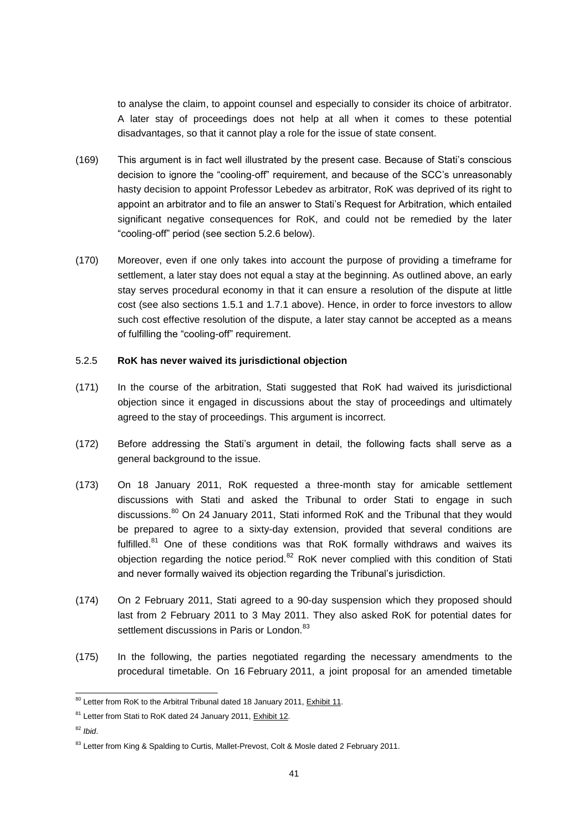to analyse the claim, to appoint counsel and especially to consider its choice of arbitrator. A later stay of proceedings does not help at all when it comes to these potential disadvantages, so that it cannot play a role for the issue of state consent.

- (169) This argument is in fact well illustrated by the present case. Because of Stati's conscious decision to ignore the "cooling-off" requirement, and because of the SCC's unreasonably hasty decision to appoint Professor Lebedev as arbitrator, RoK was deprived of its right to appoint an arbitrator and to file an answer to Stati's Request for Arbitration, which entailed significant negative consequences for RoK, and could not be remedied by the later "cooling-off" period (see section 5.2.6 below).
- (170) Moreover, even if one only takes into account the purpose of providing a timeframe for settlement, a later stay does not equal a stay at the beginning. As outlined above, an early stay serves procedural economy in that it can ensure a resolution of the dispute at little cost (see also sections 1.5.1 and 1.7.1 above). Hence, in order to force investors to allow such cost effective resolution of the dispute, a later stay cannot be accepted as a means of fulfilling the "cooling-off" requirement.

#### 5.2.5 **RoK has never waived its jurisdictional objection**

- (171) In the course of the arbitration, Stati suggested that RoK had waived its jurisdictional objection since it engaged in discussions about the stay of proceedings and ultimately agreed to the stay of proceedings. This argument is incorrect.
- (172) Before addressing the Stati's argument in detail, the following facts shall serve as a general background to the issue.
- (173) On 18 January 2011, RoK requested a three-month stay for amicable settlement discussions with Stati and asked the Tribunal to order Stati to engage in such discussions.<sup>80</sup> On 24 January 2011, Stati informed RoK and the Tribunal that they would be prepared to agree to a sixty-day extension, provided that several conditions are fulfilled.<sup>81</sup> One of these conditions was that RoK formally withdraws and waives its objection regarding the notice period.<sup>82</sup> RoK never complied with this condition of Stati and never formally waived its objection regarding the Tribunal's jurisdiction.
- (174) On 2 February 2011, Stati agreed to a 90-day suspension which they proposed should last from 2 February 2011 to 3 May 2011. They also asked RoK for potential dates for settlement discussions in Paris or London.<sup>83</sup>
- (175) In the following, the parties negotiated regarding the necessary amendments to the procedural timetable. On 16 February 2011, a joint proposal for an amended timetable

 $80$  Letter from RoK to the Arbitral Tribunal dated 18 January 2011, Exhibit 11.

<sup>&</sup>lt;sup>81</sup> Letter from Stati to RoK dated 24 January 2011, Exhibit 12.

<sup>82</sup> *Ibid*.

<sup>&</sup>lt;sup>83</sup> Letter from King & Spalding to Curtis, Mallet-Prevost, Colt & Mosle dated 2 February 2011.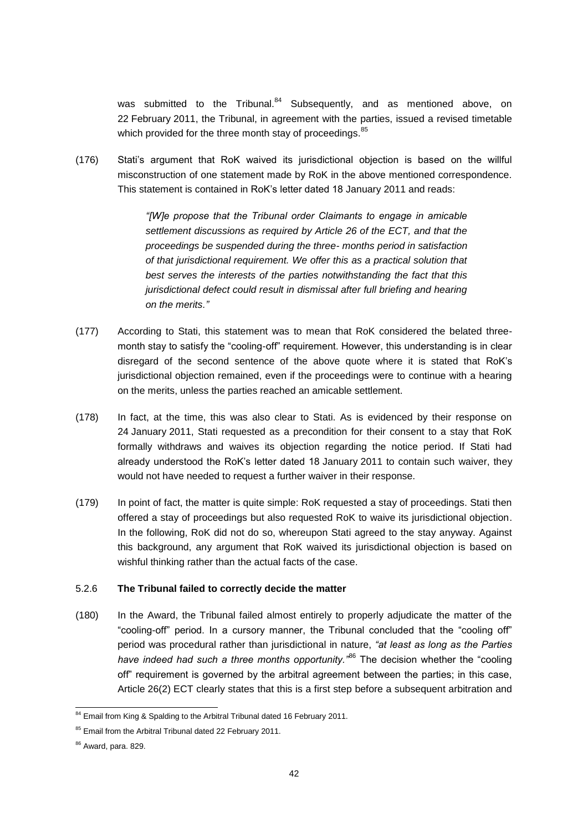was submitted to the Tribunal.<sup>84</sup> Subsequently, and as mentioned above, on 22 February 2011, the Tribunal, in agreement with the parties, issued a revised timetable which provided for the three month stay of proceedings.<sup>85</sup>

(176) Stati's argument that RoK waived its jurisdictional objection is based on the willful misconstruction of one statement made by RoK in the above mentioned correspondence. This statement is contained in RoK's letter dated 18 January 2011 and reads:

> *"[W]e propose that the Tribunal order Claimants to engage in amicable settlement discussions as required by Article 26 of the ECT, and that the proceedings be suspended during the three- months period in satisfaction of that jurisdictional requirement. We offer this as a practical solution that best serves the interests of the parties notwithstanding the fact that this jurisdictional defect could result in dismissal after full briefing and hearing on the merits."*

- (177) According to Stati, this statement was to mean that RoK considered the belated threemonth stay to satisfy the "cooling-off" requirement. However, this understanding is in clear disregard of the second sentence of the above quote where it is stated that RoK's jurisdictional objection remained, even if the proceedings were to continue with a hearing on the merits, unless the parties reached an amicable settlement.
- (178) In fact, at the time, this was also clear to Stati. As is evidenced by their response on 24 January 2011, Stati requested as a precondition for their consent to a stay that RoK formally withdraws and waives its objection regarding the notice period. If Stati had already understood the RoK's letter dated 18 January 2011 to contain such waiver, they would not have needed to request a further waiver in their response.
- (179) In point of fact, the matter is quite simple: RoK requested a stay of proceedings. Stati then offered a stay of proceedings but also requested RoK to waive its jurisdictional objection. In the following, RoK did not do so, whereupon Stati agreed to the stay anyway. Against this background, any argument that RoK waived its jurisdictional objection is based on wishful thinking rather than the actual facts of the case.

#### 5.2.6 **The Tribunal failed to correctly decide the matter**

(180) In the Award, the Tribunal failed almost entirely to properly adjudicate the matter of the "cooling-off" period. In a cursory manner, the Tribunal concluded that the "cooling off" period was procedural rather than jurisdictional in nature, *"at least as long as the Parties have indeed had such a three months opportunity."*<sup>86</sup> The decision whether the "cooling off" requirement is governed by the arbitral agreement between the parties; in this case, Article 26(2) ECT clearly states that this is a first step before a subsequent arbitration and

<sup>&</sup>lt;sup>84</sup> Email from King & Spalding to the Arbitral Tribunal dated 16 February 2011.

<sup>&</sup>lt;sup>85</sup> Email from the Arbitral Tribunal dated 22 February 2011.

 $86$  Award, para. 829.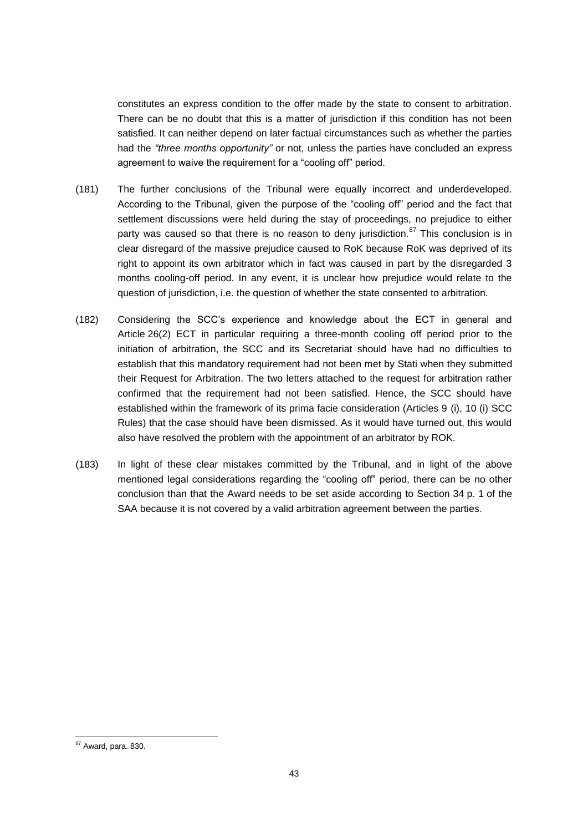constitutes an express condition to the offer made by the state to consent to arbitration. There can be no doubt that this is a matter of jurisdiction if this condition has not been satisfied. It can neither depend on later factual circumstances such as whether the parties had the *"three months opportunity"* or not, unless the parties have concluded an express agreement to waive the requirement for a "cooling off" period.

- (181) The further conclusions of the Tribunal were equally incorrect and underdeveloped. According to the Tribunal, given the purpose of the "cooling off" period and the fact that settlement discussions were held during the stay of proceedings, no prejudice to either party was caused so that there is no reason to deny jurisdiction.<sup>87</sup> This conclusion is in clear disregard of the massive prejudice caused to RoK because RoK was deprived of its right to appoint its own arbitrator which in fact was caused in part by the disregarded 3 months cooling-off period. In any event, it is unclear how prejudice would relate to the question of jurisdiction, i.e. the question of whether the state consented to arbitration.
- (182) Considering the SCC's experience and knowledge about the ECT in general and Article 26(2) ECT in particular requiring a three-month cooling off period prior to the initiation of arbitration, the SCC and its Secretariat should have had no difficulties to establish that this mandatory requirement had not been met by Stati when they submitted their Request for Arbitration. The two letters attached to the request for arbitration rather confirmed that the requirement had not been satisfied. Hence, the SCC should have established within the framework of its prima facie consideration (Articles 9 (i), 10 (i) SCC Rules) that the case should have been dismissed. As it would have turned out, this would also have resolved the problem with the appointment of an arbitrator by ROK.
- (183) In light of these clear mistakes committed by the Tribunal, and in light of the above mentioned legal considerations regarding the "cooling off" period, there can be no other conclusion than that the Award needs to be set aside according to Section 34 p. 1 of the SAA because it is not covered by a valid arbitration agreement between the parties.

 $87$  Award, para. 830.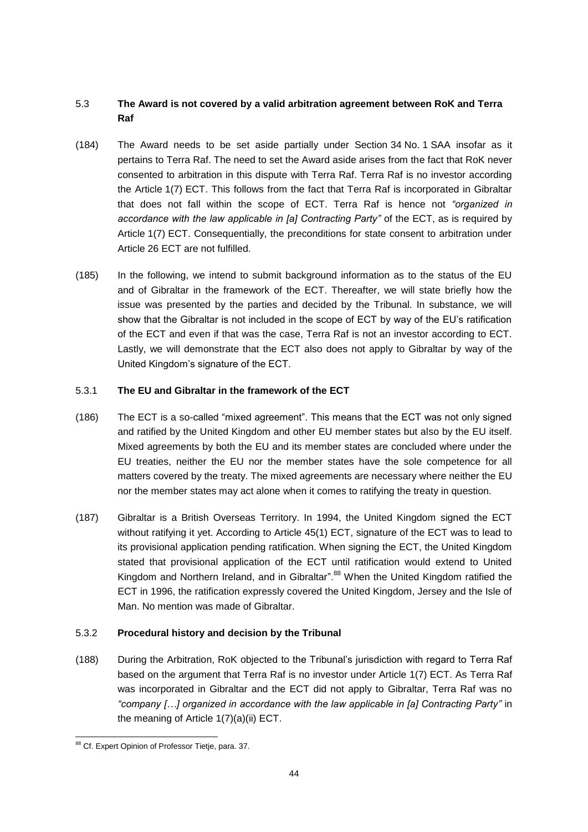# 5.3 **The Award is not covered by a valid arbitration agreement between RoK and Terra Raf**

- (184) The Award needs to be set aside partially under Section 34 No. 1 SAA insofar as it pertains to Terra Raf. The need to set the Award aside arises from the fact that RoK never consented to arbitration in this dispute with Terra Raf. Terra Raf is no investor according the Article 1(7) ECT. This follows from the fact that Terra Raf is incorporated in Gibraltar that does not fall within the scope of ECT. Terra Raf is hence not *"organized in accordance with the law applicable in [a] Contracting Party"* of the ECT, as is required by Article 1(7) ECT. Consequentially, the preconditions for state consent to arbitration under Article 26 ECT are not fulfilled.
- (185) In the following, we intend to submit background information as to the status of the EU and of Gibraltar in the framework of the ECT. Thereafter, we will state briefly how the issue was presented by the parties and decided by the Tribunal. In substance, we will show that the Gibraltar is not included in the scope of ECT by way of the EU's ratification of the ECT and even if that was the case, Terra Raf is not an investor according to ECT. Lastly, we will demonstrate that the ECT also does not apply to Gibraltar by way of the United Kingdom's signature of the ECT.

## 5.3.1 **The EU and Gibraltar in the framework of the ECT**

- (186) The ECT is a so-called "mixed agreement". This means that the ECT was not only signed and ratified by the United Kingdom and other EU member states but also by the EU itself. Mixed agreements by both the EU and its member states are concluded where under the EU treaties, neither the EU nor the member states have the sole competence for all matters covered by the treaty. The mixed agreements are necessary where neither the EU nor the member states may act alone when it comes to ratifying the treaty in question.
- (187) Gibraltar is a British Overseas Territory. In 1994, the United Kingdom signed the ECT without ratifying it yet. According to Article 45(1) ECT, signature of the ECT was to lead to its provisional application pending ratification. When signing the ECT, the United Kingdom stated that provisional application of the ECT until ratification would extend to United Kingdom and Northern Ireland, and in Gibraltar".<sup>88</sup> When the United Kingdom ratified the ECT in 1996, the ratification expressly covered the United Kingdom, Jersey and the Isle of Man. No mention was made of Gibraltar.

## 5.3.2 **Procedural history and decision by the Tribunal**

(188) During the Arbitration, RoK objected to the Tribunal's jurisdiction with regard to Terra Raf based on the argument that Terra Raf is no investor under Article 1(7) ECT. As Terra Raf was incorporated in Gibraltar and the ECT did not apply to Gibraltar, Terra Raf was no *"company […] organized in accordance with the law applicable in [a] Contracting Party"* in the meaning of Article 1(7)(a)(ii) ECT.

<sup>88</sup> Cf. Expert Opinion of Professor Tietje, para. 37.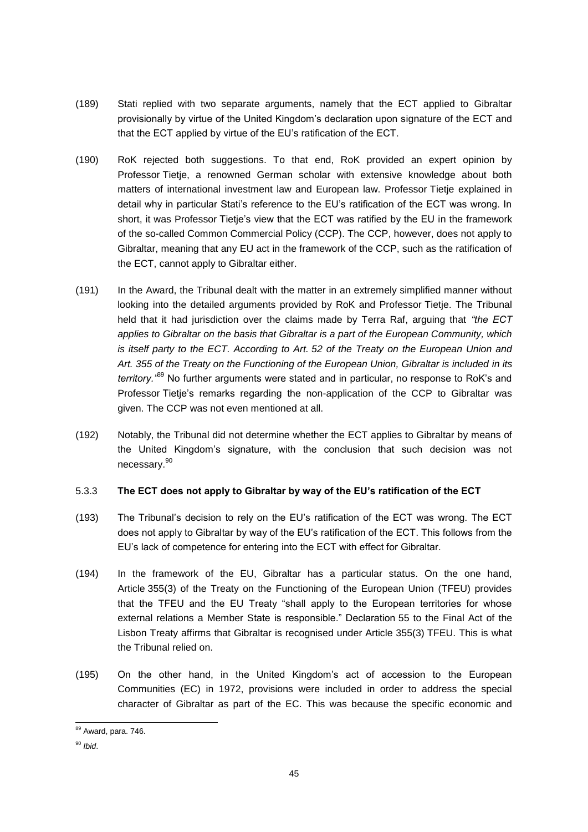- (189) Stati replied with two separate arguments, namely that the ECT applied to Gibraltar provisionally by virtue of the United Kingdom's declaration upon signature of the ECT and that the ECT applied by virtue of the EU's ratification of the ECT.
- (190) RoK rejected both suggestions. To that end, RoK provided an expert opinion by Professor Tietje, a renowned German scholar with extensive knowledge about both matters of international investment law and European law. Professor Tietje explained in detail why in particular Stati's reference to the EU's ratification of the ECT was wrong. In short, it was Professor Tietje's view that the ECT was ratified by the EU in the framework of the so-called Common Commercial Policy (CCP). The CCP, however, does not apply to Gibraltar, meaning that any EU act in the framework of the CCP, such as the ratification of the ECT, cannot apply to Gibraltar either.
- (191) In the Award, the Tribunal dealt with the matter in an extremely simplified manner without looking into the detailed arguments provided by RoK and Professor Tietje. The Tribunal held that it had jurisdiction over the claims made by Terra Raf, arguing that *"the ECT applies to Gibraltar on the basis that Gibraltar is a part of the European Community, which is itself party to the ECT. According to Art. 52 of the Treaty on the European Union and Art. 355 of the Treaty on the Functioning of the European Union, Gibraltar is included in its territory."*<sup>89</sup> No further arguments were stated and in particular, no response to RoK's and Professor Tietje's remarks regarding the non-application of the CCP to Gibraltar was given. The CCP was not even mentioned at all.
- (192) Notably, the Tribunal did not determine whether the ECT applies to Gibraltar by means of the United Kingdom's signature, with the conclusion that such decision was not necessary.<sup>90</sup>

## 5.3.3 **The ECT does not apply to Gibraltar by way of the EU's ratification of the ECT**

- (193) The Tribunal's decision to rely on the EU's ratification of the ECT was wrong. The ECT does not apply to Gibraltar by way of the EU's ratification of the ECT. This follows from the EU's lack of competence for entering into the ECT with effect for Gibraltar.
- (194) In the framework of the EU, Gibraltar has a particular status. On the one hand, Article 355(3) of the Treaty on the Functioning of the European Union (TFEU) provides that the TFEU and the EU Treaty "shall apply to the European territories for whose external relations a Member State is responsible." Declaration 55 to the Final Act of the Lisbon Treaty affirms that Gibraltar is recognised under Article 355(3) TFEU. This is what the Tribunal relied on.
- (195) On the other hand, in the United Kingdom's act of accession to the European Communities (EC) in 1972, provisions were included in order to address the special character of Gibraltar as part of the EC. This was because the specific economic and

<sup>89</sup> Award, para. 746.

<sup>90</sup> *Ibid*.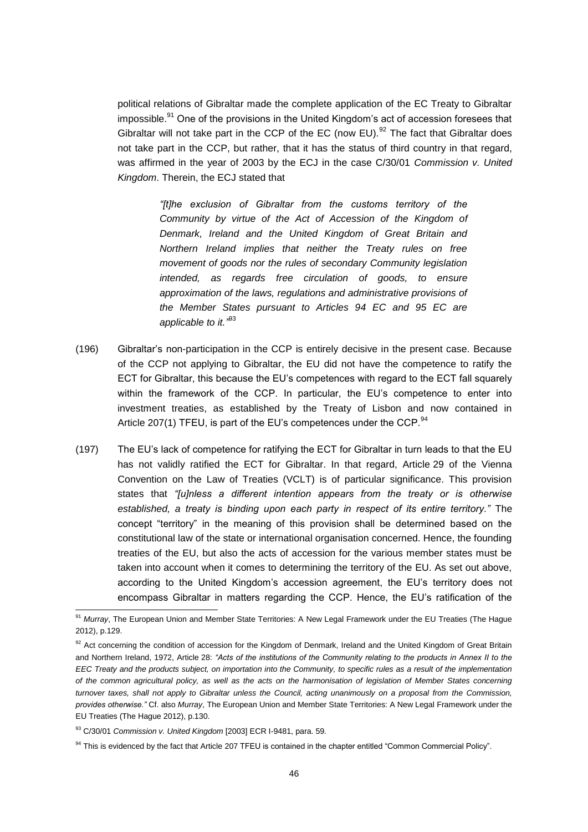political relations of Gibraltar made the complete application of the EC Treaty to Gibraltar impossible.<sup>91</sup> One of the provisions in the United Kingdom's act of accession foresees that Gibraltar will not take part in the CCP of the EC (now EU). $^{92}$  The fact that Gibraltar does not take part in the CCP, but rather, that it has the status of third country in that regard, was affirmed in the year of 2003 by the ECJ in the case C/30/01 *Commission v. United Kingdom*. Therein, the ECJ stated that

> *"[t]he exclusion of Gibraltar from the customs territory of the Community by virtue of the Act of Accession of the Kingdom of Denmark, Ireland and the United Kingdom of Great Britain and Northern Ireland implies that neither the Treaty rules on free movement of goods nor the rules of secondary Community legislation intended, as regards free circulation of goods, to ensure approximation of the laws, regulations and administrative provisions of the Member States pursuant to Articles 94 EC and 95 EC are applicable to it."* 93

- (196) Gibraltar's non-participation in the CCP is entirely decisive in the present case. Because of the CCP not applying to Gibraltar, the EU did not have the competence to ratify the ECT for Gibraltar, this because the EU's competences with regard to the ECT fall squarely within the framework of the CCP. In particular, the EU's competence to enter into investment treaties, as established by the Treaty of Lisbon and now contained in Article 207(1) TFEU, is part of the EU's competences under the CCP. $94$
- (197) The EU's lack of competence for ratifying the ECT for Gibraltar in turn leads to that the EU has not validly ratified the ECT for Gibraltar. In that regard, Article 29 of the Vienna Convention on the Law of Treaties (VCLT) is of particular significance. This provision states that *"[u]nless a different intention appears from the treaty or is otherwise established, a treaty is binding upon each party in respect of its entire territory."* The concept "territory" in the meaning of this provision shall be determined based on the constitutional law of the state or international organisation concerned. Hence, the founding treaties of the EU, but also the acts of accession for the various member states must be taken into account when it comes to determining the territory of the EU. As set out above, according to the United Kingdom's accession agreement, the EU's territory does not encompass Gibraltar in matters regarding the CCP. Hence, the EU's ratification of the

<sup>&</sup>lt;sup>91</sup> Murrav. The European Union and Member State Territories: A New Legal Framework under the EU Treaties (The Hague 2012), p.129.

<sup>92</sup> Act concerning the condition of accession for the Kingdom of Denmark, Ireland and the United Kingdom of Great Britain and Northern Ireland, 1972, Article 28: *"Acts of the institutions of the Community relating to the products in Annex II to the EEC Treaty and the products subject, on importation into the Community, to specific rules as a result of the implementation of the common agricultural policy, as well as the acts on the harmonisation of legislation of Member States concerning turnover taxes, shall not apply to Gibraltar unless the Council, acting unanimously on a proposal from the Commission, provides otherwise."* Cf. also *Murray*, The European Union and Member State Territories: A New Legal Framework under the EU Treaties (The Hague 2012), p.130.

<sup>93</sup> C/30/01 *Commission v. United Kingdom* [2003] ECR I-9481, para. 59.

<sup>&</sup>lt;sup>94</sup> This is evidenced by the fact that Article 207 TFEU is contained in the chapter entitled "Common Commercial Policy".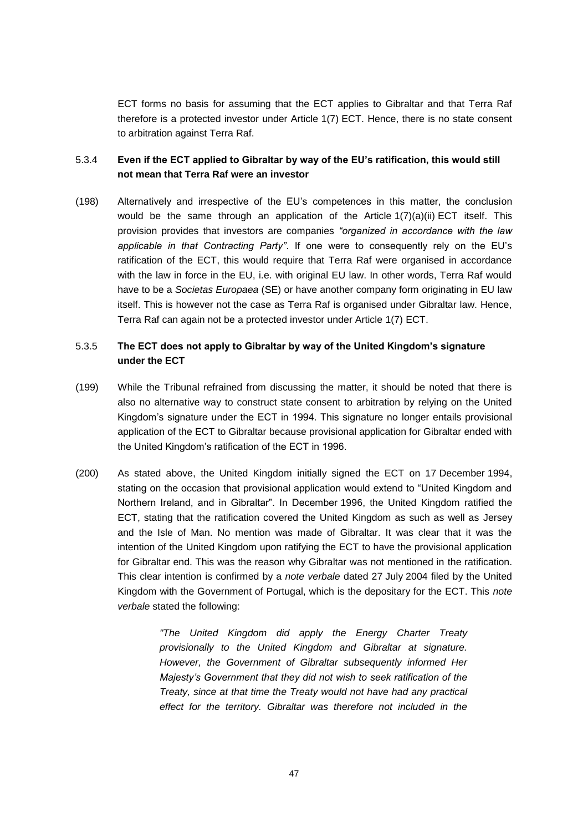ECT forms no basis for assuming that the ECT applies to Gibraltar and that Terra Raf therefore is a protected investor under Article 1(7) ECT. Hence, there is no state consent to arbitration against Terra Raf.

## 5.3.4 **Even if the ECT applied to Gibraltar by way of the EU's ratification, this would still not mean that Terra Raf were an investor**

(198) Alternatively and irrespective of the EU's competences in this matter, the conclusion would be the same through an application of the Article 1(7)(a)(ii) ECT itself. This provision provides that investors are companies *"organized in accordance with the law applicable in that Contracting Party"*. If one were to consequently rely on the EU's ratification of the ECT, this would require that Terra Raf were organised in accordance with the law in force in the EU, i.e. with original EU law. In other words, Terra Raf would have to be a *Societas Europaea* (SE) or have another company form originating in EU law itself. This is however not the case as Terra Raf is organised under Gibraltar law. Hence, Terra Raf can again not be a protected investor under Article 1(7) ECT.

## 5.3.5 **The ECT does not apply to Gibraltar by way of the United Kingdom's signature under the ECT**

- (199) While the Tribunal refrained from discussing the matter, it should be noted that there is also no alternative way to construct state consent to arbitration by relying on the United Kingdom's signature under the ECT in 1994. This signature no longer entails provisional application of the ECT to Gibraltar because provisional application for Gibraltar ended with the United Kingdom's ratification of the ECT in 1996.
- (200) As stated above, the United Kingdom initially signed the ECT on 17 December 1994, stating on the occasion that provisional application would extend to "United Kingdom and Northern Ireland, and in Gibraltar". In December 1996, the United Kingdom ratified the ECT, stating that the ratification covered the United Kingdom as such as well as Jersey and the Isle of Man. No mention was made of Gibraltar. It was clear that it was the intention of the United Kingdom upon ratifying the ECT to have the provisional application for Gibraltar end. This was the reason why Gibraltar was not mentioned in the ratification. This clear intention is confirmed by a *note verbale* dated 27 July 2004 filed by the United Kingdom with the Government of Portugal, which is the depositary for the ECT. This *note verbale* stated the following:

*"The United Kingdom did apply the Energy Charter Treaty provisionally to the United Kingdom and Gibraltar at signature. However, the Government of Gibraltar subsequently informed Her Majesty's Government that they did not wish to seek ratification of the Treaty, since at that time the Treaty would not have had any practical effect for the territory. Gibraltar was therefore not included in the*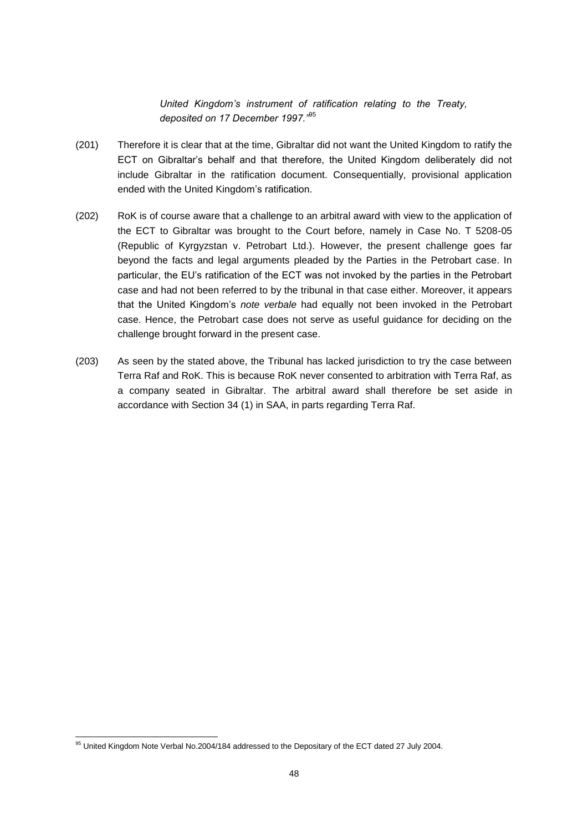*United Kingdom's instrument of ratification relating to the Treaty, deposited on 17 December 1997."*<sup>95</sup>

- (201) Therefore it is clear that at the time, Gibraltar did not want the United Kingdom to ratify the ECT on Gibraltar's behalf and that therefore, the United Kingdom deliberately did not include Gibraltar in the ratification document. Consequentially, provisional application ended with the United Kingdom's ratification.
- (202) RoK is of course aware that a challenge to an arbitral award with view to the application of the ECT to Gibraltar was brought to the Court before, namely in Case No. T 5208-05 (Republic of Kyrgyzstan v. Petrobart Ltd.). However, the present challenge goes far beyond the facts and legal arguments pleaded by the Parties in the Petrobart case. In particular, the EU's ratification of the ECT was not invoked by the parties in the Petrobart case and had not been referred to by the tribunal in that case either. Moreover, it appears that the United Kingdom's *note verbale* had equally not been invoked in the Petrobart case. Hence, the Petrobart case does not serve as useful guidance for deciding on the challenge brought forward in the present case.
- (203) As seen by the stated above, the Tribunal has lacked jurisdiction to try the case between Terra Raf and RoK. This is because RoK never consented to arbitration with Terra Raf, as a company seated in Gibraltar. The arbitral award shall therefore be set aside in accordance with Section 34 (1) in SAA, in parts regarding Terra Raf.

<sup>&</sup>lt;sup>95</sup> United Kingdom Note Verbal No.2004/184 addressed to the Depositary of the ECT dated 27 July 2004.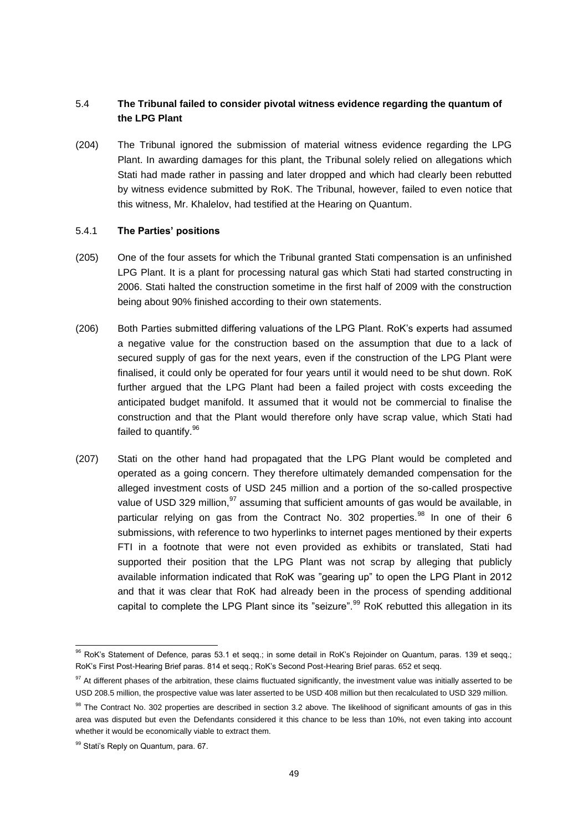## 5.4 **The Tribunal failed to consider pivotal witness evidence regarding the quantum of the LPG Plant**

(204) The Tribunal ignored the submission of material witness evidence regarding the LPG Plant. In awarding damages for this plant, the Tribunal solely relied on allegations which Stati had made rather in passing and later dropped and which had clearly been rebutted by witness evidence submitted by RoK. The Tribunal, however, failed to even notice that this witness, Mr. Khalelov, had testified at the Hearing on Quantum.

#### 5.4.1 **The Parties' positions**

- (205) One of the four assets for which the Tribunal granted Stati compensation is an unfinished LPG Plant. It is a plant for processing natural gas which Stati had started constructing in 2006. Stati halted the construction sometime in the first half of 2009 with the construction being about 90% finished according to their own statements.
- (206) Both Parties submitted differing valuations of the LPG Plant. RoK's experts had assumed a negative value for the construction based on the assumption that due to a lack of secured supply of gas for the next years, even if the construction of the LPG Plant were finalised, it could only be operated for four years until it would need to be shut down. RoK further argued that the LPG Plant had been a failed project with costs exceeding the anticipated budget manifold. It assumed that it would not be commercial to finalise the construction and that the Plant would therefore only have scrap value, which Stati had failed to quantify. 96
- (207) Stati on the other hand had propagated that the LPG Plant would be completed and operated as a going concern. They therefore ultimately demanded compensation for the alleged investment costs of USD 245 million and a portion of the so-called prospective value of USD 329 million, $97$  assuming that sufficient amounts of gas would be available, in particular relying on gas from the Contract No. 302 properties.<sup>98</sup> In one of their 6 submissions, with reference to two hyperlinks to internet pages mentioned by their experts FTI in a footnote that were not even provided as exhibits or translated, Stati had supported their position that the LPG Plant was not scrap by alleging that publicly available information indicated that RoK was "gearing up" to open the LPG Plant in 2012 and that it was clear that RoK had already been in the process of spending additional capital to complete the LPG Plant since its "seizure".<sup>99</sup> RoK rebutted this allegation in its

<sup>96</sup> RoK's Statement of Defence, paras 53.1 et seqq.; in some detail in RoK's Rejoinder on Quantum, paras. 139 et seqq.; RoK's First Post-Hearing Brief paras. 814 et seqq.; RoK's Second Post-Hearing Brief paras. 652 et seqq.

<sup>97</sup> At different phases of the arbitration, these claims fluctuated significantly, the investment value was initially asserted to be USD 208.5 million, the prospective value was later asserted to be USD 408 million but then recalculated to USD 329 million.

<sup>&</sup>lt;sup>98</sup> The Contract No. 302 properties are described in section 3.2 above. The likelihood of significant amounts of gas in this area was disputed but even the Defendants considered it this chance to be less than 10%, not even taking into account whether it would be economically viable to extract them.

<sup>99</sup> Stati's Reply on Quantum, para. 67.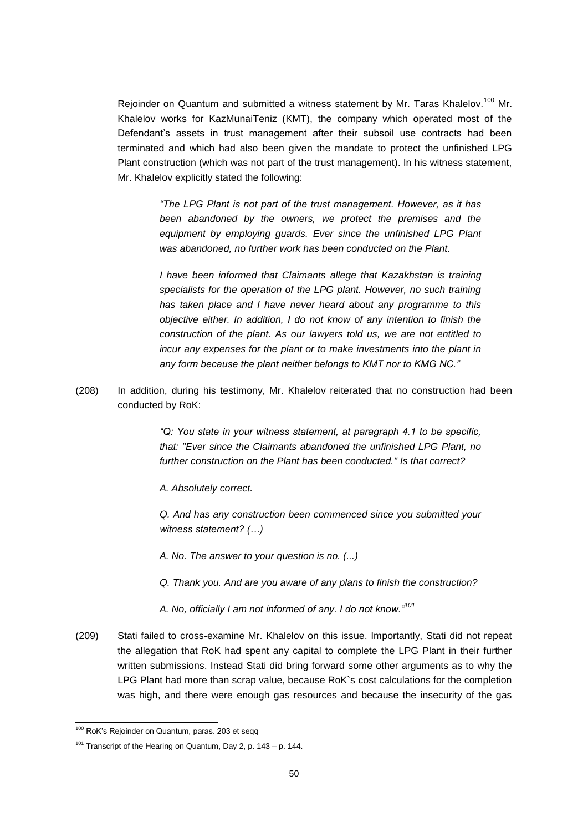Rejoinder on Quantum and submitted a witness statement by Mr. Taras Khalelov.<sup>100</sup> Mr. Khalelov works for KazMunaiTeniz (KMT), the company which operated most of the Defendant's assets in trust management after their subsoil use contracts had been terminated and which had also been given the mandate to protect the unfinished LPG Plant construction (which was not part of the trust management). In his witness statement, Mr. Khalelov explicitly stated the following:

> *"The LPG Plant is not part of the trust management. However, as it has been abandoned by the owners, we protect the premises and the equipment by employing guards. Ever since the unfinished LPG Plant was abandoned, no further work has been conducted on the Plant.*

> *I have been informed that Claimants allege that Kazakhstan is training specialists for the operation of the LPG plant. However, no such training has taken place and I have never heard about any programme to this objective either. In addition, I do not know of any intention to finish the construction of the plant. As our lawyers told us, we are not entitled to incur any expenses for the plant or to make investments into the plant in any form because the plant neither belongs to KMT nor to KMG NC."*

(208) In addition, during his testimony, Mr. Khalelov reiterated that no construction had been conducted by RoK:

> *"Q: You state in your witness statement, at paragraph 4.1 to be specific, that: "Ever since the Claimants abandoned the unfinished LPG Plant, no further construction on the Plant has been conducted." Is that correct?*

*A. Absolutely correct.*

*Q. And has any construction been commenced since you submitted your witness statement? (…)*

*A. No. The answer to your question is no. (...)*

- *Q. Thank you. And are you aware of any plans to finish the construction?*
- *A. No, officially I am not informed of any. I do not know."<sup>101</sup>*
- (209) Stati failed to cross-examine Mr. Khalelov on this issue. Importantly, Stati did not repeat the allegation that RoK had spent any capital to complete the LPG Plant in their further written submissions. Instead Stati did bring forward some other arguments as to why the LPG Plant had more than scrap value, because RoK's cost calculations for the completion was high, and there were enough gas resources and because the insecurity of the gas

<sup>&</sup>lt;sup>100</sup> RoK's Rejoinder on Quantum, paras. 203 et segg

 $101$  Transcript of the Hearing on Quantum, Day 2, p. 143 – p. 144.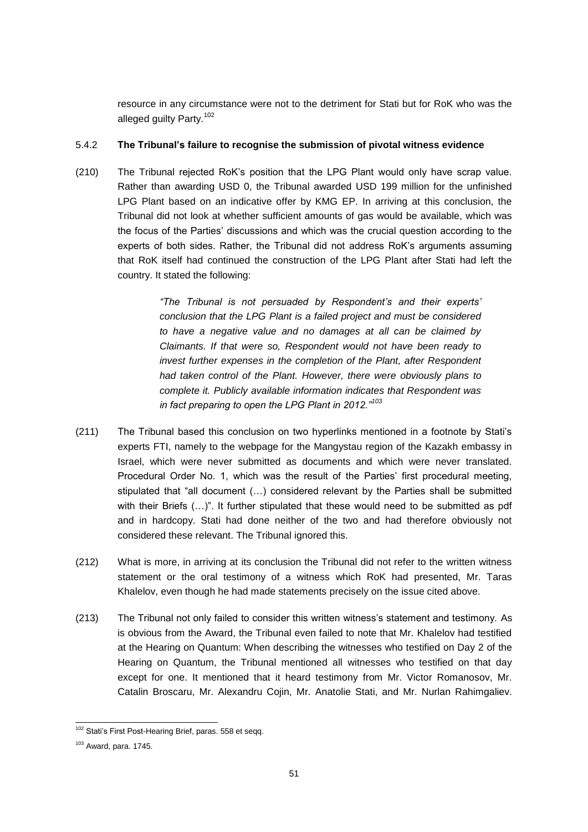resource in any circumstance were not to the detriment for Stati but for RoK who was the alleged guilty Party.<sup>102</sup>

#### 5.4.2 **The Tribunal's failure to recognise the submission of pivotal witness evidence**

(210) The Tribunal rejected RoK's position that the LPG Plant would only have scrap value. Rather than awarding USD 0, the Tribunal awarded USD 199 million for the unfinished LPG Plant based on an indicative offer by KMG EP. In arriving at this conclusion, the Tribunal did not look at whether sufficient amounts of gas would be available, which was the focus of the Parties' discussions and which was the crucial question according to the experts of both sides. Rather, the Tribunal did not address RoK's arguments assuming that RoK itself had continued the construction of the LPG Plant after Stati had left the country. It stated the following:

> *"The Tribunal is not persuaded by Respondent's and their experts' conclusion that the LPG Plant is a failed project and must be considered to have a negative value and no damages at all can be claimed by Claimants. If that were so, Respondent would not have been ready to invest further expenses in the completion of the Plant, after Respondent had taken control of the Plant. However, there were obviously plans to complete it. Publicly available information indicates that Respondent was in fact preparing to open the LPG Plant in 2012."<sup>103</sup>*

- (211) The Tribunal based this conclusion on two hyperlinks mentioned in a footnote by Stati's experts FTI, namely to the webpage for the Mangystau region of the Kazakh embassy in Israel, which were never submitted as documents and which were never translated. Procedural Order No. 1, which was the result of the Parties' first procedural meeting, stipulated that "all document (…) considered relevant by the Parties shall be submitted with their Briefs (…)". It further stipulated that these would need to be submitted as pdf and in hardcopy. Stati had done neither of the two and had therefore obviously not considered these relevant. The Tribunal ignored this.
- (212) What is more, in arriving at its conclusion the Tribunal did not refer to the written witness statement or the oral testimony of a witness which RoK had presented, Mr. Taras Khalelov, even though he had made statements precisely on the issue cited above.
- (213) The Tribunal not only failed to consider this written witness's statement and testimony. As is obvious from the Award, the Tribunal even failed to note that Mr. Khalelov had testified at the Hearing on Quantum: When describing the witnesses who testified on Day 2 of the Hearing on Quantum, the Tribunal mentioned all witnesses who testified on that day except for one. It mentioned that it heard testimony from Mr. Victor Romanosov, Mr. Catalin Broscaru, Mr. Alexandru Cojin, Mr. Anatolie Stati, and Mr. Nurlan Rahimgaliev.

<sup>102</sup> Stati's First Post-Hearing Brief, paras. 558 et seqq.

 $103$  Award, para. 1745.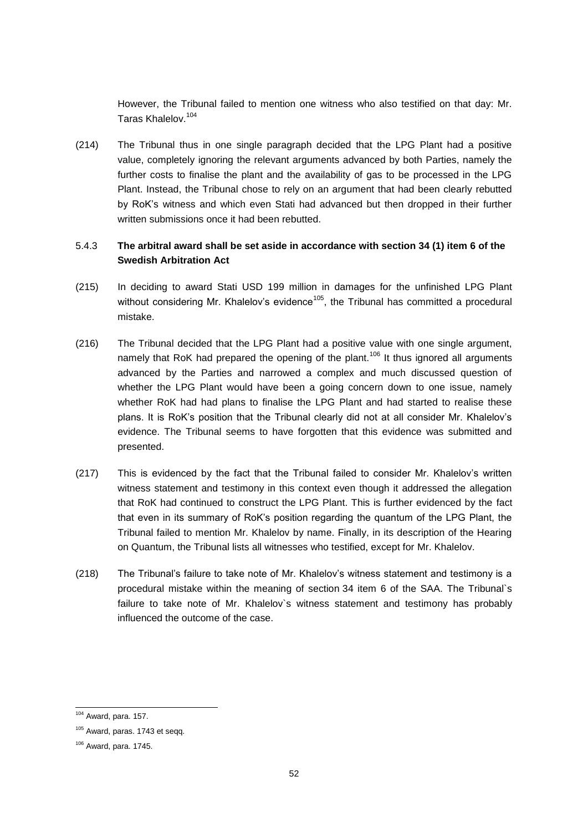However, the Tribunal failed to mention one witness who also testified on that day: Mr. Taras Khalelov.<sup>104</sup>

(214) The Tribunal thus in one single paragraph decided that the LPG Plant had a positive value, completely ignoring the relevant arguments advanced by both Parties, namely the further costs to finalise the plant and the availability of gas to be processed in the LPG Plant. Instead, the Tribunal chose to rely on an argument that had been clearly rebutted by RoK's witness and which even Stati had advanced but then dropped in their further written submissions once it had been rebutted.

# 5.4.3 **The arbitral award shall be set aside in accordance with section 34 (1) item 6 of the Swedish Arbitration Act**

- (215) In deciding to award Stati USD 199 million in damages for the unfinished LPG Plant without considering Mr. Khalelov's evidence<sup>105</sup>, the Tribunal has committed a procedural mistake.
- (216) The Tribunal decided that the LPG Plant had a positive value with one single argument, namely that RoK had prepared the opening of the plant.<sup>106</sup> It thus ignored all arguments advanced by the Parties and narrowed a complex and much discussed question of whether the LPG Plant would have been a going concern down to one issue, namely whether RoK had had plans to finalise the LPG Plant and had started to realise these plans. It is RoK's position that the Tribunal clearly did not at all consider Mr. Khalelov's evidence. The Tribunal seems to have forgotten that this evidence was submitted and presented.
- (217) This is evidenced by the fact that the Tribunal failed to consider Mr. Khalelov's written witness statement and testimony in this context even though it addressed the allegation that RoK had continued to construct the LPG Plant. This is further evidenced by the fact that even in its summary of RoK's position regarding the quantum of the LPG Plant, the Tribunal failed to mention Mr. Khalelov by name. Finally, in its description of the Hearing on Quantum, the Tribunal lists all witnesses who testified, except for Mr. Khalelov.
- (218) The Tribunal's failure to take note of Mr. Khalelov's witness statement and testimony is a procedural mistake within the meaning of section 34 item 6 of the SAA. The Tribunal`s failure to take note of Mr. Khalelov`s witness statement and testimony has probably influenced the outcome of the case.

 $104$  Award, para. 157.

<sup>&</sup>lt;sup>105</sup> Award, paras. 1743 et seqq.

<sup>106</sup> Award, para. 1745.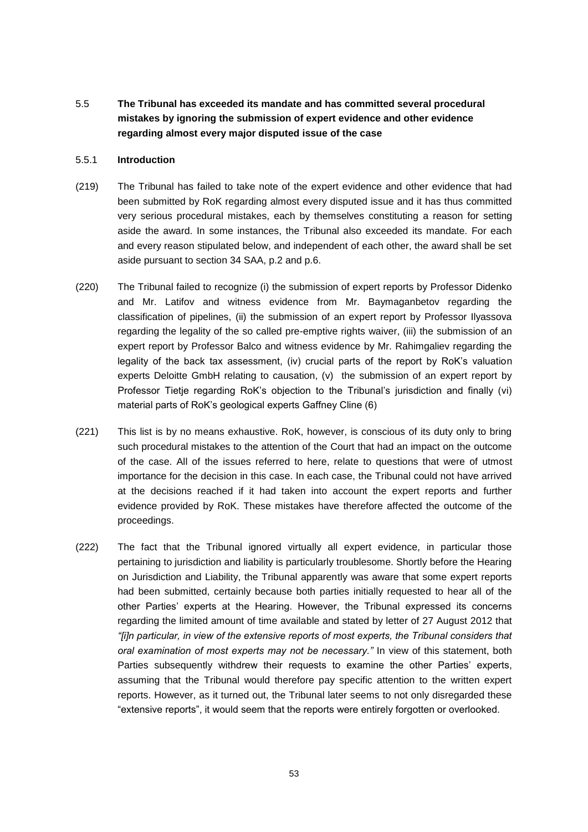5.5 **The Tribunal has exceeded its mandate and has committed several procedural mistakes by ignoring the submission of expert evidence and other evidence regarding almost every major disputed issue of the case** 

#### 5.5.1 **Introduction**

- (219) The Tribunal has failed to take note of the expert evidence and other evidence that had been submitted by RoK regarding almost every disputed issue and it has thus committed very serious procedural mistakes, each by themselves constituting a reason for setting aside the award. In some instances, the Tribunal also exceeded its mandate. For each and every reason stipulated below, and independent of each other, the award shall be set aside pursuant to section 34 SAA, p.2 and p.6.
- (220) The Tribunal failed to recognize (i) the submission of expert reports by Professor Didenko and Mr. Latifov and witness evidence from Mr. Baymaganbetov regarding the classification of pipelines, (ii) the submission of an expert report by Professor Ilyassova regarding the legality of the so called pre-emptive rights waiver, (iii) the submission of an expert report by Professor Balco and witness evidence by Mr. Rahimgaliev regarding the legality of the back tax assessment, (iv) crucial parts of the report by RoK's valuation experts Deloitte GmbH relating to causation, (v) the submission of an expert report by Professor Tietje regarding RoK's objection to the Tribunal's jurisdiction and finally (vi) material parts of RoK's geological experts Gaffney Cline (6)
- (221) This list is by no means exhaustive. RoK, however, is conscious of its duty only to bring such procedural mistakes to the attention of the Court that had an impact on the outcome of the case. All of the issues referred to here, relate to questions that were of utmost importance for the decision in this case. In each case, the Tribunal could not have arrived at the decisions reached if it had taken into account the expert reports and further evidence provided by RoK. These mistakes have therefore affected the outcome of the proceedings.
- (222) The fact that the Tribunal ignored virtually all expert evidence, in particular those pertaining to jurisdiction and liability is particularly troublesome. Shortly before the Hearing on Jurisdiction and Liability, the Tribunal apparently was aware that some expert reports had been submitted, certainly because both parties initially requested to hear all of the other Parties' experts at the Hearing. However, the Tribunal expressed its concerns regarding the limited amount of time available and stated by letter of 27 August 2012 that *"[i]n particular, in view of the extensive reports of most experts, the Tribunal considers that oral examination of most experts may not be necessary."* In view of this statement, both Parties subsequently withdrew their requests to examine the other Parties' experts, assuming that the Tribunal would therefore pay specific attention to the written expert reports. However, as it turned out, the Tribunal later seems to not only disregarded these "extensive reports", it would seem that the reports were entirely forgotten or overlooked.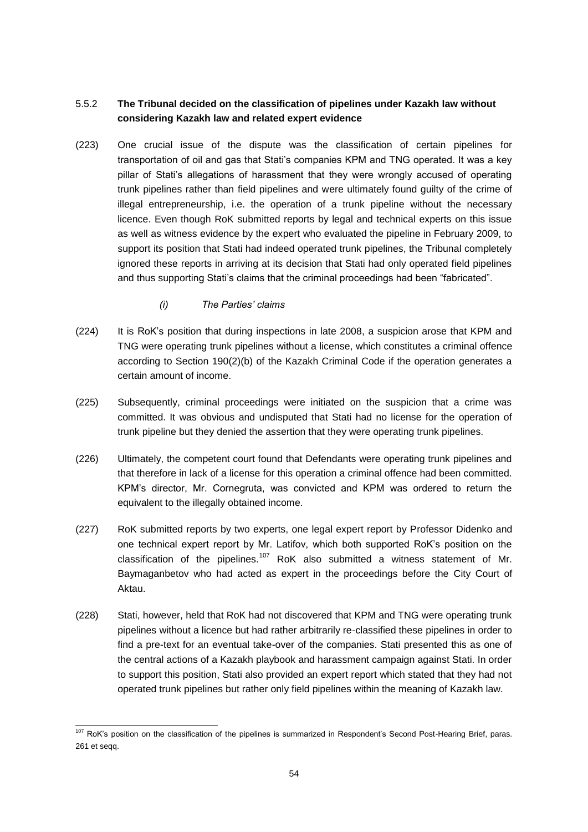# 5.5.2 **The Tribunal decided on the classification of pipelines under Kazakh law without considering Kazakh law and related expert evidence**

- (223) One crucial issue of the dispute was the classification of certain pipelines for transportation of oil and gas that Stati's companies KPM and TNG operated. It was a key pillar of Stati's allegations of harassment that they were wrongly accused of operating trunk pipelines rather than field pipelines and were ultimately found guilty of the crime of illegal entrepreneurship, i.e. the operation of a trunk pipeline without the necessary licence. Even though RoK submitted reports by legal and technical experts on this issue as well as witness evidence by the expert who evaluated the pipeline in February 2009, to support its position that Stati had indeed operated trunk pipelines, the Tribunal completely ignored these reports in arriving at its decision that Stati had only operated field pipelines and thus supporting Stati's claims that the criminal proceedings had been "fabricated".
	- *(i) The Parties' claims*
- (224) It is RoK's position that during inspections in late 2008, a suspicion arose that KPM and TNG were operating trunk pipelines without a license, which constitutes a criminal offence according to Section 190(2)(b) of the Kazakh Criminal Code if the operation generates a certain amount of income.
- (225) Subsequently, criminal proceedings were initiated on the suspicion that a crime was committed. It was obvious and undisputed that Stati had no license for the operation of trunk pipeline but they denied the assertion that they were operating trunk pipelines.
- (226) Ultimately, the competent court found that Defendants were operating trunk pipelines and that therefore in lack of a license for this operation a criminal offence had been committed. KPM's director, Mr. Cornegruta, was convicted and KPM was ordered to return the equivalent to the illegally obtained income.
- (227) RoK submitted reports by two experts, one legal expert report by Professor Didenko and one technical expert report by Mr. Latifov, which both supported RoK's position on the classification of the pipelines.<sup>107</sup> RoK also submitted a witness statement of Mr. Baymaganbetov who had acted as expert in the proceedings before the City Court of Aktau.
- (228) Stati, however, held that RoK had not discovered that KPM and TNG were operating trunk pipelines without a licence but had rather arbitrarily re-classified these pipelines in order to find a pre-text for an eventual take-over of the companies. Stati presented this as one of the central actions of a Kazakh playbook and harassment campaign against Stati. In order to support this position, Stati also provided an expert report which stated that they had not operated trunk pipelines but rather only field pipelines within the meaning of Kazakh law.

<sup>&</sup>lt;sup>107</sup> RoK's position on the classification of the pipelines is summarized in Respondent's Second Post-Hearing Brief, paras. 261 et seqq.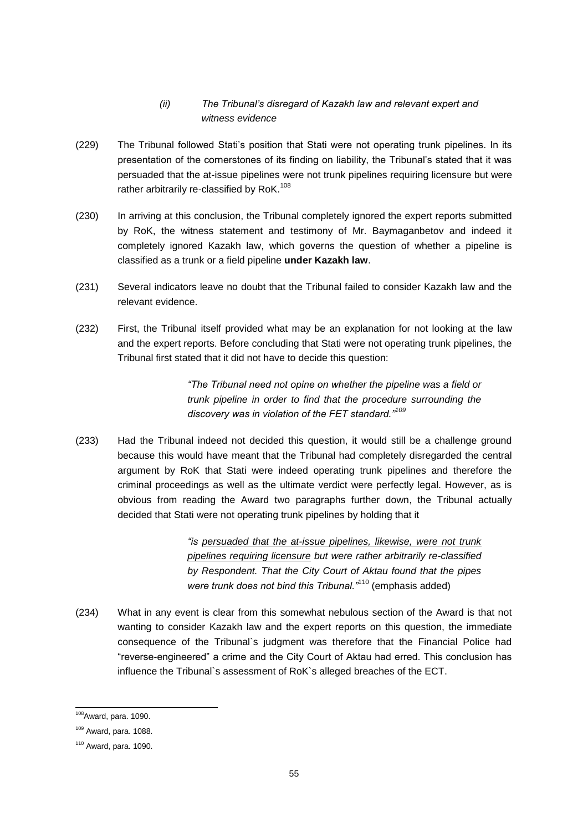# *(ii) The Tribunal's disregard of Kazakh law and relevant expert and witness evidence*

- (229) The Tribunal followed Stati's position that Stati were not operating trunk pipelines. In its presentation of the cornerstones of its finding on liability, the Tribunal's stated that it was persuaded that the at-issue pipelines were not trunk pipelines requiring licensure but were rather arbitrarily re-classified by RoK.<sup>108</sup>
- (230) In arriving at this conclusion, the Tribunal completely ignored the expert reports submitted by RoK, the witness statement and testimony of Mr. Baymaganbetov and indeed it completely ignored Kazakh law, which governs the question of whether a pipeline is classified as a trunk or a field pipeline **under Kazakh law**.
- (231) Several indicators leave no doubt that the Tribunal failed to consider Kazakh law and the relevant evidence.
- (232) First, the Tribunal itself provided what may be an explanation for not looking at the law and the expert reports. Before concluding that Stati were not operating trunk pipelines, the Tribunal first stated that it did not have to decide this question:

*"The Tribunal need not opine on whether the pipeline was a field or trunk pipeline in order to find that the procedure surrounding the discovery was in violation of the FET standard."<sup>109</sup>*

(233) Had the Tribunal indeed not decided this question, it would still be a challenge ground because this would have meant that the Tribunal had completely disregarded the central argument by RoK that Stati were indeed operating trunk pipelines and therefore the criminal proceedings as well as the ultimate verdict were perfectly legal. However, as is obvious from reading the Award two paragraphs further down, the Tribunal actually decided that Stati were not operating trunk pipelines by holding that it

> *"is persuaded that the at-issue pipelines, likewise, were not trunk pipelines requiring licensure but were rather arbitrarily re-classified by Respondent. That the City Court of Aktau found that the pipes were trunk does not bind this Tribunal."*<sup>110</sup> (emphasis added)

(234) What in any event is clear from this somewhat nebulous section of the Award is that not wanting to consider Kazakh law and the expert reports on this question, the immediate consequence of the Tribunal`s judgment was therefore that the Financial Police had "reverse-engineered" a crime and the City Court of Aktau had erred. This conclusion has influence the Tribunal`s assessment of RoK`s alleged breaches of the ECT.

<sup>108</sup>Award, para. 1090.

<sup>109</sup> Award, para. 1088.

<sup>110</sup> Award, para. 1090.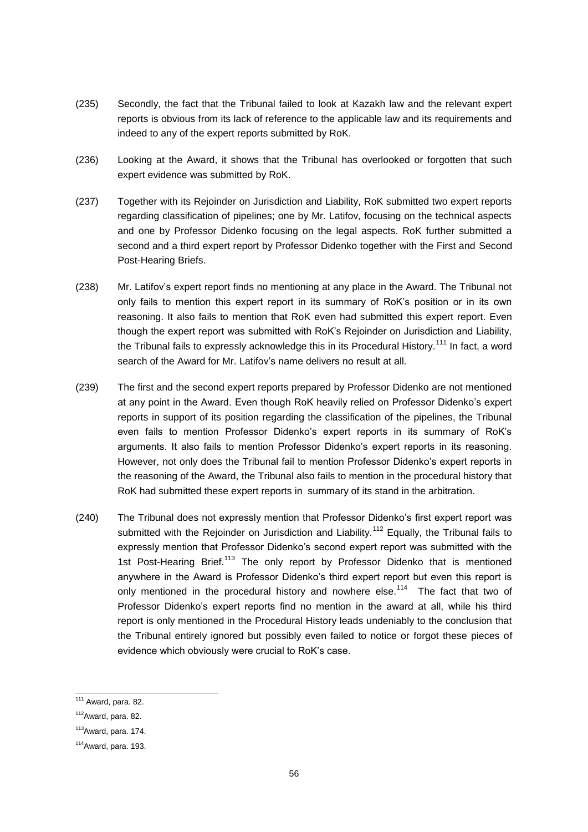- (235) Secondly, the fact that the Tribunal failed to look at Kazakh law and the relevant expert reports is obvious from its lack of reference to the applicable law and its requirements and indeed to any of the expert reports submitted by RoK.
- (236) Looking at the Award, it shows that the Tribunal has overlooked or forgotten that such expert evidence was submitted by RoK.
- (237) Together with its Rejoinder on Jurisdiction and Liability, RoK submitted two expert reports regarding classification of pipelines; one by Mr. Latifov, focusing on the technical aspects and one by Professor Didenko focusing on the legal aspects. RoK further submitted a second and a third expert report by Professor Didenko together with the First and Second Post-Hearing Briefs.
- (238) Mr. Latifov's expert report finds no mentioning at any place in the Award. The Tribunal not only fails to mention this expert report in its summary of RoK's position or in its own reasoning. It also fails to mention that RoK even had submitted this expert report. Even though the expert report was submitted with RoK's Rejoinder on Jurisdiction and Liability, the Tribunal fails to expressly acknowledge this in its Procedural History.<sup>111</sup> In fact, a word search of the Award for Mr. Latifov's name delivers no result at all.
- (239) The first and the second expert reports prepared by Professor Didenko are not mentioned at any point in the Award. Even though RoK heavily relied on Professor Didenko's expert reports in support of its position regarding the classification of the pipelines, the Tribunal even fails to mention Professor Didenko's expert reports in its summary of RoK's arguments. It also fails to mention Professor Didenko's expert reports in its reasoning. However, not only does the Tribunal fail to mention Professor Didenko's expert reports in the reasoning of the Award, the Tribunal also fails to mention in the procedural history that RoK had submitted these expert reports in summary of its stand in the arbitration.
- (240) The Tribunal does not expressly mention that Professor Didenko's first expert report was submitted with the Reioinder on Jurisdiction and Liability.<sup>112</sup> Equally, the Tribunal fails to expressly mention that Professor Didenko's second expert report was submitted with the 1st Post-Hearing Brief.<sup>113</sup> The only report by Professor Didenko that is mentioned anywhere in the Award is Professor Didenko's third expert report but even this report is only mentioned in the procedural history and nowhere else.<sup>114</sup> The fact that two of Professor Didenko's expert reports find no mention in the award at all, while his third report is only mentioned in the Procedural History leads undeniably to the conclusion that the Tribunal entirely ignored but possibly even failed to notice or forgot these pieces of evidence which obviously were crucial to RoK's case.

 $111$  Award, para. 82.

 $112$ Award, para. 82.

 $113$ Award, para. 174.

 $114$ Award, para. 193.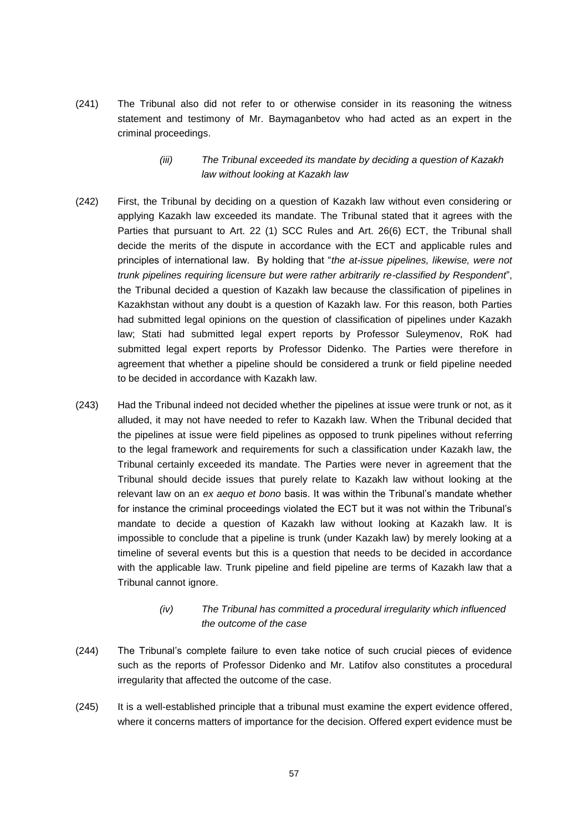(241) The Tribunal also did not refer to or otherwise consider in its reasoning the witness statement and testimony of Mr. Baymaganbetov who had acted as an expert in the criminal proceedings.

## *(iii) The Tribunal exceeded its mandate by deciding a question of Kazakh law without looking at Kazakh law*

- (242) First, the Tribunal by deciding on a question of Kazakh law without even considering or applying Kazakh law exceeded its mandate. The Tribunal stated that it agrees with the Parties that pursuant to Art. 22 (1) SCC Rules and Art. 26(6) ECT, the Tribunal shall decide the merits of the dispute in accordance with the ECT and applicable rules and principles of international law. By holding that "*the at-issue pipelines, likewise, were not trunk pipelines requiring licensure but were rather arbitrarily re-classified by Respondent*", the Tribunal decided a question of Kazakh law because the classification of pipelines in Kazakhstan without any doubt is a question of Kazakh law. For this reason, both Parties had submitted legal opinions on the question of classification of pipelines under Kazakh law; Stati had submitted legal expert reports by Professor Suleymenov, RoK had submitted legal expert reports by Professor Didenko. The Parties were therefore in agreement that whether a pipeline should be considered a trunk or field pipeline needed to be decided in accordance with Kazakh law.
- (243) Had the Tribunal indeed not decided whether the pipelines at issue were trunk or not, as it alluded, it may not have needed to refer to Kazakh law. When the Tribunal decided that the pipelines at issue were field pipelines as opposed to trunk pipelines without referring to the legal framework and requirements for such a classification under Kazakh law, the Tribunal certainly exceeded its mandate. The Parties were never in agreement that the Tribunal should decide issues that purely relate to Kazakh law without looking at the relevant law on an *ex aequo et bono* basis. It was within the Tribunal's mandate whether for instance the criminal proceedings violated the ECT but it was not within the Tribunal's mandate to decide a question of Kazakh law without looking at Kazakh law. It is impossible to conclude that a pipeline is trunk (under Kazakh law) by merely looking at a timeline of several events but this is a question that needs to be decided in accordance with the applicable law. Trunk pipeline and field pipeline are terms of Kazakh law that a Tribunal cannot ignore.

#### *(iv) The Tribunal has committed a procedural irregularity which influenced the outcome of the case*

- (244) The Tribunal's complete failure to even take notice of such crucial pieces of evidence such as the reports of Professor Didenko and Mr. Latifov also constitutes a procedural irregularity that affected the outcome of the case.
- (245) It is a well-established principle that a tribunal must examine the expert evidence offered, where it concerns matters of importance for the decision. Offered expert evidence must be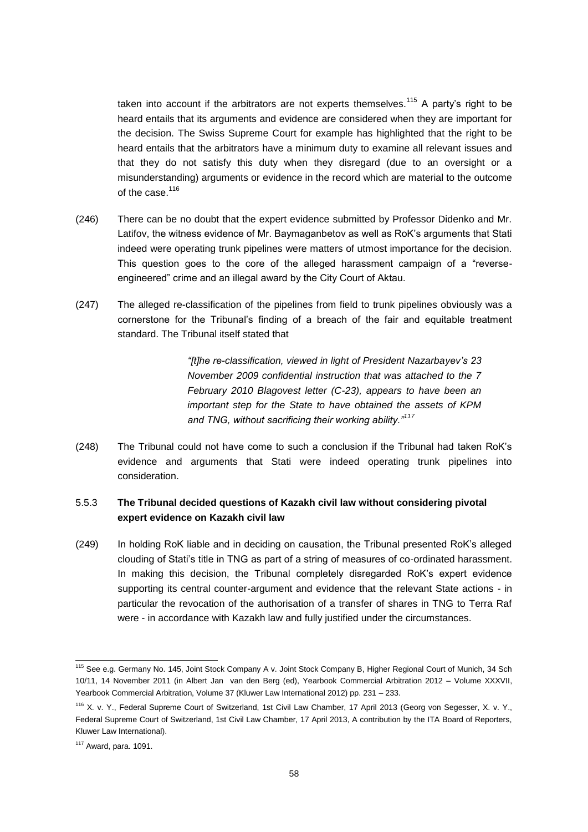taken into account if the arbitrators are not experts themselves.<sup>115</sup> A party's right to be heard entails that its arguments and evidence are considered when they are important for the decision. The Swiss Supreme Court for example has highlighted that the right to be heard entails that the arbitrators have a minimum duty to examine all relevant issues and that they do not satisfy this duty when they disregard (due to an oversight or a misunderstanding) arguments or evidence in the record which are material to the outcome of the case  $116$ 

- (246) There can be no doubt that the expert evidence submitted by Professor Didenko and Mr. Latifov, the witness evidence of Mr. Baymaganbetov as well as RoK's arguments that Stati indeed were operating trunk pipelines were matters of utmost importance for the decision. This question goes to the core of the alleged harassment campaign of a "reverseengineered" crime and an illegal award by the City Court of Aktau.
- (247) The alleged re-classification of the pipelines from field to trunk pipelines obviously was a cornerstone for the Tribunal's finding of a breach of the fair and equitable treatment standard. The Tribunal itself stated that

*"[t]he re-classification, viewed in light of President Nazarbayev's 23 November 2009 confidential instruction that was attached to the 7 February 2010 Blagovest letter (C-23), appears to have been an important step for the State to have obtained the assets of KPM and TNG, without sacrificing their working ability."<sup>117</sup>*

(248) The Tribunal could not have come to such a conclusion if the Tribunal had taken RoK's evidence and arguments that Stati were indeed operating trunk pipelines into consideration.

## 5.5.3 **The Tribunal decided questions of Kazakh civil law without considering pivotal expert evidence on Kazakh civil law**

(249) In holding RoK liable and in deciding on causation, the Tribunal presented RoK's alleged clouding of Stati's title in TNG as part of a string of measures of co-ordinated harassment. In making this decision, the Tribunal completely disregarded RoK's expert evidence supporting its central counter-argument and evidence that the relevant State actions - in particular the revocation of the authorisation of a transfer of shares in TNG to Terra Raf were - in accordance with Kazakh law and fully justified under the circumstances.

<sup>&</sup>lt;sup>115</sup> See e.g. Germany No. 145, Joint Stock Company A v. Joint Stock Company B, Higher Regional Court of Munich, 34 Sch 10/11, 14 November 2011 (in Albert Jan van den Berg (ed), Yearbook Commercial Arbitration 2012 – Volume XXXVII, Yearbook Commercial Arbitration, Volume 37 (Kluwer Law International 2012) pp. 231 – 233.

<sup>116</sup> X. v. Y., Federal Supreme Court of Switzerland, 1st Civil Law Chamber, 17 April 2013 (Georg von Segesser, X. v. Y., Federal Supreme Court of Switzerland, 1st Civil Law Chamber, 17 April 2013, A contribution by the ITA Board of Reporters, Kluwer Law International).

 $117$  Award, para. 1091.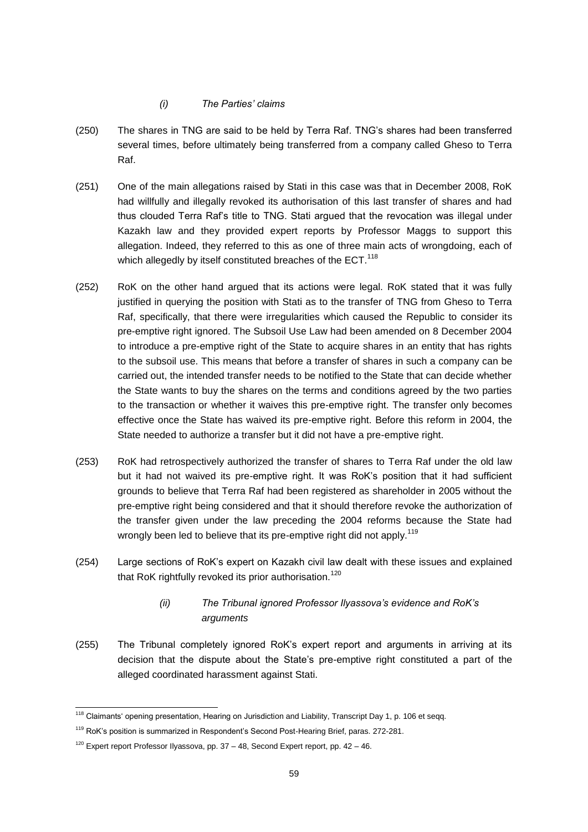#### *(i) The Parties' claims*

- (250) The shares in TNG are said to be held by Terra Raf. TNG's shares had been transferred several times, before ultimately being transferred from a company called Gheso to Terra Raf.
- (251) One of the main allegations raised by Stati in this case was that in December 2008, RoK had willfully and illegally revoked its authorisation of this last transfer of shares and had thus clouded Terra Raf's title to TNG. Stati argued that the revocation was illegal under Kazakh law and they provided expert reports by Professor Maggs to support this allegation. Indeed, they referred to this as one of three main acts of wrongdoing, each of which allegedly by itself constituted breaches of the ECT.<sup>118</sup>
- (252) RoK on the other hand argued that its actions were legal. RoK stated that it was fully justified in querying the position with Stati as to the transfer of TNG from Gheso to Terra Raf, specifically, that there were irregularities which caused the Republic to consider its pre-emptive right ignored. The Subsoil Use Law had been amended on 8 December 2004 to introduce a pre-emptive right of the State to acquire shares in an entity that has rights to the subsoil use. This means that before a transfer of shares in such a company can be carried out, the intended transfer needs to be notified to the State that can decide whether the State wants to buy the shares on the terms and conditions agreed by the two parties to the transaction or whether it waives this pre-emptive right. The transfer only becomes effective once the State has waived its pre-emptive right. Before this reform in 2004, the State needed to authorize a transfer but it did not have a pre-emptive right.
- (253) RoK had retrospectively authorized the transfer of shares to Terra Raf under the old law but it had not waived its pre-emptive right. It was RoK's position that it had sufficient grounds to believe that Terra Raf had been registered as shareholder in 2005 without the pre-emptive right being considered and that it should therefore revoke the authorization of the transfer given under the law preceding the 2004 reforms because the State had wrongly been led to believe that its pre-emptive right did not apply.<sup>119</sup>
- (254) Large sections of RoK's expert on Kazakh civil law dealt with these issues and explained that RoK rightfully revoked its prior authorisation.<sup>120</sup>

# *(ii) The Tribunal ignored Professor Ilyassova's evidence and RoK's arguments*

(255) The Tribunal completely ignored RoK's expert report and arguments in arriving at its decision that the dispute about the State's pre-emptive right constituted a part of the alleged coordinated harassment against Stati.

<sup>&</sup>lt;sup>118</sup> Claimants' opening presentation, Hearing on Jurisdiction and Liability, Transcript Day 1, p. 106 et seqq.

<sup>&</sup>lt;sup>119</sup> RoK's position is summarized in Respondent's Second Post-Hearing Brief, paras. 272-281.

 $120$  Expert report Professor Ilyassova, pp. 37 – 48, Second Expert report, pp. 42 – 46.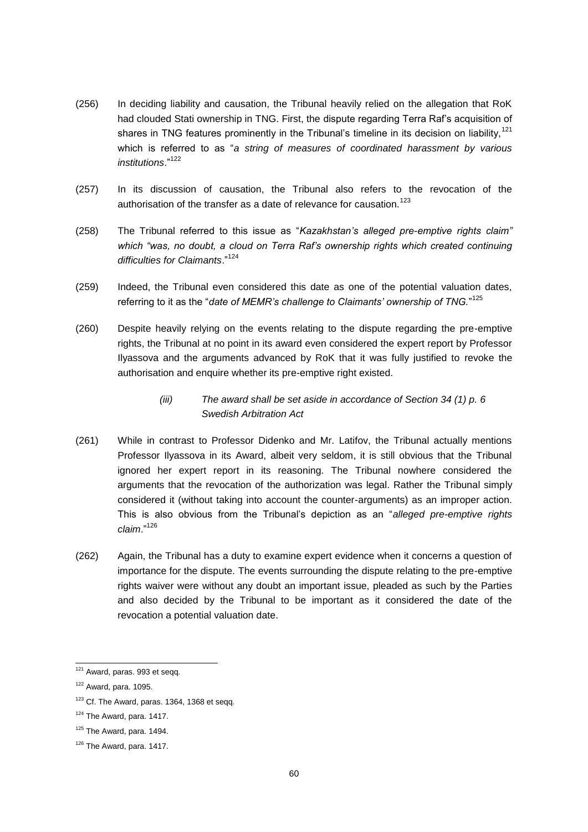- (256) In deciding liability and causation, the Tribunal heavily relied on the allegation that RoK had clouded Stati ownership in TNG. First, the dispute regarding Terra Raf's acquisition of shares in TNG features prominently in the Tribunal's timeline in its decision on liability,<sup>121</sup> which is referred to as "*a string of measures of coordinated harassment by various institutions*."<sup>122</sup>
- (257) In its discussion of causation, the Tribunal also refers to the revocation of the authorisation of the transfer as a date of relevance for causation.<sup>123</sup>
- (258) The Tribunal referred to this issue as "*Kazakhstan's alleged pre-emptive rights claim" which "was, no doubt, a cloud on Terra Raf's ownership rights which created continuing difficulties for Claimants*."<sup>124</sup>
- (259) Indeed, the Tribunal even considered this date as one of the potential valuation dates, referring to it as the "*date of MEMR's challenge to Claimants' ownership of TNG.*" 125
- (260) Despite heavily relying on the events relating to the dispute regarding the pre-emptive rights, the Tribunal at no point in its award even considered the expert report by Professor Ilyassova and the arguments advanced by RoK that it was fully justified to revoke the authorisation and enquire whether its pre-emptive right existed.
	- *(iii) The award shall be set aside in accordance of Section 34 (1) p. 6 Swedish Arbitration Act*
- (261) While in contrast to Professor Didenko and Mr. Latifov, the Tribunal actually mentions Professor Ilyassova in its Award, albeit very seldom, it is still obvious that the Tribunal ignored her expert report in its reasoning. The Tribunal nowhere considered the arguments that the revocation of the authorization was legal. Rather the Tribunal simply considered it (without taking into account the counter-arguments) as an improper action. This is also obvious from the Tribunal's depiction as an "*alleged pre-emptive rights claim*."<sup>126</sup>
- (262) Again, the Tribunal has a duty to examine expert evidence when it concerns a question of importance for the dispute. The events surrounding the dispute relating to the pre-emptive rights waiver were without any doubt an important issue, pleaded as such by the Parties and also decided by the Tribunal to be important as it considered the date of the revocation a potential valuation date.

<sup>&</sup>lt;sup>121</sup> Award, paras. 993 et seqq.

 $122$  Award, para. 1095.

 $123$  Cf. The Award, paras. 1364, 1368 et segg.

 $124$  The Award, para. 1417.

 $125$  The Award, para. 1494.

<sup>&</sup>lt;sup>126</sup> The Award, para. 1417.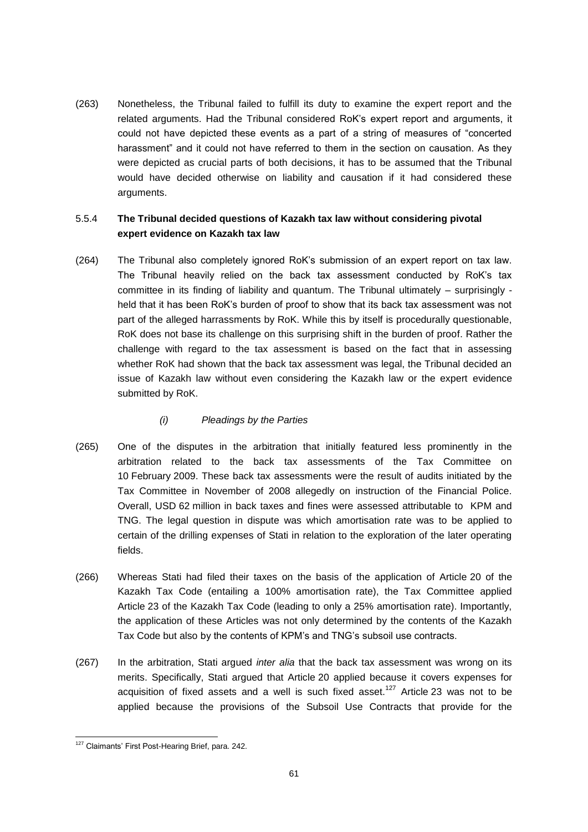(263) Nonetheless, the Tribunal failed to fulfill its duty to examine the expert report and the related arguments. Had the Tribunal considered RoK's expert report and arguments, it could not have depicted these events as a part of a string of measures of "concerted harassment" and it could not have referred to them in the section on causation. As they were depicted as crucial parts of both decisions, it has to be assumed that the Tribunal would have decided otherwise on liability and causation if it had considered these arguments.

# 5.5.4 **The Tribunal decided questions of Kazakh tax law without considering pivotal expert evidence on Kazakh tax law**

(264) The Tribunal also completely ignored RoK's submission of an expert report on tax law. The Tribunal heavily relied on the back tax assessment conducted by RoK's tax committee in its finding of liability and quantum. The Tribunal ultimately – surprisingly held that it has been RoK's burden of proof to show that its back tax assessment was not part of the alleged harrassments by RoK. While this by itself is procedurally questionable, RoK does not base its challenge on this surprising shift in the burden of proof. Rather the challenge with regard to the tax assessment is based on the fact that in assessing whether RoK had shown that the back tax assessment was legal, the Tribunal decided an issue of Kazakh law without even considering the Kazakh law or the expert evidence submitted by RoK.

## *(i) Pleadings by the Parties*

- (265) One of the disputes in the arbitration that initially featured less prominently in the arbitration related to the back tax assessments of the Tax Committee on 10 February 2009. These back tax assessments were the result of audits initiated by the Tax Committee in November of 2008 allegedly on instruction of the Financial Police. Overall, USD 62 million in back taxes and fines were assessed attributable to KPM and TNG. The legal question in dispute was which amortisation rate was to be applied to certain of the drilling expenses of Stati in relation to the exploration of the later operating fields.
- (266) Whereas Stati had filed their taxes on the basis of the application of Article 20 of the Kazakh Tax Code (entailing a 100% amortisation rate), the Tax Committee applied Article 23 of the Kazakh Tax Code (leading to only a 25% amortisation rate). Importantly, the application of these Articles was not only determined by the contents of the Kazakh Tax Code but also by the contents of KPM's and TNG's subsoil use contracts.
- (267) In the arbitration, Stati argued *inter alia* that the back tax assessment was wrong on its merits. Specifically, Stati argued that Article 20 applied because it covers expenses for acquisition of fixed assets and a well is such fixed asset.<sup>127</sup> Article 23 was not to be applied because the provisions of the Subsoil Use Contracts that provide for the

<sup>&</sup>lt;sup>127</sup> Claimants' First Post-Hearing Brief, para. 242.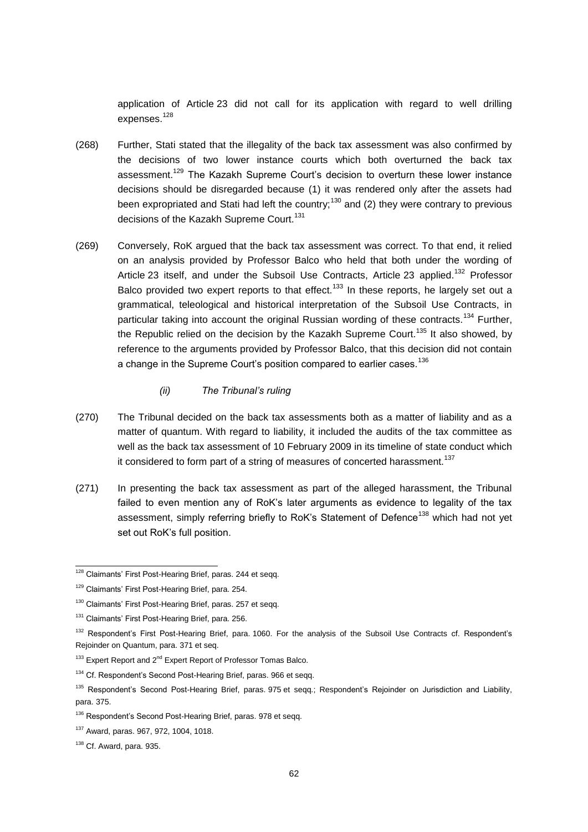application of Article 23 did not call for its application with regard to well drilling expenses.<sup>128</sup>

- (268) Further, Stati stated that the illegality of the back tax assessment was also confirmed by the decisions of two lower instance courts which both overturned the back tax assessment.<sup>129</sup> The Kazakh Supreme Court's decision to overturn these lower instance decisions should be disregarded because (1) it was rendered only after the assets had been expropriated and Stati had left the country:<sup>130</sup> and (2) they were contrary to previous decisions of the Kazakh Supreme Court.<sup>131</sup>
- (269) Conversely, RoK argued that the back tax assessment was correct. To that end, it relied on an analysis provided by Professor Balco who held that both under the wording of Article 23 itself, and under the Subsoil Use Contracts, Article 23 applied.<sup>132</sup> Professor Balco provided two expert reports to that effect.<sup>133</sup> In these reports, he largely set out a grammatical, teleological and historical interpretation of the Subsoil Use Contracts, in particular taking into account the original Russian wording of these contracts.<sup>134</sup> Further, the Republic relied on the decision by the Kazakh Supreme Court.<sup>135</sup> It also showed, by reference to the arguments provided by Professor Balco, that this decision did not contain a change in the Supreme Court's position compared to earlier cases.<sup>136</sup>
	- *(ii) The Tribunal's ruling*
- (270) The Tribunal decided on the back tax assessments both as a matter of liability and as a matter of quantum. With regard to liability, it included the audits of the tax committee as well as the back tax assessment of 10 February 2009 in its timeline of state conduct which it considered to form part of a string of measures of concerted harassment.<sup>137</sup>
- (271) In presenting the back tax assessment as part of the alleged harassment, the Tribunal failed to even mention any of RoK's later arguments as evidence to legality of the tax assessment, simply referring briefly to RoK's Statement of Defence<sup>138</sup> which had not yet set out RoK's full position.

<sup>&</sup>lt;sup>128</sup> Claimants' First Post-Hearing Brief, paras. 244 et seqq.

<sup>129</sup> Claimants' First Post-Hearing Brief, para. 254.

<sup>&</sup>lt;sup>130</sup> Claimants' First Post-Hearing Brief, paras, 257 et segg.

<sup>&</sup>lt;sup>131</sup> Claimants' First Post-Hearing Brief, para. 256.

<sup>&</sup>lt;sup>132</sup> Respondent's First Post-Hearing Brief, para. 1060. For the analysis of the Subsoil Use Contracts cf. Respondent's Rejoinder on Quantum, para. 371 et seq.

<sup>&</sup>lt;sup>133</sup> Expert Report and 2<sup>nd</sup> Expert Report of Professor Tomas Balco.

<sup>&</sup>lt;sup>134</sup> Cf. Respondent's Second Post-Hearing Brief, paras. 966 et seqq.

<sup>&</sup>lt;sup>135</sup> Respondent's Second Post-Hearing Brief, paras. 975 et segg.; Respondent's Rejoinder on Jurisdiction and Liability, para. 375.

<sup>&</sup>lt;sup>136</sup> Respondent's Second Post-Hearing Brief, paras. 978 et seqq.

<sup>137</sup> Award, paras. 967, 972, 1004, 1018.

 $138$  Cf. Award, para. 935.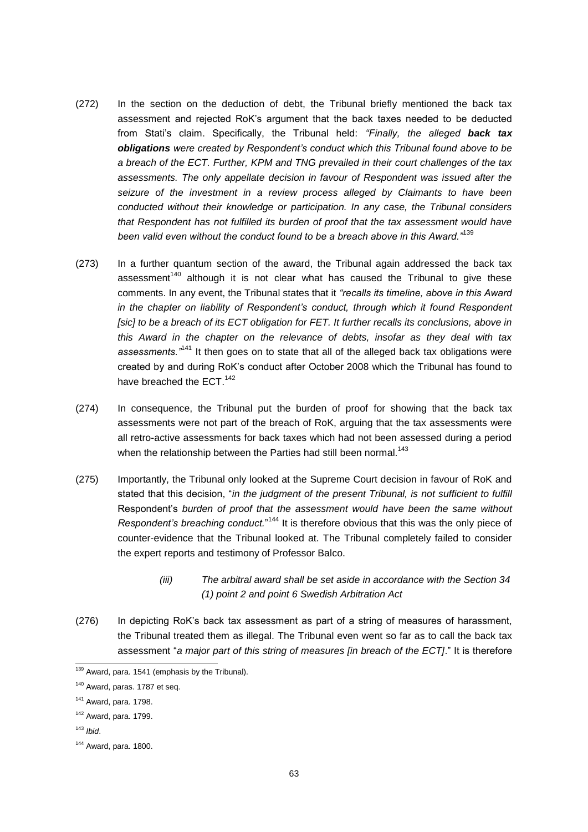- (272) In the section on the deduction of debt, the Tribunal briefly mentioned the back tax assessment and rejected RoK's argument that the back taxes needed to be deducted from Stati's claim. Specifically, the Tribunal held: *"Finally, the alleged back tax obligations were created by Respondent's conduct which this Tribunal found above to be a breach of the ECT. Further, KPM and TNG prevailed in their court challenges of the tax assessments. The only appellate decision in favour of Respondent was issued after the seizure of the investment in a review process alleged by Claimants to have been conducted without their knowledge or participation. In any case, the Tribunal considers that Respondent has not fulfilled its burden of proof that the tax assessment would have been valid even without the conduct found to be a breach above in this Award."*<sup>139</sup>
- (273) In a further quantum section of the award, the Tribunal again addressed the back tax assessment<sup>140</sup> although it is not clear what has caused the Tribunal to give these comments. In any event, the Tribunal states that it *"recalls its timeline, above in this Award in the chapter on liability of Respondent's conduct, through which it found Respondent [sic] to be a breach of its ECT obligation for FET. It further recalls its conclusions, above in this Award in the chapter on the relevance of debts, insofar as they deal with tax assessments."*<sup>141</sup> It then goes on to state that all of the alleged back tax obligations were created by and during RoK's conduct after October 2008 which the Tribunal has found to have breached the ECT.<sup>142</sup>
- (274) In consequence, the Tribunal put the burden of proof for showing that the back tax assessments were not part of the breach of RoK, arguing that the tax assessments were all retro-active assessments for back taxes which had not been assessed during a period when the relationship between the Parties had still been normal.<sup>143</sup>
- (275) Importantly, the Tribunal only looked at the Supreme Court decision in favour of RoK and stated that this decision, "*in the judgment of the present Tribunal, is not sufficient to fulfill* Respondent's *burden of proof that the assessment would have been the same without* Respondent's breaching conduct."<sup>144</sup> It is therefore obvious that this was the only piece of counter-evidence that the Tribunal looked at. The Tribunal completely failed to consider the expert reports and testimony of Professor Balco.
	- *(iii) The arbitral award shall be set aside in accordance with the Section 34 (1) point 2 and point 6 Swedish Arbitration Act*
- (276) In depicting RoK's back tax assessment as part of a string of measures of harassment, the Tribunal treated them as illegal. The Tribunal even went so far as to call the back tax assessment "*a major part of this string of measures [in breach of the ECT]*." It is therefore

<sup>143</sup> *Ibid*.

<sup>&</sup>lt;sup>139</sup> Award, para. 1541 (emphasis by the Tribunal).

<sup>140</sup> Award, paras. 1787 et seq.

<sup>141</sup> Award, para. 1798.

 $142$  Award, para. 1799.

<sup>144</sup> Award, para. 1800.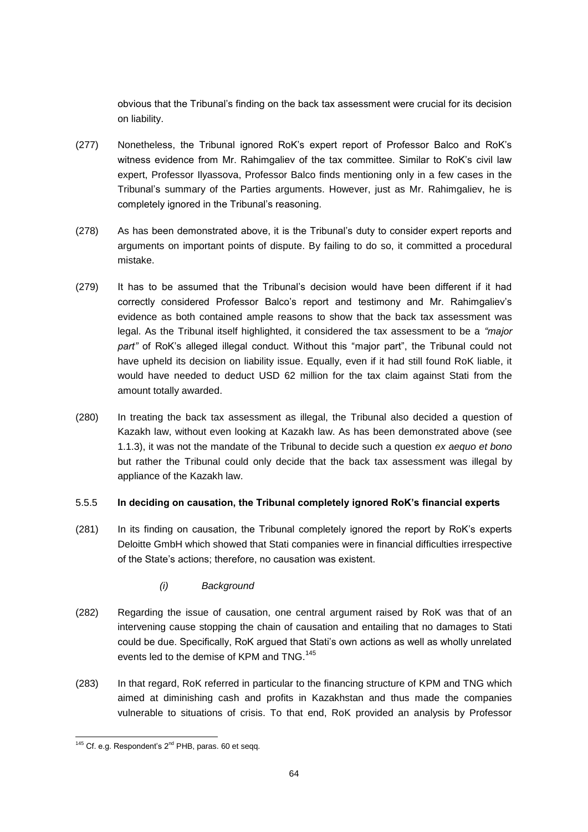obvious that the Tribunal's finding on the back tax assessment were crucial for its decision on liability.

- (277) Nonetheless, the Tribunal ignored RoK's expert report of Professor Balco and RoK's witness evidence from Mr. Rahimgaliev of the tax committee. Similar to RoK's civil law expert, Professor Ilyassova, Professor Balco finds mentioning only in a few cases in the Tribunal's summary of the Parties arguments. However, just as Mr. Rahimgaliev, he is completely ignored in the Tribunal's reasoning.
- (278) As has been demonstrated above, it is the Tribunal's duty to consider expert reports and arguments on important points of dispute. By failing to do so, it committed a procedural mistake.
- (279) It has to be assumed that the Tribunal's decision would have been different if it had correctly considered Professor Balco's report and testimony and Mr. Rahimgaliev's evidence as both contained ample reasons to show that the back tax assessment was legal. As the Tribunal itself highlighted, it considered the tax assessment to be a *"major part"* of RoK's alleged illegal conduct. Without this "major part", the Tribunal could not have upheld its decision on liability issue. Equally, even if it had still found RoK liable, it would have needed to deduct USD 62 million for the tax claim against Stati from the amount totally awarded.
- (280) In treating the back tax assessment as illegal, the Tribunal also decided a question of Kazakh law, without even looking at Kazakh law. As has been demonstrated above (see 1.1.3), it was not the mandate of the Tribunal to decide such a question *ex aequo et bono* but rather the Tribunal could only decide that the back tax assessment was illegal by appliance of the Kazakh law.

#### 5.5.5 **In deciding on causation, the Tribunal completely ignored RoK's financial experts**

- (281) In its finding on causation, the Tribunal completely ignored the report by RoK's experts Deloitte GmbH which showed that Stati companies were in financial difficulties irrespective of the State's actions; therefore, no causation was existent.
	- *(i) Background*
- (282) Regarding the issue of causation, one central argument raised by RoK was that of an intervening cause stopping the chain of causation and entailing that no damages to Stati could be due. Specifically, RoK argued that Stati's own actions as well as wholly unrelated events led to the demise of KPM and TNG.<sup>145</sup>
- (283) In that regard, RoK referred in particular to the financing structure of KPM and TNG which aimed at diminishing cash and profits in Kazakhstan and thus made the companies vulnerable to situations of crisis. To that end, RoK provided an analysis by Professor

 $145$  Cf. e.g. Respondent's  $2^{nd}$  PHB, paras. 60 et seqq.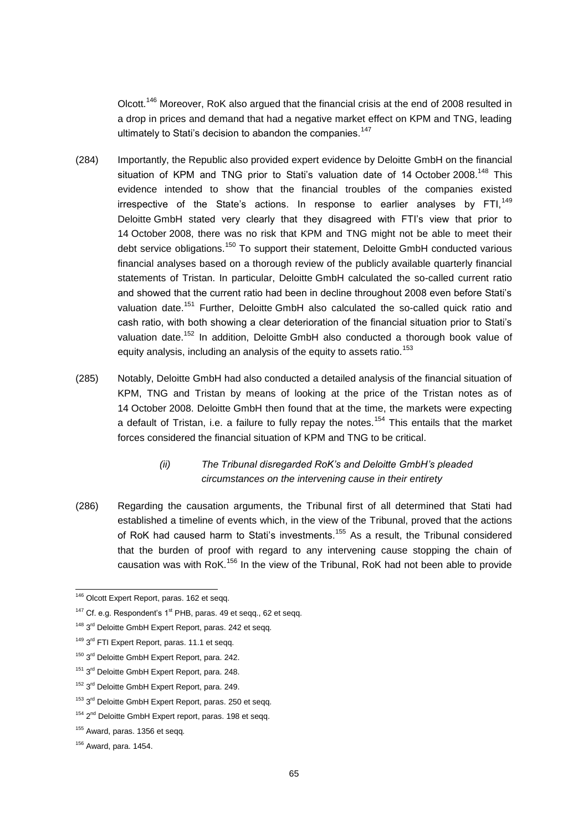Olcott.<sup>146</sup> Moreover, RoK also argued that the financial crisis at the end of 2008 resulted in a drop in prices and demand that had a negative market effect on KPM and TNG, leading ultimately to Stati's decision to abandon the companies.<sup>147</sup>

- (284) Importantly, the Republic also provided expert evidence by Deloitte GmbH on the financial situation of KPM and TNG prior to Stati's valuation date of 14 October 2008.<sup>148</sup> This evidence intended to show that the financial troubles of the companies existed irrespective of the State's actions. In response to earlier analyses by FTI,  $149$ Deloitte GmbH stated very clearly that they disagreed with FTI's view that prior to 14 October 2008, there was no risk that KPM and TNG might not be able to meet their debt service obligations.<sup>150</sup> To support their statement, Deloitte GmbH conducted various financial analyses based on a thorough review of the publicly available quarterly financial statements of Tristan. In particular, Deloitte GmbH calculated the so-called current ratio and showed that the current ratio had been in decline throughout 2008 even before Stati's valuation date.<sup>151</sup> Further, Deloitte GmbH also calculated the so-called quick ratio and cash ratio, with both showing a clear deterioration of the financial situation prior to Stati's valuation date.<sup>152</sup> In addition, Deloitte GmbH also conducted a thorough book value of equity analysis, including an analysis of the equity to assets ratio.<sup>153</sup>
- (285) Notably, Deloitte GmbH had also conducted a detailed analysis of the financial situation of KPM, TNG and Tristan by means of looking at the price of the Tristan notes as of 14 October 2008. Deloitte GmbH then found that at the time, the markets were expecting a default of Tristan, i.e. a failure to fully repay the notes.<sup>154</sup> This entails that the market forces considered the financial situation of KPM and TNG to be critical.

# *(ii) The Tribunal disregarded RoK's and Deloitte GmbH's pleaded circumstances on the intervening cause in their entirety*

(286) Regarding the causation arguments, the Tribunal first of all determined that Stati had established a timeline of events which, in the view of the Tribunal, proved that the actions of RoK had caused harm to Stati's investments.<sup>155</sup> As a result, the Tribunal considered that the burden of proof with regard to any intervening cause stopping the chain of causation was with RoK.<sup>156</sup> In the view of the Tribunal, RoK had not been able to provide

<sup>&</sup>lt;sup>146</sup> Olcott Expert Report, paras. 162 et seqq.

 $147$  Cf. e.g. Respondent's  $1<sup>st</sup>$  PHB, paras. 49 et seqq., 62 et seqq.

<sup>&</sup>lt;sup>148</sup> 3<sup>rd</sup> Deloitte GmbH Expert Report, paras. 242 et seqq.

<sup>&</sup>lt;sup>149</sup> 3<sup>rd</sup> FTI Expert Report, paras. 11.1 et seqq.

<sup>&</sup>lt;sup>150</sup> 3<sup>rd</sup> Deloitte GmbH Expert Report, para. 242.

<sup>&</sup>lt;sup>151</sup> 3<sup>rd</sup> Deloitte GmbH Expert Report, para. 248.

<sup>&</sup>lt;sup>152</sup> 3<sup>rd</sup> Deloitte GmbH Expert Report, para. 249.

<sup>&</sup>lt;sup>153</sup> 3<sup>rd</sup> Deloitte GmbH Expert Report, paras. 250 et seqq.

<sup>&</sup>lt;sup>154</sup> 2<sup>nd</sup> Deloitte GmbH Expert report, paras. 198 et seqq.

<sup>&</sup>lt;sup>155</sup> Award, paras. 1356 et segg.

 $156$  Award, para. 1454.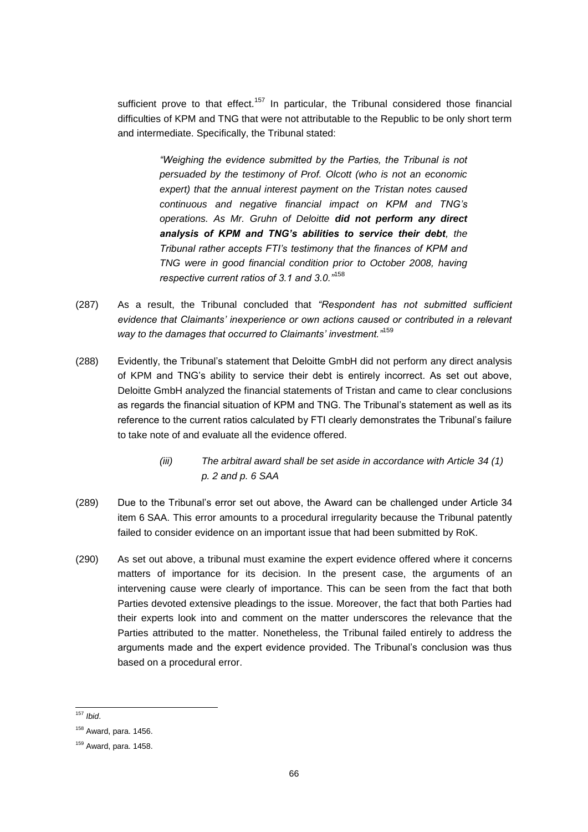sufficient prove to that effect.<sup>157</sup> In particular, the Tribunal considered those financial difficulties of KPM and TNG that were not attributable to the Republic to be only short term and intermediate. Specifically, the Tribunal stated:

> *"Weighing the evidence submitted by the Parties, the Tribunal is not persuaded by the testimony of Prof. Olcott (who is not an economic expert) that the annual interest payment on the Tristan notes caused continuous and negative financial impact on KPM and TNG's operations. As Mr. Gruhn of Deloitte did not perform any direct analysis of KPM and TNG's abilities to service their debt, the Tribunal rather accepts FTI's testimony that the finances of KPM and TNG were in good financial condition prior to October 2008, having respective current ratios of 3.1 and 3.0."*<sup>158</sup>

- (287) As a result, the Tribunal concluded that *"Respondent has not submitted sufficient evidence that Claimants' inexperience or own actions caused or contributed in a relevant way to the damages that occurred to Claimants' investment."*<sup>159</sup>
- (288) Evidently, the Tribunal's statement that Deloitte GmbH did not perform any direct analysis of KPM and TNG's ability to service their debt is entirely incorrect. As set out above, Deloitte GmbH analyzed the financial statements of Tristan and came to clear conclusions as regards the financial situation of KPM and TNG. The Tribunal's statement as well as its reference to the current ratios calculated by FTI clearly demonstrates the Tribunal's failure to take note of and evaluate all the evidence offered.
	- *(iii) The arbitral award shall be set aside in accordance with Article 34 (1) p. 2 and p. 6 SAA*
- (289) Due to the Tribunal's error set out above, the Award can be challenged under Article 34 item 6 SAA. This error amounts to a procedural irregularity because the Tribunal patently failed to consider evidence on an important issue that had been submitted by RoK.
- (290) As set out above, a tribunal must examine the expert evidence offered where it concerns matters of importance for its decision. In the present case, the arguments of an intervening cause were clearly of importance. This can be seen from the fact that both Parties devoted extensive pleadings to the issue. Moreover, the fact that both Parties had their experts look into and comment on the matter underscores the relevance that the Parties attributed to the matter. Nonetheless, the Tribunal failed entirely to address the arguments made and the expert evidence provided. The Tribunal's conclusion was thus based on a procedural error.

<sup>157</sup> *Ibid*.

 $158$  Award, para. 1456.

 $159$  Award, para. 1458.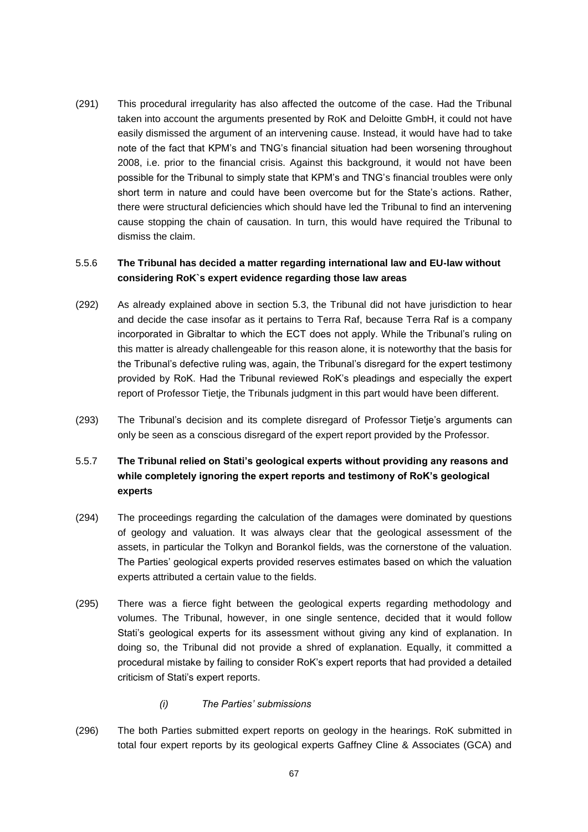(291) This procedural irregularity has also affected the outcome of the case. Had the Tribunal taken into account the arguments presented by RoK and Deloitte GmbH, it could not have easily dismissed the argument of an intervening cause. Instead, it would have had to take note of the fact that KPM's and TNG's financial situation had been worsening throughout 2008, i.e. prior to the financial crisis. Against this background, it would not have been possible for the Tribunal to simply state that KPM's and TNG's financial troubles were only short term in nature and could have been overcome but for the State's actions. Rather, there were structural deficiencies which should have led the Tribunal to find an intervening cause stopping the chain of causation. In turn, this would have required the Tribunal to dismiss the claim.

## 5.5.6 **The Tribunal has decided a matter regarding international law and EU-law without considering RoK`s expert evidence regarding those law areas**

- (292) As already explained above in section 5.3, the Tribunal did not have jurisdiction to hear and decide the case insofar as it pertains to Terra Raf, because Terra Raf is a company incorporated in Gibraltar to which the ECT does not apply. While the Tribunal's ruling on this matter is already challengeable for this reason alone, it is noteworthy that the basis for the Tribunal's defective ruling was, again, the Tribunal's disregard for the expert testimony provided by RoK. Had the Tribunal reviewed RoK's pleadings and especially the expert report of Professor Tietje, the Tribunals judgment in this part would have been different.
- (293) The Tribunal's decision and its complete disregard of Professor Tietje's arguments can only be seen as a conscious disregard of the expert report provided by the Professor.

## 5.5.7 **The Tribunal relied on Stati's geological experts without providing any reasons and while completely ignoring the expert reports and testimony of RoK's geological experts**

- (294) The proceedings regarding the calculation of the damages were dominated by questions of geology and valuation. It was always clear that the geological assessment of the assets, in particular the Tolkyn and Borankol fields, was the cornerstone of the valuation. The Parties' geological experts provided reserves estimates based on which the valuation experts attributed a certain value to the fields.
- (295) There was a fierce fight between the geological experts regarding methodology and volumes. The Tribunal, however, in one single sentence, decided that it would follow Stati's geological experts for its assessment without giving any kind of explanation. In doing so, the Tribunal did not provide a shred of explanation. Equally, it committed a procedural mistake by failing to consider RoK's expert reports that had provided a detailed criticism of Stati's expert reports.
	- *(i) The Parties' submissions*
- (296) The both Parties submitted expert reports on geology in the hearings. RoK submitted in total four expert reports by its geological experts Gaffney Cline & Associates (GCA) and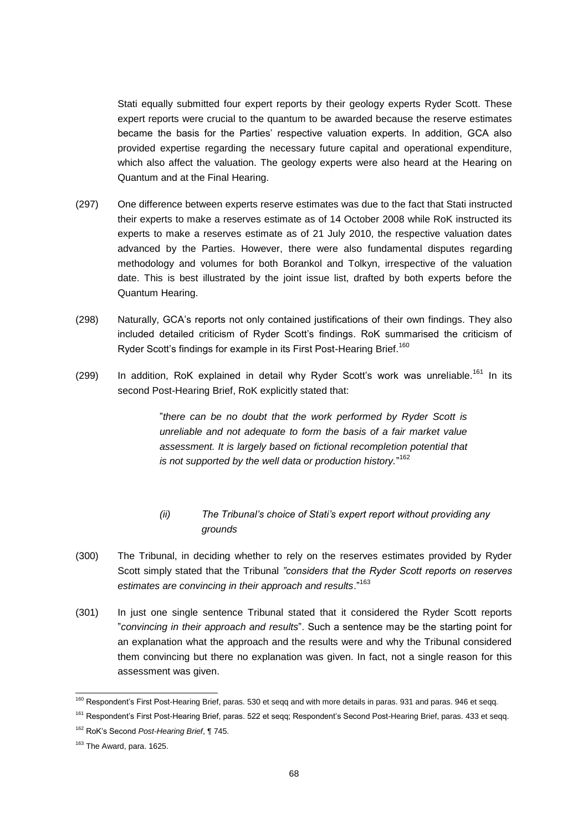Stati equally submitted four expert reports by their geology experts Ryder Scott. These expert reports were crucial to the quantum to be awarded because the reserve estimates became the basis for the Parties' respective valuation experts. In addition, GCA also provided expertise regarding the necessary future capital and operational expenditure, which also affect the valuation. The geology experts were also heard at the Hearing on Quantum and at the Final Hearing.

- (297) One difference between experts reserve estimates was due to the fact that Stati instructed their experts to make a reserves estimate as of 14 October 2008 while RoK instructed its experts to make a reserves estimate as of 21 July 2010, the respective valuation dates advanced by the Parties. However, there were also fundamental disputes regarding methodology and volumes for both Borankol and Tolkyn, irrespective of the valuation date. This is best illustrated by the joint issue list, drafted by both experts before the Quantum Hearing.
- (298) Naturally, GCA's reports not only contained justifications of their own findings. They also included detailed criticism of Ryder Scott's findings. RoK summarised the criticism of Ryder Scott's findings for example in its First Post-Hearing Brief.<sup>160</sup>
- (299) In addition, RoK explained in detail why Ryder Scott's work was unreliable.<sup>161</sup> In its second Post-Hearing Brief, RoK explicitly stated that:

"*there can be no doubt that the work performed by Ryder Scott is unreliable and not adequate to form the basis of a fair market value assessment. It is largely based on fictional recompletion potential that is not supported by the well data or production history.*" 162

- *(ii) The Tribunal's choice of Stati's expert report without providing any grounds*
- (300) The Tribunal, in deciding whether to rely on the reserves estimates provided by Ryder Scott simply stated that the Tribunal *"considers that the Ryder Scott reports on reserves estimates are convincing in their approach and results*."<sup>163</sup>
- (301) In just one single sentence Tribunal stated that it considered the Ryder Scott reports "*convincing in their approach and results*". Such a sentence may be the starting point for an explanation what the approach and the results were and why the Tribunal considered them convincing but there no explanation was given. In fact, not a single reason for this assessment was given.

<sup>&</sup>lt;sup>160</sup> Respondent's First Post-Hearing Brief, paras. 530 et seqq and with more details in paras. 931 and paras. 946 et seqq.

<sup>&</sup>lt;sup>161</sup> Respondent's First Post-Hearing Brief, paras. 522 et seqq; Respondent's Second Post-Hearing Brief, paras. 433 et seqq.

<sup>162</sup> RoK's Second *Post-Hearing Brief*, ¶ 745.

<sup>&</sup>lt;sup>163</sup> The Award, para. 1625.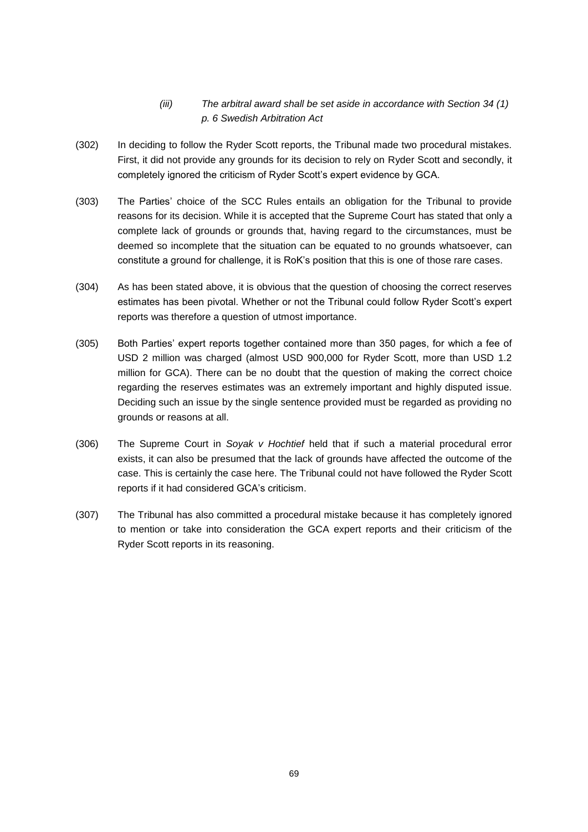- *(iii) The arbitral award shall be set aside in accordance with Section 34 (1) p. 6 Swedish Arbitration Act*
- (302) In deciding to follow the Ryder Scott reports, the Tribunal made two procedural mistakes. First, it did not provide any grounds for its decision to rely on Ryder Scott and secondly, it completely ignored the criticism of Ryder Scott's expert evidence by GCA.
- (303) The Parties' choice of the SCC Rules entails an obligation for the Tribunal to provide reasons for its decision. While it is accepted that the Supreme Court has stated that only a complete lack of grounds or grounds that, having regard to the circumstances, must be deemed so incomplete that the situation can be equated to no grounds whatsoever, can constitute a ground for challenge, it is RoK's position that this is one of those rare cases.
- (304) As has been stated above, it is obvious that the question of choosing the correct reserves estimates has been pivotal. Whether or not the Tribunal could follow Ryder Scott's expert reports was therefore a question of utmost importance.
- (305) Both Parties' expert reports together contained more than 350 pages, for which a fee of USD 2 million was charged (almost USD 900,000 for Ryder Scott, more than USD 1.2 million for GCA). There can be no doubt that the question of making the correct choice regarding the reserves estimates was an extremely important and highly disputed issue. Deciding such an issue by the single sentence provided must be regarded as providing no grounds or reasons at all.
- (306) The Supreme Court in *Soyak v Hochtief* held that if such a material procedural error exists, it can also be presumed that the lack of grounds have affected the outcome of the case. This is certainly the case here. The Tribunal could not have followed the Ryder Scott reports if it had considered GCA's criticism.
- (307) The Tribunal has also committed a procedural mistake because it has completely ignored to mention or take into consideration the GCA expert reports and their criticism of the Ryder Scott reports in its reasoning.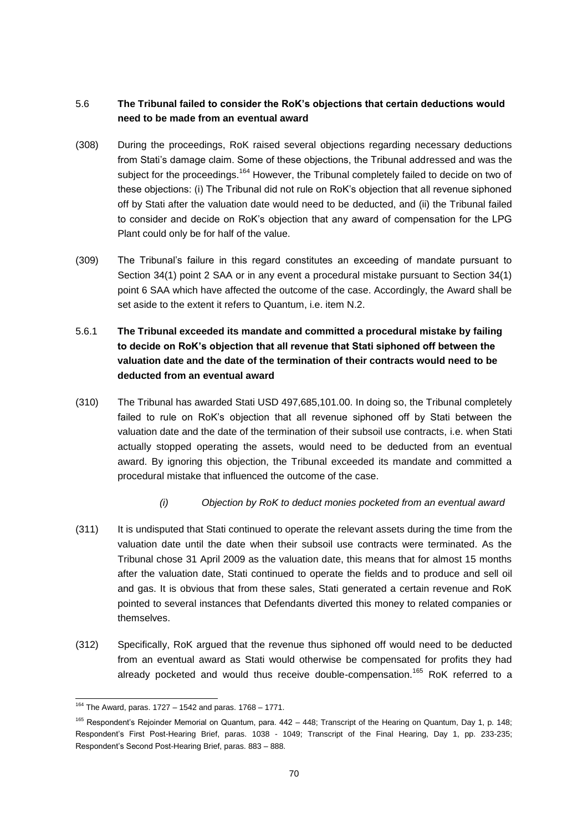# 5.6 **The Tribunal failed to consider the RoK's objections that certain deductions would need to be made from an eventual award**

- (308) During the proceedings, RoK raised several objections regarding necessary deductions from Stati's damage claim. Some of these objections, the Tribunal addressed and was the subject for the proceedings.<sup>164</sup> However, the Tribunal completely failed to decide on two of these objections: (i) The Tribunal did not rule on RoK's objection that all revenue siphoned off by Stati after the valuation date would need to be deducted, and (ii) the Tribunal failed to consider and decide on RoK's objection that any award of compensation for the LPG Plant could only be for half of the value.
- (309) The Tribunal's failure in this regard constitutes an exceeding of mandate pursuant to Section 34(1) point 2 SAA or in any event a procedural mistake pursuant to Section 34(1) point 6 SAA which have affected the outcome of the case. Accordingly, the Award shall be set aside to the extent it refers to Quantum, i.e. item N.2.

# 5.6.1 **The Tribunal exceeded its mandate and committed a procedural mistake by failing to decide on RoK's objection that all revenue that Stati siphoned off between the valuation date and the date of the termination of their contracts would need to be deducted from an eventual award**

- (310) The Tribunal has awarded Stati USD 497,685,101.00. In doing so, the Tribunal completely failed to rule on RoK's objection that all revenue siphoned off by Stati between the valuation date and the date of the termination of their subsoil use contracts, i.e. when Stati actually stopped operating the assets, would need to be deducted from an eventual award. By ignoring this objection, the Tribunal exceeded its mandate and committed a procedural mistake that influenced the outcome of the case.
	- *(i) Objection by RoK to deduct monies pocketed from an eventual award*
- (311) It is undisputed that Stati continued to operate the relevant assets during the time from the valuation date until the date when their subsoil use contracts were terminated. As the Tribunal chose 31 April 2009 as the valuation date, this means that for almost 15 months after the valuation date, Stati continued to operate the fields and to produce and sell oil and gas. It is obvious that from these sales, Stati generated a certain revenue and RoK pointed to several instances that Defendants diverted this money to related companies or themselves.
- (312) Specifically, RoK argued that the revenue thus siphoned off would need to be deducted from an eventual award as Stati would otherwise be compensated for profits they had already pocketed and would thus receive double-compensation.<sup>165</sup> RoK referred to a

 $164$  The Award, paras. 1727 – 1542 and paras. 1768 – 1771.

<sup>&</sup>lt;sup>165</sup> Respondent's Rejoinder Memorial on Quantum, para. 442 – 448; Transcript of the Hearing on Quantum, Day 1, p. 148; Respondent's First Post-Hearing Brief, paras. 1038 - 1049; Transcript of the Final Hearing, Day 1, pp. 233-235; Respondent's Second Post-Hearing Brief, paras. 883 – 888.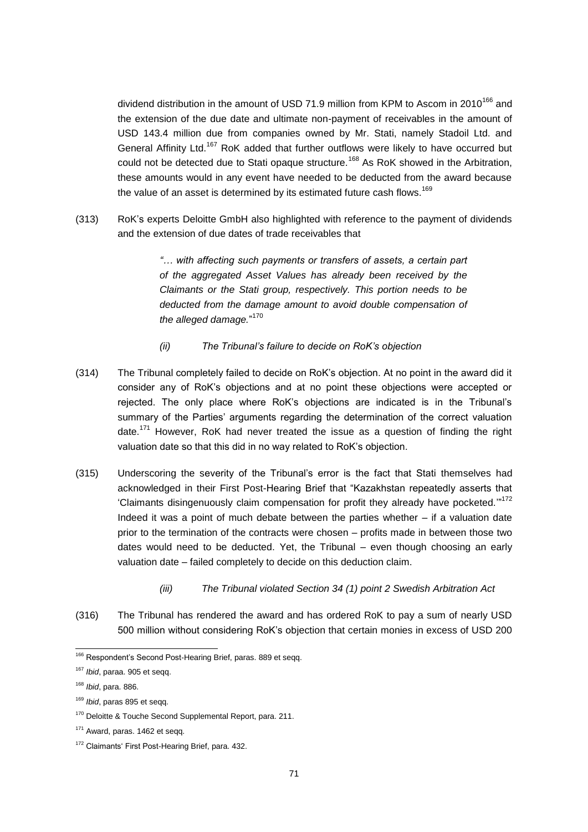dividend distribution in the amount of USD 71.9 million from KPM to Ascom in 2010<sup>166</sup> and the extension of the due date and ultimate non-payment of receivables in the amount of USD 143.4 million due from companies owned by Mr. Stati, namely Stadoil Ltd. and General Affinity Ltd.<sup>167</sup> RoK added that further outflows were likely to have occurred but could not be detected due to Stati opaque structure.<sup>168</sup> As RoK showed in the Arbitration, these amounts would in any event have needed to be deducted from the award because the value of an asset is determined by its estimated future cash flows.<sup>169</sup>

(313) RoK's experts Deloitte GmbH also highlighted with reference to the payment of dividends and the extension of due dates of trade receivables that

> *"… with affecting such payments or transfers of assets, a certain part of the aggregated Asset Values has already been received by the Claimants or the Stati group, respectively. This portion needs to be deducted from the damage amount to avoid double compensation of the alleged damage.*" 170

- *(ii) The Tribunal's failure to decide on RoK's objection*
- (314) The Tribunal completely failed to decide on RoK's objection. At no point in the award did it consider any of RoK's objections and at no point these objections were accepted or rejected. The only place where RoK's objections are indicated is in the Tribunal's summary of the Parties' arguments regarding the determination of the correct valuation date.<sup>171</sup> However, RoK had never treated the issue as a question of finding the right valuation date so that this did in no way related to RoK's objection.
- (315) Underscoring the severity of the Tribunal's error is the fact that Stati themselves had acknowledged in their First Post-Hearing Brief that "Kazakhstan repeatedly asserts that 'Claimants disingenuously claim compensation for profit they already have pocketed.'" 172 Indeed it was a point of much debate between the parties whether – if a valuation date prior to the termination of the contracts were chosen – profits made in between those two dates would need to be deducted. Yet, the Tribunal – even though choosing an early valuation date – failed completely to decide on this deduction claim.
	- *(iii) The Tribunal violated Section 34 (1) point 2 Swedish Arbitration Act*
- (316) The Tribunal has rendered the award and has ordered RoK to pay a sum of nearly USD 500 million without considering RoK's objection that certain monies in excess of USD 200

<sup>&</sup>lt;sup>166</sup> Respondent's Second Post-Hearing Brief, paras. 889 et seqq.

<sup>167</sup> *Ibid*, paraa. 905 et seqq.

<sup>168</sup> *Ibid*, para. 886.

<sup>169</sup> *Ibid*, paras 895 et seqq.

<sup>&</sup>lt;sup>170</sup> Deloitte & Touche Second Supplemental Report, para. 211.

<sup>&</sup>lt;sup>171</sup> Award, paras. 1462 et segg.

<sup>&</sup>lt;sup>172</sup> Claimants' First Post-Hearing Brief, para. 432.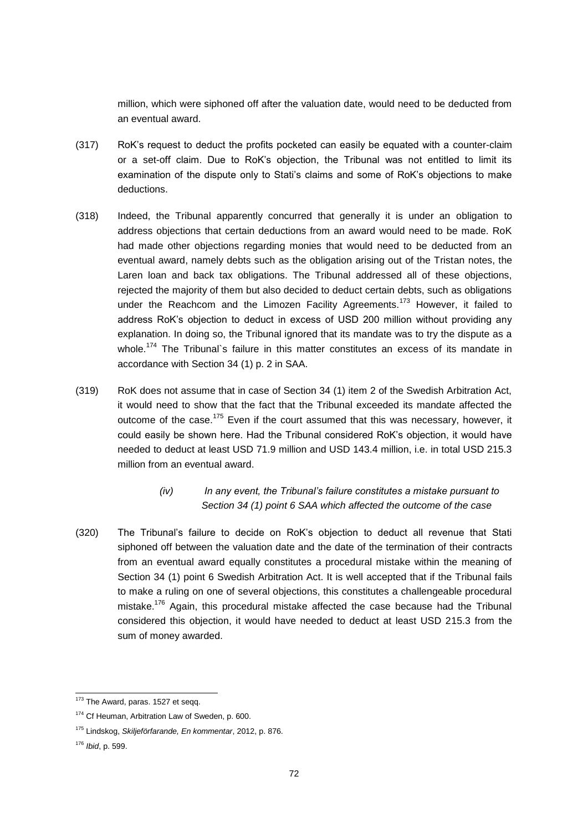million, which were siphoned off after the valuation date, would need to be deducted from an eventual award.

- (317) RoK's request to deduct the profits pocketed can easily be equated with a counter-claim or a set-off claim. Due to RoK's objection, the Tribunal was not entitled to limit its examination of the dispute only to Stati's claims and some of RoK's objections to make deductions.
- (318) Indeed, the Tribunal apparently concurred that generally it is under an obligation to address objections that certain deductions from an award would need to be made. RoK had made other objections regarding monies that would need to be deducted from an eventual award, namely debts such as the obligation arising out of the Tristan notes, the Laren loan and back tax obligations. The Tribunal addressed all of these objections, rejected the majority of them but also decided to deduct certain debts, such as obligations under the Reachcom and the Limozen Facility Agreements.<sup>173</sup> However, it failed to address RoK's objection to deduct in excess of USD 200 million without providing any explanation. In doing so, the Tribunal ignored that its mandate was to try the dispute as a whole.<sup>174</sup> The Tribunal's failure in this matter constitutes an excess of its mandate in accordance with Section 34 (1) p. 2 in SAA.
- (319) RoK does not assume that in case of Section 34 (1) item 2 of the Swedish Arbitration Act, it would need to show that the fact that the Tribunal exceeded its mandate affected the outcome of the case.<sup>175</sup> Even if the court assumed that this was necessary, however, it could easily be shown here. Had the Tribunal considered RoK's objection, it would have needed to deduct at least USD 71.9 million and USD 143.4 million, i.e. in total USD 215.3 million from an eventual award.

# *(iv) In any event, the Tribunal's failure constitutes a mistake pursuant to Section 34 (1) point 6 SAA which affected the outcome of the case*

(320) The Tribunal's failure to decide on RoK's objection to deduct all revenue that Stati siphoned off between the valuation date and the date of the termination of their contracts from an eventual award equally constitutes a procedural mistake within the meaning of Section 34 (1) point 6 Swedish Arbitration Act. It is well accepted that if the Tribunal fails to make a ruling on one of several objections, this constitutes a challengeable procedural mistake.<sup>176</sup> Again, this procedural mistake affected the case because had the Tribunal considered this objection, it would have needed to deduct at least USD 215.3 from the sum of money awarded.

<sup>&</sup>lt;sup>173</sup> The Award, paras. 1527 et seqq.

<sup>&</sup>lt;sup>174</sup> Cf Heuman, Arbitration Law of Sweden, p. 600.

<sup>175</sup> Lindskog, *Skiljeförfarande, En kommentar*, 2012, p. 876.

<sup>176</sup> *Ibid*, p. 599.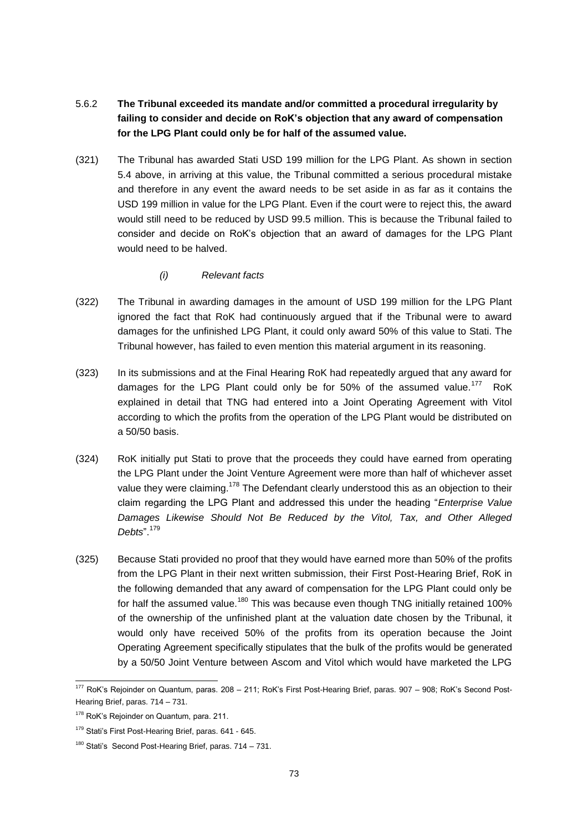- 5.6.2 **The Tribunal exceeded its mandate and/or committed a procedural irregularity by failing to consider and decide on RoK's objection that any award of compensation for the LPG Plant could only be for half of the assumed value.**
- (321) The Tribunal has awarded Stati USD 199 million for the LPG Plant. As shown in section 5.4 above, in arriving at this value, the Tribunal committed a serious procedural mistake and therefore in any event the award needs to be set aside in as far as it contains the USD 199 million in value for the LPG Plant. Even if the court were to reject this, the award would still need to be reduced by USD 99.5 million. This is because the Tribunal failed to consider and decide on RoK's objection that an award of damages for the LPG Plant would need to be halved.
	- *(i) Relevant facts*
- (322) The Tribunal in awarding damages in the amount of USD 199 million for the LPG Plant ignored the fact that RoK had continuously argued that if the Tribunal were to award damages for the unfinished LPG Plant, it could only award 50% of this value to Stati. The Tribunal however, has failed to even mention this material argument in its reasoning.
- (323) In its submissions and at the Final Hearing RoK had repeatedly argued that any award for damages for the LPG Plant could only be for 50% of the assumed value.<sup>177</sup> RoK explained in detail that TNG had entered into a Joint Operating Agreement with Vitol according to which the profits from the operation of the LPG Plant would be distributed on a 50/50 basis.
- (324) RoK initially put Stati to prove that the proceeds they could have earned from operating the LPG Plant under the Joint Venture Agreement were more than half of whichever asset value they were claiming.<sup>178</sup> The Defendant clearly understood this as an objection to their claim regarding the LPG Plant and addressed this under the heading "*Enterprise Value Damages Likewise Should Not Be Reduced by the Vitol, Tax, and Other Alleged Debts*".<sup>179</sup>
- (325) Because Stati provided no proof that they would have earned more than 50% of the profits from the LPG Plant in their next written submission, their First Post-Hearing Brief, RoK in the following demanded that any award of compensation for the LPG Plant could only be for half the assumed value.<sup>180</sup> This was because even though TNG initially retained 100% of the ownership of the unfinished plant at the valuation date chosen by the Tribunal, it would only have received 50% of the profits from its operation because the Joint Operating Agreement specifically stipulates that the bulk of the profits would be generated by a 50/50 Joint Venture between Ascom and Vitol which would have marketed the LPG

<sup>&</sup>lt;sup>177</sup> RoK's Rejoinder on Quantum, paras. 208 - 211; RoK's First Post-Hearing Brief, paras. 907 - 908; RoK's Second Post-Hearing Brief, paras. 714 – 731.

<sup>&</sup>lt;sup>178</sup> RoK's Rejoinder on Quantum, para. 211.

<sup>&</sup>lt;sup>179</sup> Stati's First Post-Hearing Brief, paras. 641 - 645.

<sup>180</sup> Stati's Second Post-Hearing Brief, paras. 714 – 731.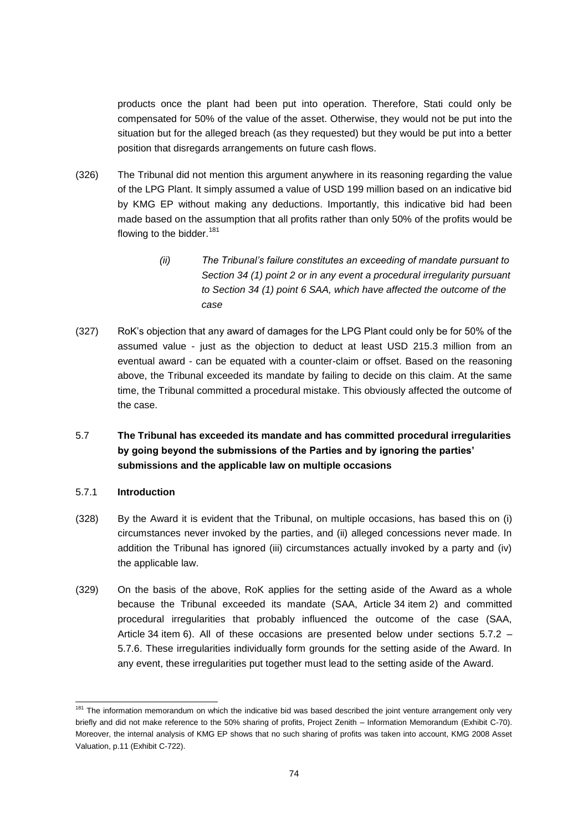products once the plant had been put into operation. Therefore, Stati could only be compensated for 50% of the value of the asset. Otherwise, they would not be put into the situation but for the alleged breach (as they requested) but they would be put into a better position that disregards arrangements on future cash flows.

- (326) The Tribunal did not mention this argument anywhere in its reasoning regarding the value of the LPG Plant. It simply assumed a value of USD 199 million based on an indicative bid by KMG EP without making any deductions. Importantly, this indicative bid had been made based on the assumption that all profits rather than only 50% of the profits would be flowing to the bidder.<sup>181</sup>
	- *(ii) The Tribunal's failure constitutes an exceeding of mandate pursuant to Section 34 (1) point 2 or in any event a procedural irregularity pursuant to Section 34 (1) point 6 SAA, which have affected the outcome of the case*
- (327) RoK's objection that any award of damages for the LPG Plant could only be for 50% of the assumed value - just as the objection to deduct at least USD 215.3 million from an eventual award - can be equated with a counter-claim or offset. Based on the reasoning above, the Tribunal exceeded its mandate by failing to decide on this claim. At the same time, the Tribunal committed a procedural mistake. This obviously affected the outcome of the case.
- 5.7 **The Tribunal has exceeded its mandate and has committed procedural irregularities by going beyond the submissions of the Parties and by ignoring the parties' submissions and the applicable law on multiple occasions**

#### 5.7.1 **Introduction**

- (328) By the Award it is evident that the Tribunal, on multiple occasions, has based this on (i) circumstances never invoked by the parties, and (ii) alleged concessions never made. In addition the Tribunal has ignored (iii) circumstances actually invoked by a party and (iv) the applicable law.
- (329) On the basis of the above, RoK applies for the setting aside of the Award as a whole because the Tribunal exceeded its mandate (SAA, Article 34 item 2) and committed procedural irregularities that probably influenced the outcome of the case (SAA, Article 34 item 6). All of these occasions are presented below under sections  $5.7.2$  -5.7.6. These irregularities individually form grounds for the setting aside of the Award. In any event, these irregularities put together must lead to the setting aside of the Award.

<sup>&</sup>lt;sup>181</sup> The information memorandum on which the indicative bid was based described the joint venture arrangement only very briefly and did not make reference to the 50% sharing of profits, Project Zenith – Information Memorandum (Exhibit C-70). Moreover, the internal analysis of KMG EP shows that no such sharing of profits was taken into account, KMG 2008 Asset Valuation, p.11 (Exhibit C-722).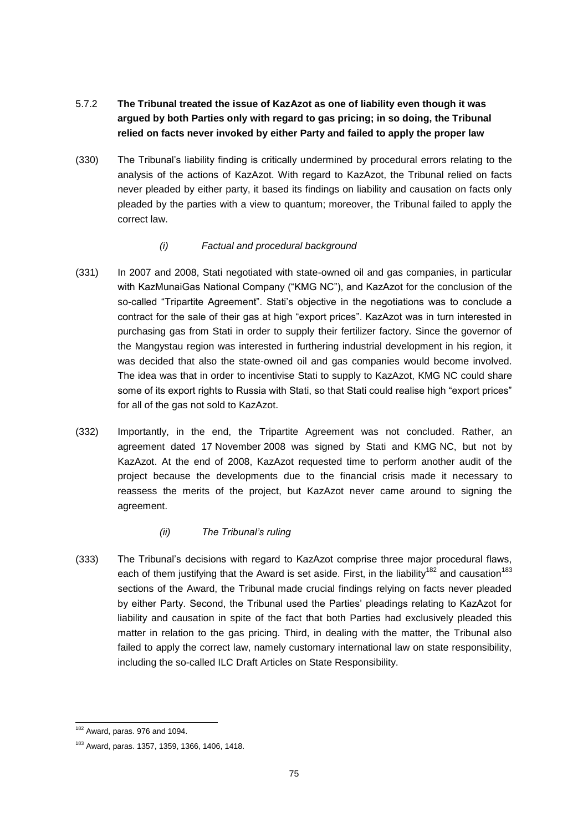# 5.7.2 **The Tribunal treated the issue of KazAzot as one of liability even though it was argued by both Parties only with regard to gas pricing; in so doing, the Tribunal relied on facts never invoked by either Party and failed to apply the proper law**

(330) The Tribunal's liability finding is critically undermined by procedural errors relating to the analysis of the actions of KazAzot. With regard to KazAzot, the Tribunal relied on facts never pleaded by either party, it based its findings on liability and causation on facts only pleaded by the parties with a view to quantum; moreover, the Tribunal failed to apply the correct law.

### *(i) Factual and procedural background*

- (331) In 2007 and 2008, Stati negotiated with state-owned oil and gas companies, in particular with KazMunaiGas National Company ("KMG NC"), and KazAzot for the conclusion of the so-called "Tripartite Agreement". Stati's objective in the negotiations was to conclude a contract for the sale of their gas at high "export prices". KazAzot was in turn interested in purchasing gas from Stati in order to supply their fertilizer factory. Since the governor of the Mangystau region was interested in furthering industrial development in his region, it was decided that also the state-owned oil and gas companies would become involved. The idea was that in order to incentivise Stati to supply to KazAzot, KMG NC could share some of its export rights to Russia with Stati, so that Stati could realise high "export prices" for all of the gas not sold to KazAzot.
- (332) Importantly, in the end, the Tripartite Agreement was not concluded. Rather, an agreement dated 17 November 2008 was signed by Stati and KMG NC, but not by KazAzot. At the end of 2008, KazAzot requested time to perform another audit of the project because the developments due to the financial crisis made it necessary to reassess the merits of the project, but KazAzot never came around to signing the agreement.

# *(ii) The Tribunal's ruling*

(333) The Tribunal's decisions with regard to KazAzot comprise three major procedural flaws, each of them justifying that the Award is set aside. First, in the liability<sup>182</sup> and causation<sup>183</sup> sections of the Award, the Tribunal made crucial findings relying on facts never pleaded by either Party. Second, the Tribunal used the Parties' pleadings relating to KazAzot for liability and causation in spite of the fact that both Parties had exclusively pleaded this matter in relation to the gas pricing. Third, in dealing with the matter, the Tribunal also failed to apply the correct law, namely customary international law on state responsibility, including the so-called ILC Draft Articles on State Responsibility.

 $182$  Award, paras. 976 and 1094.

<sup>183</sup> Award, paras. 1357, 1359, 1366, 1406, 1418.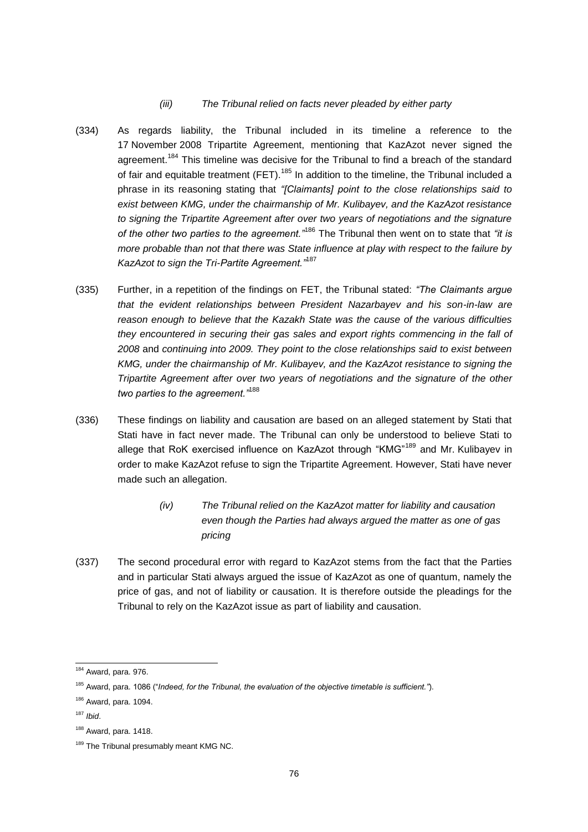#### *(iii) The Tribunal relied on facts never pleaded by either party*

- (334) As regards liability, the Tribunal included in its timeline a reference to the 17 November 2008 Tripartite Agreement, mentioning that KazAzot never signed the agreement.<sup>184</sup> This timeline was decisive for the Tribunal to find a breach of the standard of fair and equitable treatment (FET).<sup>185</sup> In addition to the timeline, the Tribunal included a phrase in its reasoning stating that *"[Claimants] point to the close relationships said to exist between KMG, under the chairmanship of Mr. Kulibayev, and the KazAzot resistance to signing the Tripartite Agreement after over two years of negotiations and the signature of the other two parties to the agreement."*<sup>186</sup> The Tribunal then went on to state that *"it is more probable than not that there was State influence at play with respect to the failure by KazAzot to sign the Tri-Partite Agreement."*<sup>187</sup>
- (335) Further, in a repetition of the findings on FET, the Tribunal stated: *"The Claimants argue that the evident relationships between President Nazarbayev and his son-in-law are reason enough to believe that the Kazakh State was the cause of the various difficulties they encountered in securing their gas sales and export rights commencing in the fall of 2008* and *continuing into 2009. They point to the close relationships said to exist between KMG, under the chairmanship of Mr. Kulibayev, and the KazAzot resistance to signing the Tripartite Agreement after over two years of negotiations and the signature of the other two parties to the agreement."*<sup>188</sup>
- (336) These findings on liability and causation are based on an alleged statement by Stati that Stati have in fact never made. The Tribunal can only be understood to believe Stati to allege that RoK exercised influence on KazAzot through "KMG"<sup>189</sup> and Mr. Kulibayev in order to make KazAzot refuse to sign the Tripartite Agreement. However, Stati have never made such an allegation.
	- *(iv) The Tribunal relied on the KazAzot matter for liability and causation even though the Parties had always argued the matter as one of gas pricing*
- (337) The second procedural error with regard to KazAzot stems from the fact that the Parties and in particular Stati always argued the issue of KazAzot as one of quantum, namely the price of gas, and not of liability or causation. It is therefore outside the pleadings for the Tribunal to rely on the KazAzot issue as part of liability and causation.

<sup>184</sup> Award, para. 976.

<sup>185</sup> Award, para. 1086 ("*Indeed, for the Tribunal, the evaluation of the objective timetable is sufficient."*).

<sup>186</sup> Award, para. 1094.

<sup>187</sup> *Ibid*.

 $188$  Award, para. 1418.

<sup>189</sup> The Tribunal presumably meant KMG NC.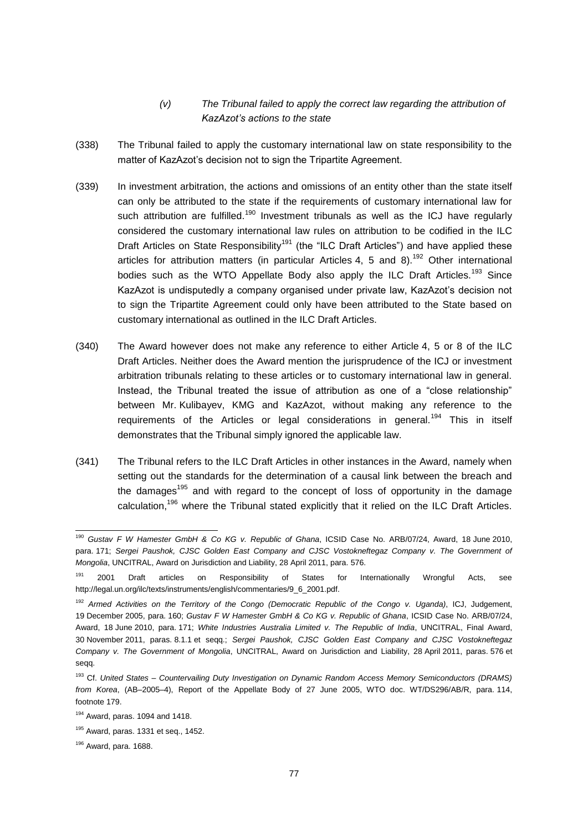## *(v) The Tribunal failed to apply the correct law regarding the attribution of KazAzot's actions to the state*

- (338) The Tribunal failed to apply the customary international law on state responsibility to the matter of KazAzot's decision not to sign the Tripartite Agreement.
- (339) In investment arbitration, the actions and omissions of an entity other than the state itself can only be attributed to the state if the requirements of customary international law for such attribution are fulfilled.<sup>190</sup> Investment tribunals as well as the ICJ have regularly considered the customary international law rules on attribution to be codified in the ILC Draft Articles on State Responsibility<sup>191</sup> (the "ILC Draft Articles") and have applied these articles for attribution matters (in particular Articles 4, 5 and 8).<sup>192</sup> Other international bodies such as the WTO Appellate Body also apply the ILC Draft Articles.<sup>193</sup> Since KazAzot is undisputedly a company organised under private law, KazAzot's decision not to sign the Tripartite Agreement could only have been attributed to the State based on customary international as outlined in the ILC Draft Articles.
- (340) The Award however does not make any reference to either Article 4, 5 or 8 of the ILC Draft Articles. Neither does the Award mention the jurisprudence of the ICJ or investment arbitration tribunals relating to these articles or to customary international law in general. Instead, the Tribunal treated the issue of attribution as one of a "close relationship" between Mr. Kulibayev, KMG and KazAzot, without making any reference to the requirements of the Articles or legal considerations in general.<sup>194</sup> This in itself demonstrates that the Tribunal simply ignored the applicable law.
- (341) The Tribunal refers to the ILC Draft Articles in other instances in the Award, namely when setting out the standards for the determination of a causal link between the breach and the damages<sup>195</sup> and with regard to the concept of loss of opportunity in the damage calculation,<sup>196</sup> where the Tribunal stated explicitly that it relied on the ILC Draft Articles.

<sup>190</sup> *Gustav F W Hamester GmbH & Co KG v. Republic of Ghana*, ICSID Case No. ARB/07/24, Award, 18 June 2010, para. 171; *Sergei Paushok, CJSC Golden East Company and CJSC Vostokneftegaz Company v. The Government of Mongolia*, UNCITRAL, Award on Jurisdiction and Liability, 28 April 2011, para. 576.

<sup>&</sup>lt;sup>191</sup> 2001 Draft articles on Responsibility of States for Internationally Wrongful Acts, see http://legal.un.org/ilc/texts/instruments/english/commentaries/9\_6\_2001.pdf.

<sup>192</sup> *Armed Activities on the Territory of the Congo (Democratic Republic of the Congo v. Uganda)*, ICJ, Judgement, 19 December 2005, para. 160; *Gustav F W Hamester GmbH & Co KG v. Republic of Ghana*, ICSID Case No. ARB/07/24, Award, 18 June 2010, para. 171; *White Industries Australia Limited v. The Republic of India*, UNCITRAL, Final Award, 30 November 2011, paras. 8.1.1 et seqq.; *Sergei Paushok, CJSC Golden East Company and CJSC Vostokneftegaz Company v. The Government of Mongolia*, UNCITRAL, Award on Jurisdiction and Liability, 28 April 2011, paras. 576 et seqq.

<sup>193</sup> Cf. *United States – Countervailing Duty Investigation on Dynamic Random Access Memory Semiconductors (DRAMS) from Korea*, (AB–2005–4), Report of the Appellate Body of 27 June 2005, WTO doc. WT/DS296/AB/R, para. 114, footnote 179.

 $194$  Award, paras. 1094 and 1418.

 $195$  Award, paras. 1331 et seq., 1452.

<sup>196</sup> Award, para. 1688.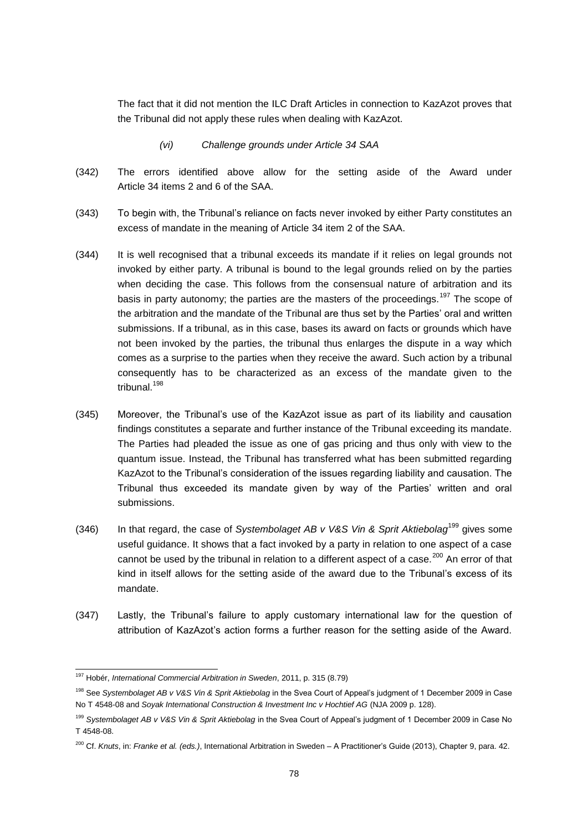The fact that it did not mention the ILC Draft Articles in connection to KazAzot proves that the Tribunal did not apply these rules when dealing with KazAzot.

#### *(vi) Challenge grounds under Article 34 SAA*

- (342) The errors identified above allow for the setting aside of the Award under Article 34 items 2 and 6 of the SAA.
- (343) To begin with, the Tribunal's reliance on facts never invoked by either Party constitutes an excess of mandate in the meaning of Article 34 item 2 of the SAA.
- (344) It is well recognised that a tribunal exceeds its mandate if it relies on legal grounds not invoked by either party. A tribunal is bound to the legal grounds relied on by the parties when deciding the case. This follows from the consensual nature of arbitration and its basis in party autonomy; the parties are the masters of the proceedings.<sup>197</sup> The scope of the arbitration and the mandate of the Tribunal are thus set by the Parties' oral and written submissions. If a tribunal, as in this case, bases its award on facts or grounds which have not been invoked by the parties, the tribunal thus enlarges the dispute in a way which comes as a surprise to the parties when they receive the award. Such action by a tribunal consequently has to be characterized as an excess of the mandate given to the tribunal<sup>198</sup>
- (345) Moreover, the Tribunal's use of the KazAzot issue as part of its liability and causation findings constitutes a separate and further instance of the Tribunal exceeding its mandate. The Parties had pleaded the issue as one of gas pricing and thus only with view to the quantum issue. Instead, the Tribunal has transferred what has been submitted regarding KazAzot to the Tribunal's consideration of the issues regarding liability and causation. The Tribunal thus exceeded its mandate given by way of the Parties' written and oral submissions.
- (346) In that regard, the case of *Systembolaget AB v V&S Vin & Sprit Aktiebolag*<sup>199</sup> gives some useful guidance. It shows that a fact invoked by a party in relation to one aspect of a case cannot be used by the tribunal in relation to a different aspect of a case.<sup>200</sup> An error of that kind in itself allows for the setting aside of the award due to the Tribunal's excess of its mandate.
- (347) Lastly, the Tribunal's failure to apply customary international law for the question of attribution of KazAzot's action forms a further reason for the setting aside of the Award.

<sup>197</sup> Hobér, *International Commercial Arbitration in Sweden*, 2011, p. 315 (8.79)

<sup>198</sup> See *Systembolaget AB v V&S Vin & Sprit Aktiebolag* in the Svea Court of Appeal's judgment of 1 December 2009 in Case No T 4548-08 and *Soyak International Construction & Investment Inc v Hochtief AG* (NJA 2009 p. 128).

<sup>199</sup> *Systembolaget AB v V&S Vin & Sprit Aktiebolag* in the Svea Court of Appeal's judgment of 1 December 2009 in Case No T 4548-08.

<sup>200</sup> Cf. *Knuts*, in: *Franke et al. (eds.)*, International Arbitration in Sweden – A Practitioner's Guide (2013), Chapter 9, para. 42.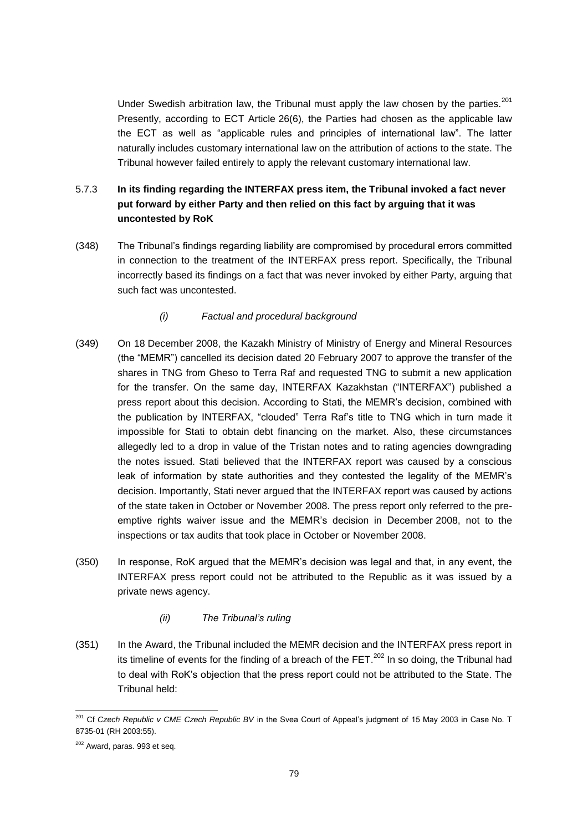Under Swedish arbitration law, the Tribunal must apply the law chosen by the parties.<sup>201</sup> Presently, according to ECT Article 26(6), the Parties had chosen as the applicable law the ECT as well as "applicable rules and principles of international law". The latter naturally includes customary international law on the attribution of actions to the state. The Tribunal however failed entirely to apply the relevant customary international law.

# 5.7.3 **In its finding regarding the INTERFAX press item, the Tribunal invoked a fact never put forward by either Party and then relied on this fact by arguing that it was uncontested by RoK**

(348) The Tribunal's findings regarding liability are compromised by procedural errors committed in connection to the treatment of the INTERFAX press report. Specifically, the Tribunal incorrectly based its findings on a fact that was never invoked by either Party, arguing that such fact was uncontested.

### *(i) Factual and procedural background*

- (349) On 18 December 2008, the Kazakh Ministry of Ministry of Energy and Mineral Resources (the "MEMR") cancelled its decision dated 20 February 2007 to approve the transfer of the shares in TNG from Gheso to Terra Raf and requested TNG to submit a new application for the transfer. On the same day, INTERFAX Kazakhstan ("INTERFAX") published a press report about this decision. According to Stati, the MEMR's decision, combined with the publication by INTERFAX, "clouded" Terra Raf's title to TNG which in turn made it impossible for Stati to obtain debt financing on the market. Also, these circumstances allegedly led to a drop in value of the Tristan notes and to rating agencies downgrading the notes issued. Stati believed that the INTERFAX report was caused by a conscious leak of information by state authorities and they contested the legality of the MEMR's decision. Importantly, Stati never argued that the INTERFAX report was caused by actions of the state taken in October or November 2008. The press report only referred to the preemptive rights waiver issue and the MEMR's decision in December 2008, not to the inspections or tax audits that took place in October or November 2008.
- (350) In response, RoK argued that the MEMR's decision was legal and that, in any event, the INTERFAX press report could not be attributed to the Republic as it was issued by a private news agency.
	- *(ii) The Tribunal's ruling*
- (351) In the Award, the Tribunal included the MEMR decision and the INTERFAX press report in its timeline of events for the finding of a breach of the FET.<sup>202</sup> In so doing, the Tribunal had to deal with RoK's objection that the press report could not be attributed to the State. The Tribunal held:

<sup>201</sup> Cf *Czech Republic v CME Czech Republic BV* in the Svea Court of Appeal's judgment of 15 May 2003 in Case No. T 8735-01 (RH 2003:55).

<sup>202</sup> Award, paras. 993 et seq.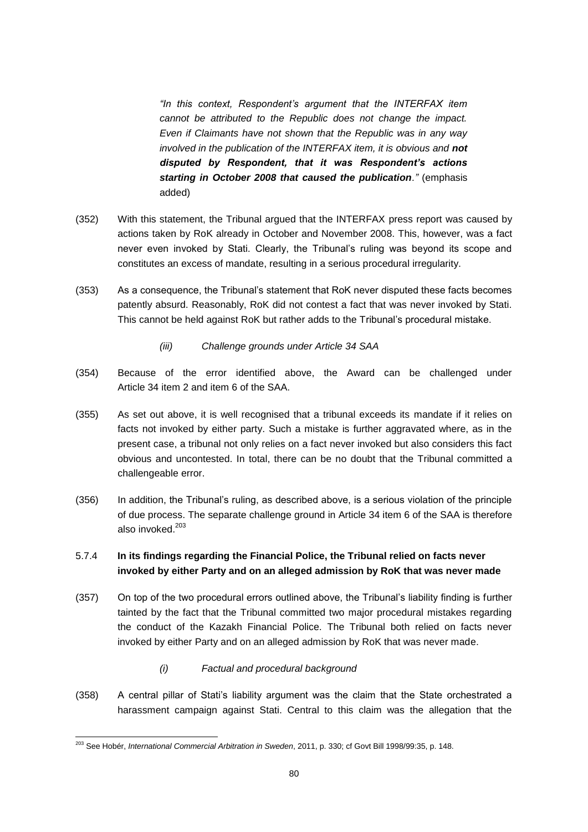*"In this context, Respondent's argument that the INTERFAX item cannot be attributed to the Republic does not change the impact. Even if Claimants have not shown that the Republic was in any way involved in the publication of the INTERFAX item, it is obvious and not disputed by Respondent, that it was Respondent's actions starting in October 2008 that caused the publication."* (emphasis added)

- (352) With this statement, the Tribunal argued that the INTERFAX press report was caused by actions taken by RoK already in October and November 2008. This, however, was a fact never even invoked by Stati. Clearly, the Tribunal's ruling was beyond its scope and constitutes an excess of mandate, resulting in a serious procedural irregularity.
- (353) As a consequence, the Tribunal's statement that RoK never disputed these facts becomes patently absurd. Reasonably, RoK did not contest a fact that was never invoked by Stati. This cannot be held against RoK but rather adds to the Tribunal's procedural mistake.
	- *(iii) Challenge grounds under Article 34 SAA*
- (354) Because of the error identified above, the Award can be challenged under Article 34 item 2 and item 6 of the SAA.
- (355) As set out above, it is well recognised that a tribunal exceeds its mandate if it relies on facts not invoked by either party. Such a mistake is further aggravated where, as in the present case, a tribunal not only relies on a fact never invoked but also considers this fact obvious and uncontested. In total, there can be no doubt that the Tribunal committed a challengeable error.
- (356) In addition, the Tribunal's ruling, as described above, is a serious violation of the principle of due process. The separate challenge ground in Article 34 item 6 of the SAA is therefore also invoked.<sup>203</sup>

## 5.7.4 **In its findings regarding the Financial Police, the Tribunal relied on facts never invoked by either Party and on an alleged admission by RoK that was never made**

- (357) On top of the two procedural errors outlined above, the Tribunal's liability finding is further tainted by the fact that the Tribunal committed two major procedural mistakes regarding the conduct of the Kazakh Financial Police. The Tribunal both relied on facts never invoked by either Party and on an alleged admission by RoK that was never made.
	- *(i) Factual and procedural background*
- (358) A central pillar of Stati's liability argument was the claim that the State orchestrated a harassment campaign against Stati. Central to this claim was the allegation that the

<sup>203</sup> See Hobér, *International Commercial Arbitration in Sweden*, 2011, p. 330; cf Govt Bill 1998/99:35, p. 148.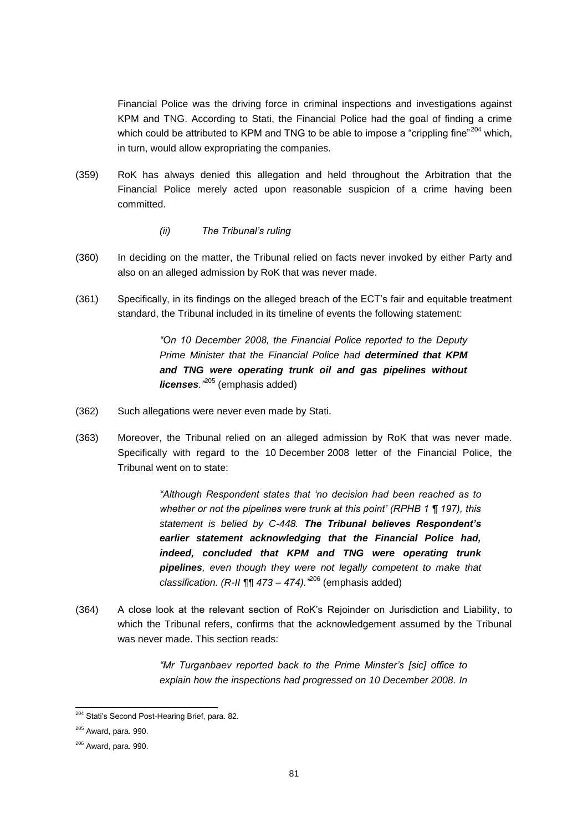Financial Police was the driving force in criminal inspections and investigations against KPM and TNG. According to Stati, the Financial Police had the goal of finding a crime which could be attributed to KPM and TNG to be able to impose a "crippling fine"<sup>204</sup> which, in turn, would allow expropriating the companies.

- (359) RoK has always denied this allegation and held throughout the Arbitration that the Financial Police merely acted upon reasonable suspicion of a crime having been committed.
	- *(ii) The Tribunal's ruling*
- (360) In deciding on the matter, the Tribunal relied on facts never invoked by either Party and also on an alleged admission by RoK that was never made.
- (361) Specifically, in its findings on the alleged breach of the ECT's fair and equitable treatment standard, the Tribunal included in its timeline of events the following statement:

*"On 10 December 2008, the Financial Police reported to the Deputy Prime Minister that the Financial Police had determined that KPM and TNG were operating trunk oil and gas pipelines without licenses."*<sup>205</sup> (emphasis added)

- (362) Such allegations were never even made by Stati.
- (363) Moreover, the Tribunal relied on an alleged admission by RoK that was never made. Specifically with regard to the 10 December 2008 letter of the Financial Police, the Tribunal went on to state:

*"Although Respondent states that 'no decision had been reached as to whether or not the pipelines were trunk at this point' (RPHB 1 ¶ 197), this statement is belied by C-448. The Tribunal believes Respondent's earlier statement acknowledging that the Financial Police had, indeed, concluded that KPM and TNG were operating trunk pipelines, even though they were not legally competent to make that classification. (R-II ¶¶ 473 – 474)."*<sup>206</sup> (emphasis added)

(364) A close look at the relevant section of RoK's Rejoinder on Jurisdiction and Liability, to which the Tribunal refers, confirms that the acknowledgement assumed by the Tribunal was never made. This section reads:

> *"Mr Turganbaev reported back to the Prime Minster's [sic] office to explain how the inspections had progressed on 10 December 2008. In*

<sup>&</sup>lt;sup>204</sup> Stati's Second Post-Hearing Brief, para. 82.

 $205$  Award, para. 990.

<sup>206</sup> Award, para. 990.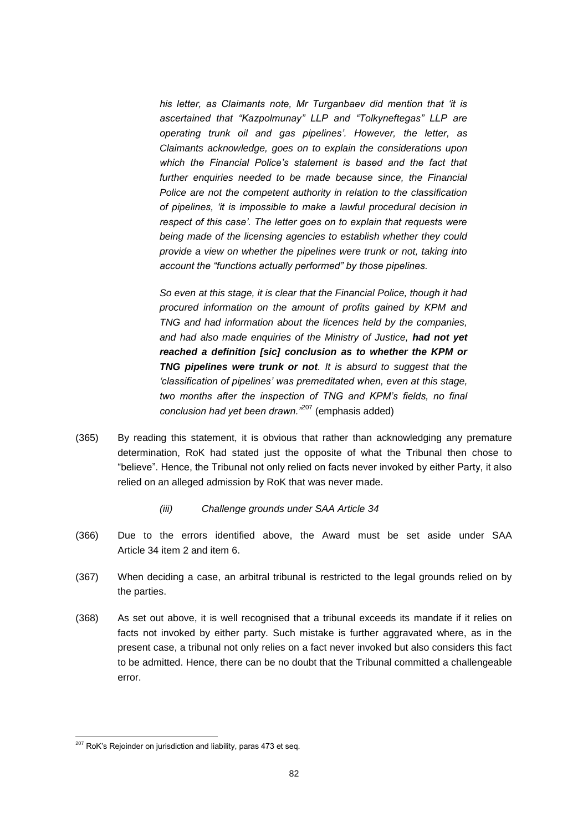*his letter, as Claimants note, Mr Turganbaev did mention that 'it is ascertained that "Kazpolmunay" LLP and "Tolkyneftegas" LLP are operating trunk oil and gas pipelines'. However, the letter, as Claimants acknowledge, goes on to explain the considerations upon which the Financial Police's statement is based and the fact that further enquiries needed to be made because since, the Financial Police are not the competent authority in relation to the classification of pipelines, 'it is impossible to make a lawful procedural decision in respect of this case'. The letter goes on to explain that requests were being made of the licensing agencies to establish whether they could provide a view on whether the pipelines were trunk or not, taking into account the "functions actually performed" by those pipelines.*

*So even at this stage, it is clear that the Financial Police, though it had procured information on the amount of profits gained by KPM and TNG and had information about the licences held by the companies, and had also made enquiries of the Ministry of Justice, had not yet reached a definition [sic] conclusion as to whether the KPM or TNG pipelines were trunk or not. It is absurd to suggest that the 'classification of pipelines' was premeditated when, even at this stage, two months after the inspection of TNG and KPM's fields, no final conclusion had yet been drawn."*<sup>207</sup> (emphasis added)

- (365) By reading this statement, it is obvious that rather than acknowledging any premature determination, RoK had stated just the opposite of what the Tribunal then chose to "believe". Hence, the Tribunal not only relied on facts never invoked by either Party, it also relied on an alleged admission by RoK that was never made.
	- *(iii) Challenge grounds under SAA Article 34*
- (366) Due to the errors identified above, the Award must be set aside under SAA Article 34 item 2 and item 6.
- (367) When deciding a case, an arbitral tribunal is restricted to the legal grounds relied on by the parties.
- (368) As set out above, it is well recognised that a tribunal exceeds its mandate if it relies on facts not invoked by either party. Such mistake is further aggravated where, as in the present case, a tribunal not only relies on a fact never invoked but also considers this fact to be admitted. Hence, there can be no doubt that the Tribunal committed a challengeable error.

 $207$  RoK's Rejoinder on jurisdiction and liability, paras 473 et seq.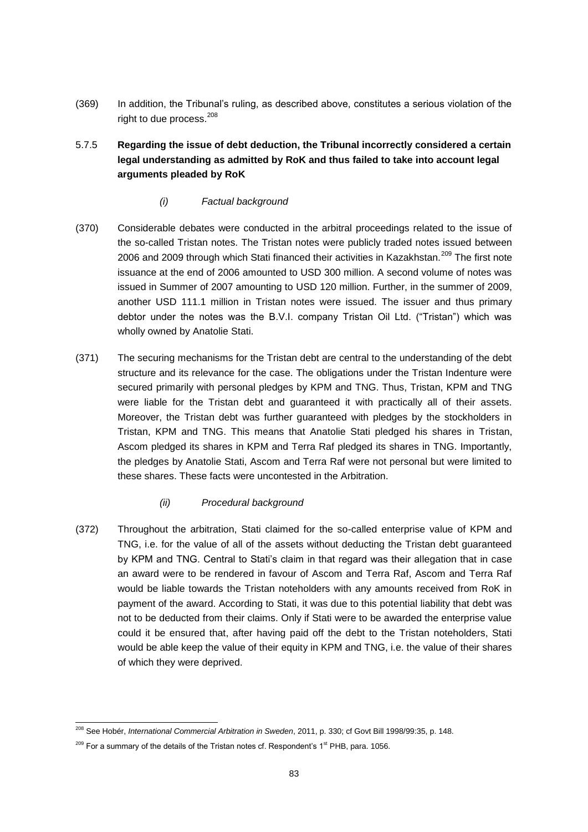(369) In addition, the Tribunal's ruling, as described above, constitutes a serious violation of the right to due process.<sup>208</sup>

# 5.7.5 **Regarding the issue of debt deduction, the Tribunal incorrectly considered a certain legal understanding as admitted by RoK and thus failed to take into account legal arguments pleaded by RoK**

### *(i) Factual background*

- (370) Considerable debates were conducted in the arbitral proceedings related to the issue of the so-called Tristan notes. The Tristan notes were publicly traded notes issued between 2006 and 2009 through which Stati financed their activities in Kazakhstan.<sup>209</sup> The first note issuance at the end of 2006 amounted to USD 300 million. A second volume of notes was issued in Summer of 2007 amounting to USD 120 million. Further, in the summer of 2009, another USD 111.1 million in Tristan notes were issued. The issuer and thus primary debtor under the notes was the B.V.I. company Tristan Oil Ltd. ("Tristan") which was wholly owned by Anatolie Stati.
- (371) The securing mechanisms for the Tristan debt are central to the understanding of the debt structure and its relevance for the case. The obligations under the Tristan Indenture were secured primarily with personal pledges by KPM and TNG. Thus, Tristan, KPM and TNG were liable for the Tristan debt and guaranteed it with practically all of their assets. Moreover, the Tristan debt was further guaranteed with pledges by the stockholders in Tristan, KPM and TNG. This means that Anatolie Stati pledged his shares in Tristan, Ascom pledged its shares in KPM and Terra Raf pledged its shares in TNG. Importantly, the pledges by Anatolie Stati, Ascom and Terra Raf were not personal but were limited to these shares. These facts were uncontested in the Arbitration.

### *(ii) Procedural background*

(372) Throughout the arbitration, Stati claimed for the so-called enterprise value of KPM and TNG, i.e. for the value of all of the assets without deducting the Tristan debt guaranteed by KPM and TNG. Central to Stati's claim in that regard was their allegation that in case an award were to be rendered in favour of Ascom and Terra Raf, Ascom and Terra Raf would be liable towards the Tristan noteholders with any amounts received from RoK in payment of the award. According to Stati, it was due to this potential liability that debt was not to be deducted from their claims. Only if Stati were to be awarded the enterprise value could it be ensured that, after having paid off the debt to the Tristan noteholders, Stati would be able keep the value of their equity in KPM and TNG, i.e. the value of their shares of which they were deprived.

<sup>208</sup> See Hobér, *International Commercial Arbitration in Sweden*, 2011, p. 330; cf Govt Bill 1998/99:35, p. 148.

 $209$  For a summary of the details of the Tristan notes cf. Respondent's 1<sup>st</sup> PHB, para. 1056.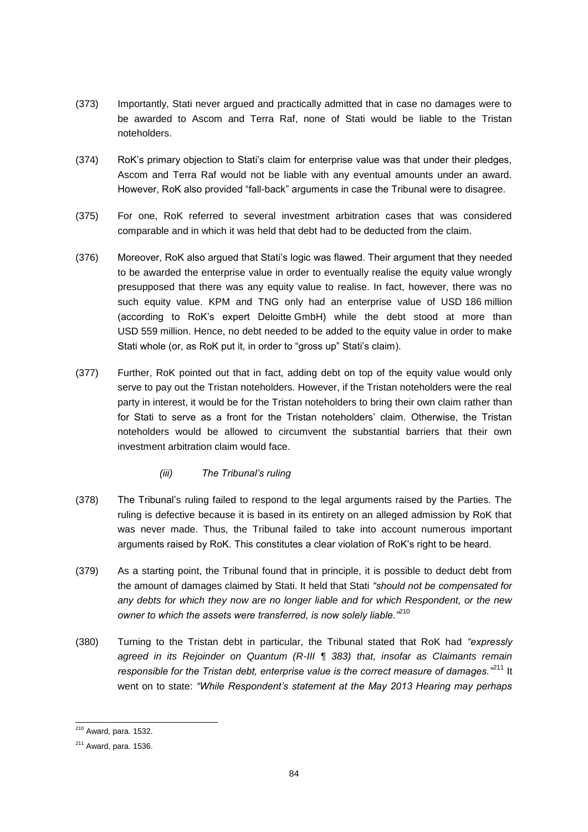- (373) Importantly, Stati never argued and practically admitted that in case no damages were to be awarded to Ascom and Terra Raf, none of Stati would be liable to the Tristan noteholders.
- (374) RoK's primary objection to Stati's claim for enterprise value was that under their pledges, Ascom and Terra Raf would not be liable with any eventual amounts under an award. However, RoK also provided "fall-back" arguments in case the Tribunal were to disagree.
- (375) For one, RoK referred to several investment arbitration cases that was considered comparable and in which it was held that debt had to be deducted from the claim.
- (376) Moreover, RoK also argued that Stati's logic was flawed. Their argument that they needed to be awarded the enterprise value in order to eventually realise the equity value wrongly presupposed that there was any equity value to realise. In fact, however, there was no such equity value. KPM and TNG only had an enterprise value of USD 186 million (according to RoK's expert Deloitte GmbH) while the debt stood at more than USD 559 million. Hence, no debt needed to be added to the equity value in order to make Stati whole (or, as RoK put it, in order to "gross up" Stati's claim).
- (377) Further, RoK pointed out that in fact, adding debt on top of the equity value would only serve to pay out the Tristan noteholders. However, if the Tristan noteholders were the real party in interest, it would be for the Tristan noteholders to bring their own claim rather than for Stati to serve as a front for the Tristan noteholders' claim. Otherwise, the Tristan noteholders would be allowed to circumvent the substantial barriers that their own investment arbitration claim would face.
	- *(iii) The Tribunal's ruling*
- (378) The Tribunal's ruling failed to respond to the legal arguments raised by the Parties. The ruling is defective because it is based in its entirety on an alleged admission by RoK that was never made. Thus, the Tribunal failed to take into account numerous important arguments raised by RoK. This constitutes a clear violation of RoK's right to be heard.
- (379) As a starting point, the Tribunal found that in principle, it is possible to deduct debt from the amount of damages claimed by Stati. It held that Stati *"should not be compensated for any debts for which they now are no longer liable and for which Respondent, or the new owner to which the assets were transferred, is now solely liable."*<sup>210</sup>
- (380) Turning to the Tristan debt in particular, the Tribunal stated that RoK had *"expressly agreed in its Rejoinder on Quantum (R-III ¶ 383) that, insofar as Claimants remain responsible for the Tristan debt, enterprise value is the correct measure of damages."*<sup>211</sup> It went on to state: *"While Respondent's statement at the May 2013 Hearing may perhaps*

 $210$  Award, para. 1532.

 $211$  Award, para. 1536.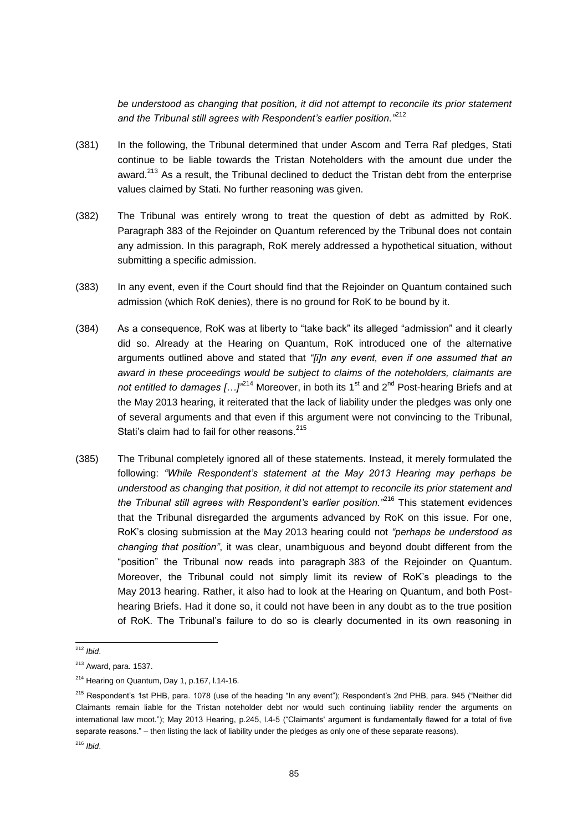*be understood as changing that position, it did not attempt to reconcile its prior statement and the Tribunal still agrees with Respondent's earlier position."*<sup>212</sup>

- (381) In the following, the Tribunal determined that under Ascom and Terra Raf pledges, Stati continue to be liable towards the Tristan Noteholders with the amount due under the award.<sup>213</sup> As a result, the Tribunal declined to deduct the Tristan debt from the enterprise values claimed by Stati. No further reasoning was given.
- (382) The Tribunal was entirely wrong to treat the question of debt as admitted by RoK. Paragraph 383 of the Rejoinder on Quantum referenced by the Tribunal does not contain any admission. In this paragraph, RoK merely addressed a hypothetical situation, without submitting a specific admission.
- (383) In any event, even if the Court should find that the Rejoinder on Quantum contained such admission (which RoK denies), there is no ground for RoK to be bound by it.
- (384) As a consequence, RoK was at liberty to "take back" its alleged "admission" and it clearly did so. Already at the Hearing on Quantum, RoK introduced one of the alternative arguments outlined above and stated that *"[i]n any event, even if one assumed that an award in these proceedings would be subject to claims of the noteholders, claimants are* not entitled to damages [...]<sup>"214</sup> Moreover, in both its 1<sup>st</sup> and 2<sup>nd</sup> Post-hearing Briefs and at the May 2013 hearing, it reiterated that the lack of liability under the pledges was only one of several arguments and that even if this argument were not convincing to the Tribunal, Stati's claim had to fail for other reasons.<sup>215</sup>
- (385) The Tribunal completely ignored all of these statements. Instead, it merely formulated the following: *"While Respondent's statement at the May 2013 Hearing may perhaps be understood as changing that position, it did not attempt to reconcile its prior statement and the Tribunal still agrees with Respondent's earlier position."*<sup>216</sup> This statement evidences that the Tribunal disregarded the arguments advanced by RoK on this issue. For one, RoK's closing submission at the May 2013 hearing could not *"perhaps be understood as changing that position"*, it was clear, unambiguous and beyond doubt different from the "position" the Tribunal now reads into paragraph 383 of the Rejoinder on Quantum. Moreover, the Tribunal could not simply limit its review of RoK's pleadings to the May 2013 hearing. Rather, it also had to look at the Hearing on Quantum, and both Posthearing Briefs. Had it done so, it could not have been in any doubt as to the true position of RoK. The Tribunal's failure to do so is clearly documented in its own reasoning in

<sup>212</sup> *Ibid*.

 $213$  Award, para. 1537.

<sup>214</sup> Hearing on Quantum, Day 1, p.167, l.14-16.

<sup>&</sup>lt;sup>215</sup> Respondent's 1st PHB, para. 1078 (use of the heading "In any event"); Respondent's 2nd PHB, para. 945 ("Neither did Claimants remain liable for the Tristan noteholder debt nor would such continuing liability render the arguments on international law moot."); May 2013 Hearing, p.245, l.4-5 ("Claimants' argument is fundamentally flawed for a total of five separate reasons." – then listing the lack of liability under the pledges as only one of these separate reasons).

<sup>216</sup> *Ibid*.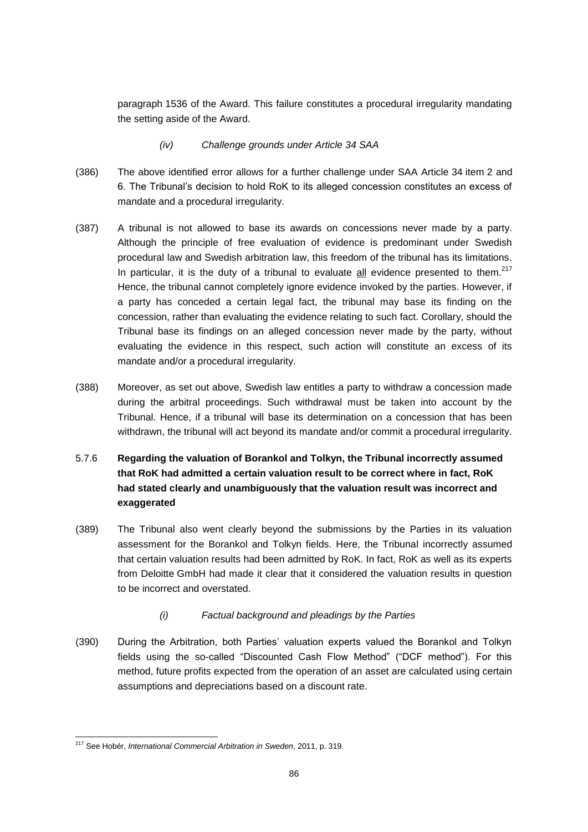paragraph 1536 of the Award. This failure constitutes a procedural irregularity mandating the setting aside of the Award.

- *(iv) Challenge grounds under Article 34 SAA*
- (386) The above identified error allows for a further challenge under SAA Article 34 item 2 and 6. The Tribunal's decision to hold RoK to its alleged concession constitutes an excess of mandate and a procedural irregularity.
- (387) A tribunal is not allowed to base its awards on concessions never made by a party. Although the principle of free evaluation of evidence is predominant under Swedish procedural law and Swedish arbitration law, this freedom of the tribunal has its limitations. In particular, it is the duty of a tribunal to evaluate all evidence presented to them. $217$ Hence, the tribunal cannot completely ignore evidence invoked by the parties. However, if a party has conceded a certain legal fact, the tribunal may base its finding on the concession, rather than evaluating the evidence relating to such fact. Corollary, should the Tribunal base its findings on an alleged concession never made by the party, without evaluating the evidence in this respect, such action will constitute an excess of its mandate and/or a procedural irregularity.
- (388) Moreover, as set out above, Swedish law entitles a party to withdraw a concession made during the arbitral proceedings. Such withdrawal must be taken into account by the Tribunal. Hence, if a tribunal will base its determination on a concession that has been withdrawn, the tribunal will act beyond its mandate and/or commit a procedural irregularity.
- 5.7.6 **Regarding the valuation of Borankol and Tolkyn, the Tribunal incorrectly assumed that RoK had admitted a certain valuation result to be correct where in fact, RoK had stated clearly and unambiguously that the valuation result was incorrect and exaggerated**
- (389) The Tribunal also went clearly beyond the submissions by the Parties in its valuation assessment for the Borankol and Tolkyn fields. Here, the Tribunal incorrectly assumed that certain valuation results had been admitted by RoK. In fact, RoK as well as its experts from Deloitte GmbH had made it clear that it considered the valuation results in question to be incorrect and overstated.
	- *(i) Factual background and pleadings by the Parties*
- (390) During the Arbitration, both Parties' valuation experts valued the Borankol and Tolkyn fields using the so-called "Discounted Cash Flow Method" ("DCF method"). For this method, future profits expected from the operation of an asset are calculated using certain assumptions and depreciations based on a discount rate.

<sup>217</sup> See Hobér, *International Commercial Arbitration in Sweden*, 2011, p. 319.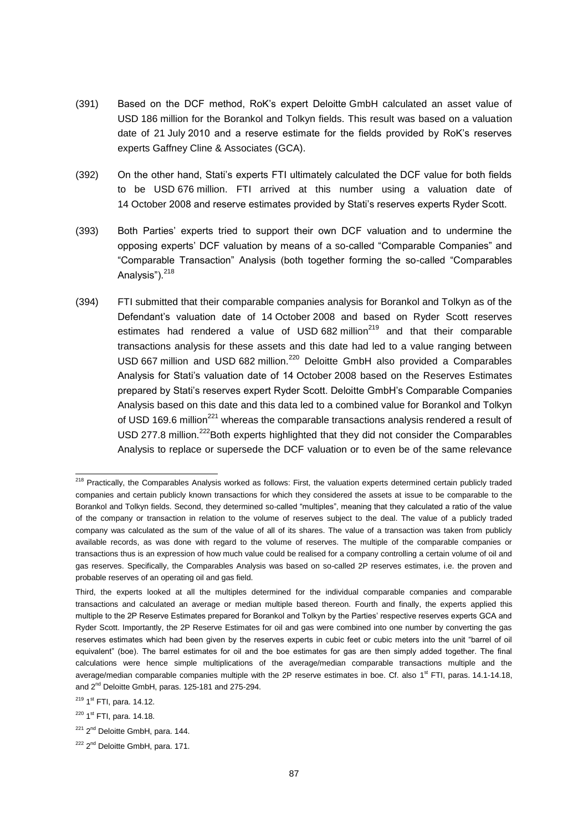- (391) Based on the DCF method, RoK's expert Deloitte GmbH calculated an asset value of USD 186 million for the Borankol and Tolkyn fields. This result was based on a valuation date of 21 July 2010 and a reserve estimate for the fields provided by RoK's reserves experts Gaffney Cline & Associates (GCA).
- (392) On the other hand, Stati's experts FTI ultimately calculated the DCF value for both fields to be USD 676 million. FTI arrived at this number using a valuation date of 14 October 2008 and reserve estimates provided by Stati's reserves experts Ryder Scott.
- (393) Both Parties' experts tried to support their own DCF valuation and to undermine the opposing experts' DCF valuation by means of a so-called "Comparable Companies" and "Comparable Transaction" Analysis (both together forming the so-called "Comparables Analysis").<sup>218</sup>
- (394) FTI submitted that their comparable companies analysis for Borankol and Tolkyn as of the Defendant's valuation date of 14 October 2008 and based on Ryder Scott reserves estimates had rendered a value of USD 682 million $^{219}$  and that their comparable transactions analysis for these assets and this date had led to a value ranging between USD 667 million and USD 682 million.<sup>220</sup> Deloitte GmbH also provided a Comparables Analysis for Stati's valuation date of 14 October 2008 based on the Reserves Estimates prepared by Stati's reserves expert Ryder Scott. Deloitte GmbH's Comparable Companies Analysis based on this date and this data led to a combined value for Borankol and Tolkyn of USD 169.6 million<sup>221</sup> whereas the comparable transactions analysis rendered a result of USD 277.8 million.<sup>222</sup>Both experts highlighted that they did not consider the Comparables Analysis to replace or supersede the DCF valuation or to even be of the same relevance

<sup>&</sup>lt;sup>218</sup> Practically, the Comparables Analysis worked as follows: First, the valuation experts determined certain publicly traded companies and certain publicly known transactions for which they considered the assets at issue to be comparable to the Borankol and Tolkyn fields. Second, they determined so-called "multiples", meaning that they calculated a ratio of the value of the company or transaction in relation to the volume of reserves subject to the deal. The value of a publicly traded company was calculated as the sum of the value of all of its shares. The value of a transaction was taken from publicly available records, as was done with regard to the volume of reserves. The multiple of the comparable companies or transactions thus is an expression of how much value could be realised for a company controlling a certain volume of oil and gas reserves. Specifically, the Comparables Analysis was based on so-called 2P reserves estimates, i.e. the proven and probable reserves of an operating oil and gas field.

Third, the experts looked at all the multiples determined for the individual comparable companies and comparable transactions and calculated an average or median multiple based thereon. Fourth and finally, the experts applied this multiple to the 2P Reserve Estimates prepared for Borankol and Tolkyn by the Parties' respective reserves experts GCA and Ryder Scott. Importantly, the 2P Reserve Estimates for oil and gas were combined into one number by converting the gas reserves estimates which had been given by the reserves experts in cubic feet or cubic meters into the unit "barrel of oil equivalent" (boe). The barrel estimates for oil and the boe estimates for gas are then simply added together. The final calculations were hence simple multiplications of the average/median comparable transactions multiple and the average/median comparable companies multiple with the 2P reserve estimates in boe. Cf. also 1<sup>st</sup> FTI, paras. 14.1-14.18, and 2<sup>nd</sup> Deloitte GmbH, paras. 125-181 and 275-294.

<sup>&</sup>lt;sup>219</sup> 1<sup>st</sup> FTI, para. 14.12.

<sup>&</sup>lt;sup>220</sup> 1<sup>st</sup> FTI, para. 14.18.

<sup>&</sup>lt;sup>221</sup> 2<sup>nd</sup> Deloitte GmbH, para. 144.

<sup>&</sup>lt;sup>222</sup> 2<sup>nd</sup> Deloitte GmbH, para. 171.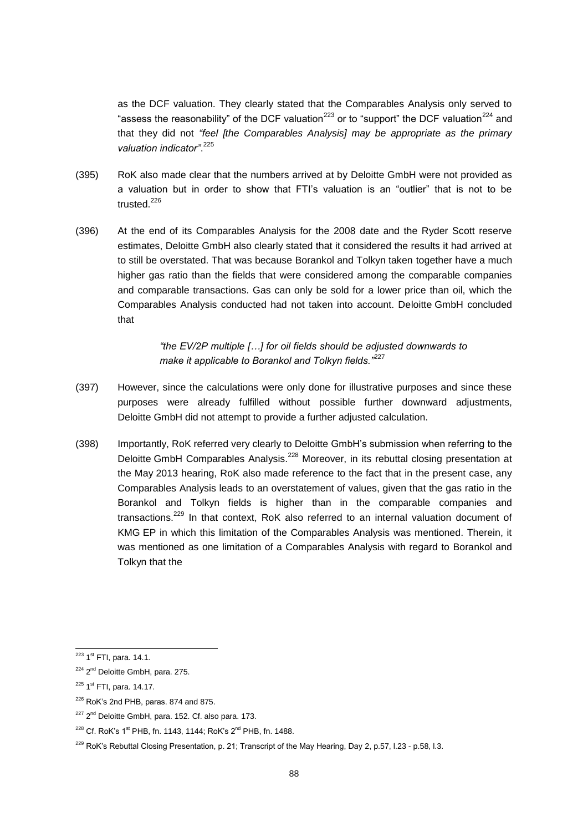as the DCF valuation. They clearly stated that the Comparables Analysis only served to "assess the reasonability" of the DCF valuation<sup>223</sup> or to "support" the DCF valuation<sup>224</sup> and that they did not *"feel [the Comparables Analysis] may be appropriate as the primary valuation indicator"*. 225

- (395) RoK also made clear that the numbers arrived at by Deloitte GmbH were not provided as a valuation but in order to show that FTI's valuation is an "outlier" that is not to be trusted $^{226}$
- (396) At the end of its Comparables Analysis for the 2008 date and the Ryder Scott reserve estimates, Deloitte GmbH also clearly stated that it considered the results it had arrived at to still be overstated. That was because Borankol and Tolkyn taken together have a much higher gas ratio than the fields that were considered among the comparable companies and comparable transactions. Gas can only be sold for a lower price than oil, which the Comparables Analysis conducted had not taken into account. Deloitte GmbH concluded that

*"the EV/2P multiple […] for oil fields should be adjusted downwards to make it applicable to Borankol and Tolkyn fields."*<sup>227</sup>

- (397) However, since the calculations were only done for illustrative purposes and since these purposes were already fulfilled without possible further downward adjustments, Deloitte GmbH did not attempt to provide a further adjusted calculation.
- (398) Importantly, RoK referred very clearly to Deloitte GmbH's submission when referring to the Deloitte GmbH Comparables Analysis.<sup>228</sup> Moreover, in its rebuttal closing presentation at the May 2013 hearing, RoK also made reference to the fact that in the present case, any Comparables Analysis leads to an overstatement of values, given that the gas ratio in the Borankol and Tolkyn fields is higher than in the comparable companies and transactions.<sup>229</sup> In that context, RoK also referred to an internal valuation document of KMG EP in which this limitation of the Comparables Analysis was mentioned. Therein, it was mentioned as one limitation of a Comparables Analysis with regard to Borankol and Tolkyn that the

<sup>&</sup>lt;sup>223</sup> 1<sup>st</sup> FTI, para. 14.1.

<sup>&</sup>lt;sup>224</sup> 2<sup>nd</sup> Deloitte GmbH, para. 275.

<sup>&</sup>lt;sup>225</sup> 1<sup>st</sup> FTI, para. 14.17.

 $226$  RoK's 2nd PHB, paras. 874 and 875.

 $227$   $2<sup>nd</sup>$  Deloitte GmbH, para. 152. Cf. also para. 173.

 $228$  Cf. RoK's 1<sup>st</sup> PHB, fn. 1143, 1144; RoK's 2<sup>nd</sup> PHB, fn. 1488.

<sup>&</sup>lt;sup>229</sup> RoK's Rebuttal Closing Presentation, p. 21; Transcript of the May Hearing, Day 2, p.57, l.23 - p.58, l.3.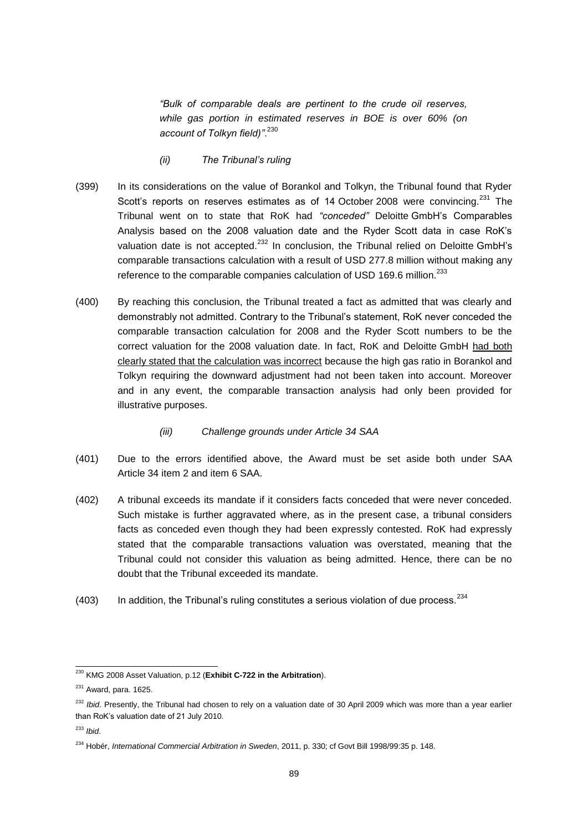*"Bulk of comparable deals are pertinent to the crude oil reserves, while gas portion in estimated reserves in BOE is over 60% (on account of Tolkyn field)"*. 230

- *(ii) The Tribunal's ruling*
- (399) In its considerations on the value of Borankol and Tolkyn, the Tribunal found that Ryder Scott's reports on reserves estimates as of 14 October 2008 were convincing.<sup>231</sup> The Tribunal went on to state that RoK had *"conceded"* Deloitte GmbH's Comparables Analysis based on the 2008 valuation date and the Ryder Scott data in case RoK's valuation date is not accepted.<sup>232</sup> In conclusion, the Tribunal relied on Deloitte GmbH's comparable transactions calculation with a result of USD 277.8 million without making any reference to the comparable companies calculation of USD 169.6 million.<sup>233</sup>
- (400) By reaching this conclusion, the Tribunal treated a fact as admitted that was clearly and demonstrably not admitted. Contrary to the Tribunal's statement, RoK never conceded the comparable transaction calculation for 2008 and the Ryder Scott numbers to be the correct valuation for the 2008 valuation date. In fact, RoK and Deloitte GmbH had both clearly stated that the calculation was incorrect because the high gas ratio in Borankol and Tolkyn requiring the downward adjustment had not been taken into account. Moreover and in any event, the comparable transaction analysis had only been provided for illustrative purposes.

#### *(iii) Challenge grounds under Article 34 SAA*

- (401) Due to the errors identified above, the Award must be set aside both under SAA Article 34 item 2 and item 6 SAA.
- (402) A tribunal exceeds its mandate if it considers facts conceded that were never conceded. Such mistake is further aggravated where, as in the present case, a tribunal considers facts as conceded even though they had been expressly contested. RoK had expressly stated that the comparable transactions valuation was overstated, meaning that the Tribunal could not consider this valuation as being admitted. Hence, there can be no doubt that the Tribunal exceeded its mandate.
- (403) In addition, the Tribunal's ruling constitutes a serious violation of due process.  $234$

<sup>230</sup> KMG 2008 Asset Valuation, p.12 (**Exhibit C-722 in the Arbitration**).

 $231$  Award, para. 1625.

<sup>&</sup>lt;sup>232</sup> *Ibid*. Presently, the Tribunal had chosen to rely on a valuation date of 30 April 2009 which was more than a year earlier than RoK's valuation date of 21 July 2010.

<sup>233</sup> *Ibid*.

<sup>234</sup> Hobér, *International Commercial Arbitration in Sweden*, 2011, p. 330; cf Govt Bill 1998/99:35 p. 148.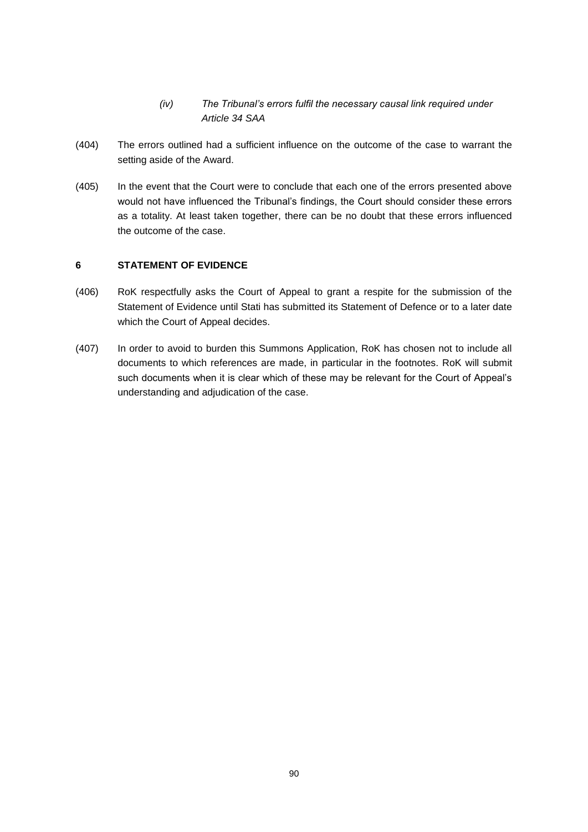- *(iv) The Tribunal's errors fulfil the necessary causal link required under Article 34 SAA*
- (404) The errors outlined had a sufficient influence on the outcome of the case to warrant the setting aside of the Award.
- (405) In the event that the Court were to conclude that each one of the errors presented above would not have influenced the Tribunal's findings, the Court should consider these errors as a totality. At least taken together, there can be no doubt that these errors influenced the outcome of the case.

#### **6 STATEMENT OF EVIDENCE**

- (406) RoK respectfully asks the Court of Appeal to grant a respite for the submission of the Statement of Evidence until Stati has submitted its Statement of Defence or to a later date which the Court of Appeal decides.
- (407) In order to avoid to burden this Summons Application, RoK has chosen not to include all documents to which references are made, in particular in the footnotes. RoK will submit such documents when it is clear which of these may be relevant for the Court of Appeal's understanding and adjudication of the case.